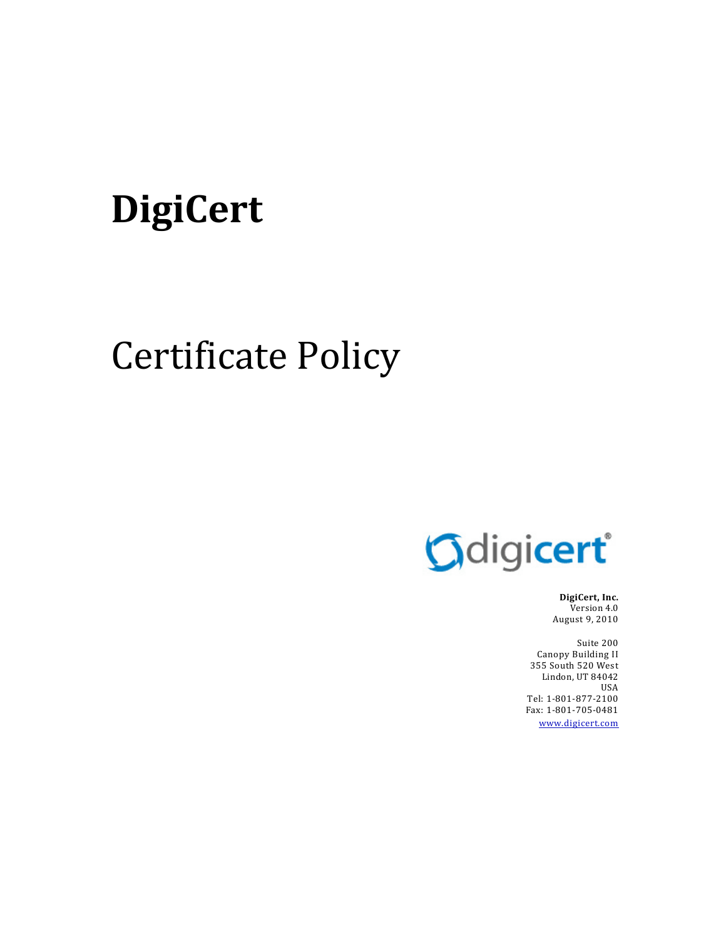# **DigiCert**

# Certificate Policy



**DigiCert, Inc.** Version 4.0 August 9, 2010

Suite 200 Canopy Building II 355 South 520 West Lindon, UT 84042 USA Tel: 1‐801‐877‐2100 Fax: 1‐801‐705‐0481 www.digicert.com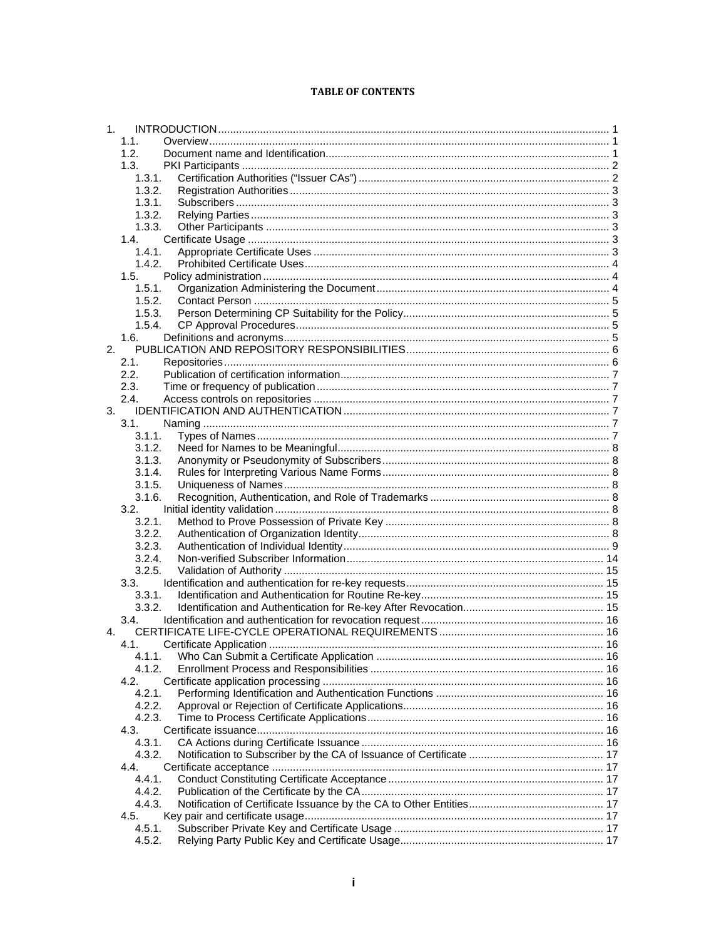#### **TABLE OF CONTENTS**

| 1 <sub>1</sub> |        |  |
|----------------|--------|--|
|                | 1.1.   |  |
|                | 1.2.   |  |
|                | 1.3.   |  |
|                | 1.3.1. |  |
|                | 1.3.2. |  |
|                | 1.3.1. |  |
|                | 1.3.2. |  |
|                | 1.3.3. |  |
|                | 1.4.   |  |
|                | 1.4.1. |  |
|                | 1.4.2. |  |
|                | 1.5.   |  |
|                | 1.5.1. |  |
|                | 1.5.2. |  |
|                | 1.5.3. |  |
|                | 1.5.4. |  |
|                | 1.6.   |  |
| 2.             |        |  |
|                | 2.1.   |  |
|                | 2.2.   |  |
|                | 2.3.   |  |
|                | 2.4.   |  |
| 3.             |        |  |
|                | 3.1.   |  |
|                | 3.1.1. |  |
|                | 3.1.2. |  |
|                | 3.1.3. |  |
|                | 3.1.4. |  |
|                | 3.1.5. |  |
|                | 3.1.6. |  |
|                | 3.2.   |  |
|                | 3.2.1. |  |
|                | 3.2.2. |  |
|                | 3.2.3. |  |
|                | 3.2.4. |  |
|                | 3.2.5. |  |
|                | 3.3.   |  |
|                | 3.3.1. |  |
|                | 3.3.2. |  |
|                | 3.4.   |  |
| 4.             |        |  |
|                | 4.1.   |  |
|                | 4.1.1. |  |
|                | 4.1.2. |  |
|                | 4.2.   |  |
|                | 4.2.1. |  |
|                | 4.2.2. |  |
|                | 4.2.3. |  |
|                | 4.3.   |  |
|                | 4.3.1. |  |
|                | 4.3.2. |  |
|                | 4.4.   |  |
|                | 4.4.1. |  |
|                | 4.4.2. |  |
|                | 4.4.3. |  |
|                | 4.5.   |  |
|                | 4.5.1. |  |
|                | 4.5.2. |  |
|                |        |  |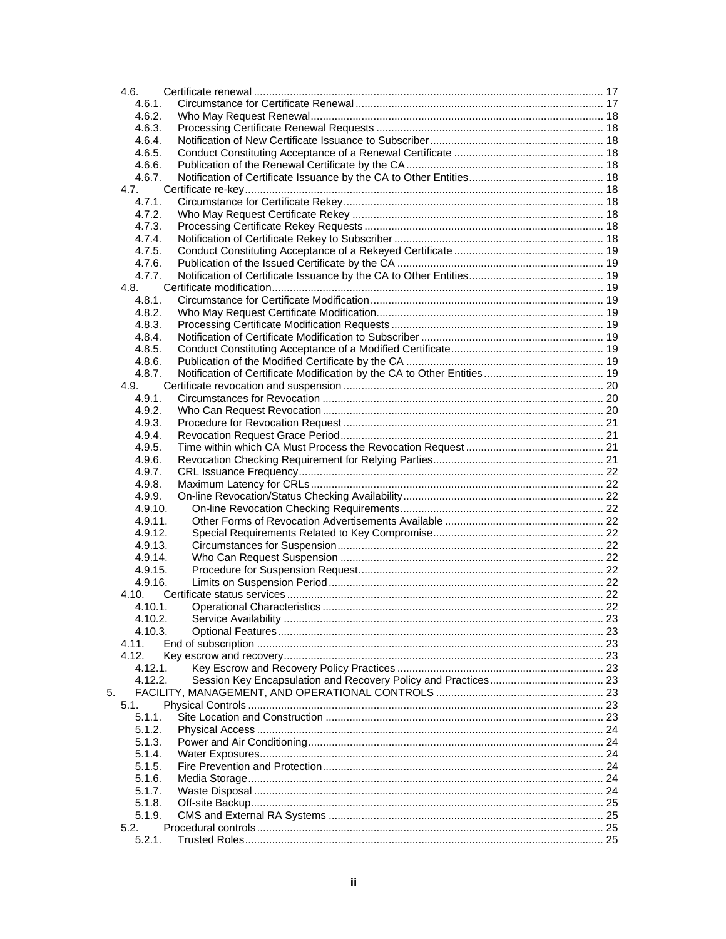|    | 4.6.             |  |
|----|------------------|--|
|    | 4.6.1.           |  |
|    | 4.6.2.           |  |
|    | 4.6.3.           |  |
|    | 4.6.4.           |  |
|    | 4.6.5.           |  |
|    | 4.6.6.           |  |
|    | 4.6.7.           |  |
|    | 4.7.             |  |
|    | 4.7.1.           |  |
|    | 4.7.2.           |  |
|    | 4.7.3.           |  |
|    | 4.7.4.           |  |
|    | 4.7.5.           |  |
|    | 4.7.6.           |  |
|    | 4.7.7.           |  |
|    | 4.8.             |  |
|    | 4.8.1.           |  |
|    | 4.8.2.           |  |
|    | 4.8.3.<br>4.8.4. |  |
|    |                  |  |
|    | 4.8.5.<br>4.8.6. |  |
|    | 4.8.7.           |  |
|    |                  |  |
|    | 4.9.<br>4.9.1.   |  |
|    | 4.9.2.           |  |
|    | 4.9.3.           |  |
|    | 4.9.4.           |  |
|    | 4.9.5.           |  |
|    | 4.9.6.           |  |
|    | 4.9.7.           |  |
|    | 4.9.8.           |  |
|    | 4.9.9.           |  |
|    | 4.9.10.          |  |
|    | 4.9.11.          |  |
|    | 4.9.12.          |  |
|    | 4.9.13.          |  |
|    | 4.9.14.          |  |
|    | 4.9.15.          |  |
|    | 4.9.16.          |  |
|    | 4.10.            |  |
|    | 4.10.1.          |  |
|    | 4.10.2.          |  |
|    | 4.10.3.          |  |
|    | 4.11.            |  |
|    | 4.12.            |  |
|    | 4.12.1.          |  |
|    | 4.12.2.          |  |
| 5. |                  |  |
|    | 5.1.             |  |
|    | 5.1.1.           |  |
|    | 5.1.2.           |  |
|    | 5.1.3.           |  |
|    | 5.1.4.           |  |
|    | 5.1.5.           |  |
|    | 5.1.6.           |  |
|    | 5.1.7.           |  |
|    | 5.1.8.           |  |
|    | 5.1.9.           |  |
|    | 5.2.             |  |
|    | 5.2.1.           |  |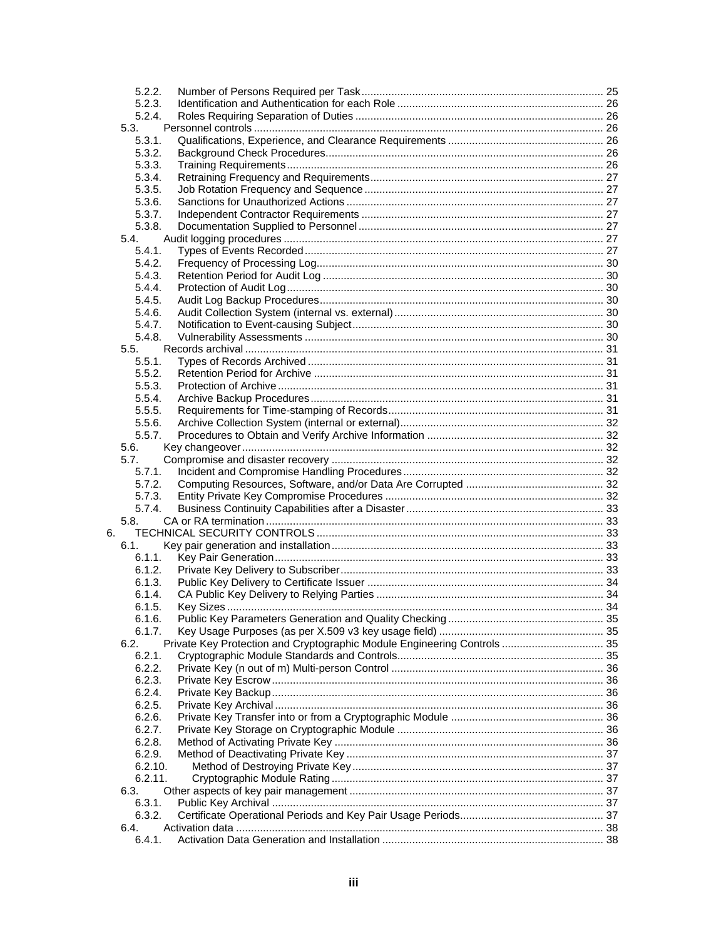|    | 5.2.2.          |                                                                          |  |
|----|-----------------|--------------------------------------------------------------------------|--|
|    | 5.2.3.          |                                                                          |  |
|    | 5.2.4.          |                                                                          |  |
|    | 5.3.            |                                                                          |  |
|    | 5.3.1.          |                                                                          |  |
|    | 5.3.2.          |                                                                          |  |
|    | 5.3.3.          |                                                                          |  |
|    | 5.3.4.          |                                                                          |  |
|    | 5.3.5.          |                                                                          |  |
|    | 5.3.6.          |                                                                          |  |
|    | 5.3.7.          |                                                                          |  |
|    | 5.3.8.          |                                                                          |  |
|    | 5.4.            |                                                                          |  |
|    | 5.4.1.          |                                                                          |  |
|    | 5.4.2.          |                                                                          |  |
|    | 5.4.3.          |                                                                          |  |
|    | 5.4.4.          |                                                                          |  |
|    | 5.4.5.          |                                                                          |  |
|    | 5.4.6.          |                                                                          |  |
|    | 5.4.7.          |                                                                          |  |
|    | 5.4.8.          |                                                                          |  |
|    | 5.5.            |                                                                          |  |
|    | 5.5.1.          |                                                                          |  |
|    | 5.5.2.          |                                                                          |  |
|    |                 |                                                                          |  |
|    | 5.5.3.          |                                                                          |  |
|    | 5.5.4.          |                                                                          |  |
|    | 5.5.5.          |                                                                          |  |
|    | 5.5.6.          |                                                                          |  |
|    | 5.5.7.          |                                                                          |  |
|    | 5.6.            |                                                                          |  |
|    | 5.7.            |                                                                          |  |
|    | 5.7.1.          |                                                                          |  |
|    | 5.7.2.          |                                                                          |  |
|    | 5.7.3.          |                                                                          |  |
|    | 5.7.4.          |                                                                          |  |
|    | 5.8.            |                                                                          |  |
| 6. |                 |                                                                          |  |
|    | 6.1.            |                                                                          |  |
|    | 6.1.1.          |                                                                          |  |
|    | 6.1.2.          |                                                                          |  |
|    | 6.1.3.          |                                                                          |  |
|    | 6.1.4.          |                                                                          |  |
|    | 6.1.5.          |                                                                          |  |
|    | 6.1.6.          |                                                                          |  |
|    | 6.1.7.          |                                                                          |  |
|    | 6.2.            | Private Key Protection and Cryptographic Module Engineering Controls  35 |  |
|    | 6.2.1.          |                                                                          |  |
|    | 6.2.2.          |                                                                          |  |
|    |                 |                                                                          |  |
|    | 6.2.3.          |                                                                          |  |
|    | 6.2.4.          |                                                                          |  |
|    | 6.2.5.          |                                                                          |  |
|    | 6.2.6.          |                                                                          |  |
|    | 6.2.7.          |                                                                          |  |
|    | 6.2.8.          |                                                                          |  |
|    | 6.2.9.          |                                                                          |  |
|    | 6.2.10.         |                                                                          |  |
|    |                 |                                                                          |  |
|    | 6.2.11.<br>6.3. |                                                                          |  |
|    |                 |                                                                          |  |
|    | 6.3.1.          |                                                                          |  |
|    | 6.3.2.<br>6.4.  |                                                                          |  |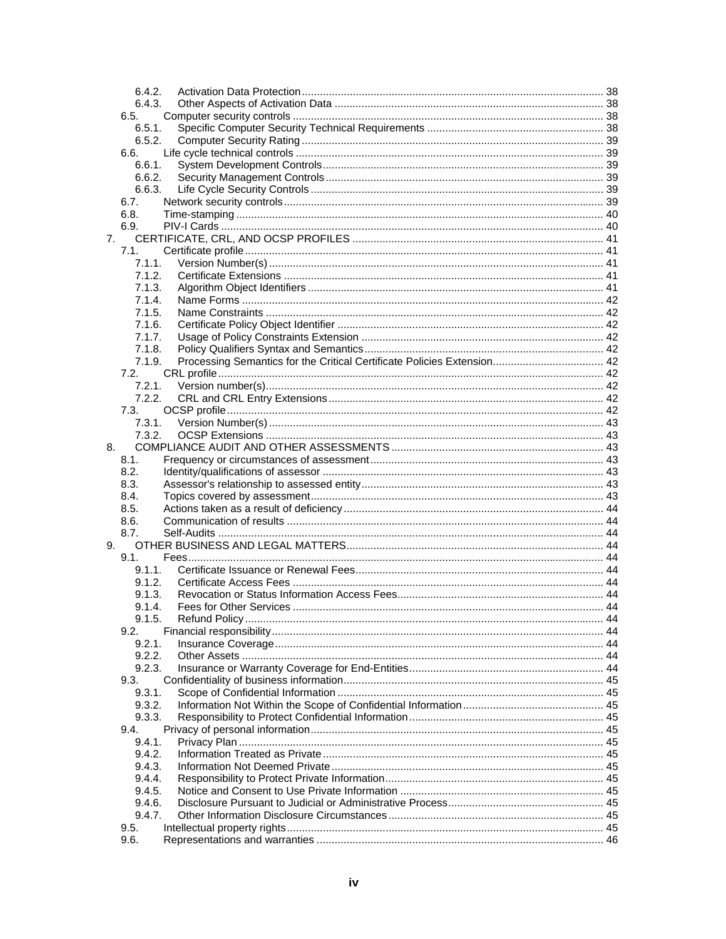|    | 6.4.2.           |  |
|----|------------------|--|
|    | 6.4.3.           |  |
|    | 6.5.             |  |
|    | 6.5.1.           |  |
|    | 6.5.2.           |  |
|    | 6.6.             |  |
|    | 6.6.1.           |  |
|    | 6.6.2.           |  |
|    | 6.6.3.           |  |
|    | 6.7.<br>6.8.     |  |
|    | 6.9.             |  |
| 7. |                  |  |
|    | 7.1.             |  |
|    | 7.1.1.           |  |
|    | 7.1.2.           |  |
|    | 7.1.3.           |  |
|    | 7.1.4.           |  |
|    | 7.1.5.           |  |
|    | 7.1.6.           |  |
|    | 7.1.7.           |  |
|    | 7.1.8.           |  |
|    | 7.1.9.           |  |
|    | 7.2.             |  |
|    | 7.2.1.           |  |
|    | 7.2.2.           |  |
|    | 7.3.             |  |
|    | 7.3.1.           |  |
|    | 7.3.2.           |  |
| 8. |                  |  |
|    | 8.1.             |  |
|    | 8.2.             |  |
|    | 8.3.             |  |
|    | 8.4.             |  |
|    | 8.5.             |  |
|    | 8.6.             |  |
|    | 8.7.             |  |
| 9. |                  |  |
|    | 9.1.             |  |
|    | 9.1.1.           |  |
|    | 9.1.2.           |  |
|    | 9.1.3.           |  |
|    | 9.1.4.           |  |
|    | 9.1.5.           |  |
|    | 9.2.             |  |
|    | 9.2.1.<br>9.2.2. |  |
|    | 9.2.3.           |  |
|    | 9.3.             |  |
|    | 9.3.1.           |  |
|    | 9.3.2.           |  |
|    | 9.3.3.           |  |
|    | 9.4.             |  |
|    | 9.4.1.           |  |
|    | 9.4.2.           |  |
|    | 9.4.3.           |  |
|    | 9.4.4.           |  |
|    | 9.4.5.           |  |
|    | 9.4.6.           |  |
|    | 9.4.7.           |  |
|    | 9.5.             |  |
|    | 9.6.             |  |
|    |                  |  |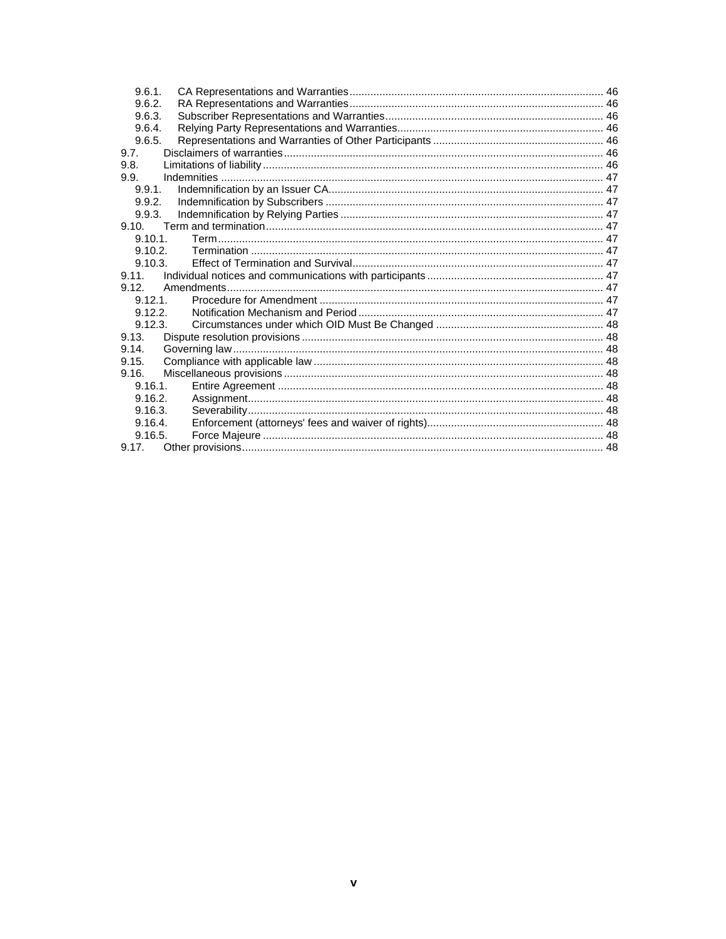| 9.6.1.     |  |
|------------|--|
| 9.6.2.     |  |
| 9.6.3.     |  |
| 9.6.4.     |  |
| 9.6.5.     |  |
| 9.7.       |  |
| 9.8.       |  |
| 9.9.       |  |
| 9.9.1.     |  |
| 9.9.2.     |  |
| 9.9.3.     |  |
| 9.10.      |  |
| 9.10.1     |  |
| 9.10.2.    |  |
| 9.10.3     |  |
| 9.11.      |  |
| 9.12.      |  |
| $9.12.1$ . |  |
| 9.12.2     |  |
| 9.12.3.    |  |
| 9.13.      |  |
| 9.14.      |  |
| 9.15.      |  |
| 9.16.      |  |
| 9.16.1     |  |
| 9.16.2.    |  |
| 9.16.3.    |  |
| 9.16.4.    |  |
| 9.16.5.    |  |
|            |  |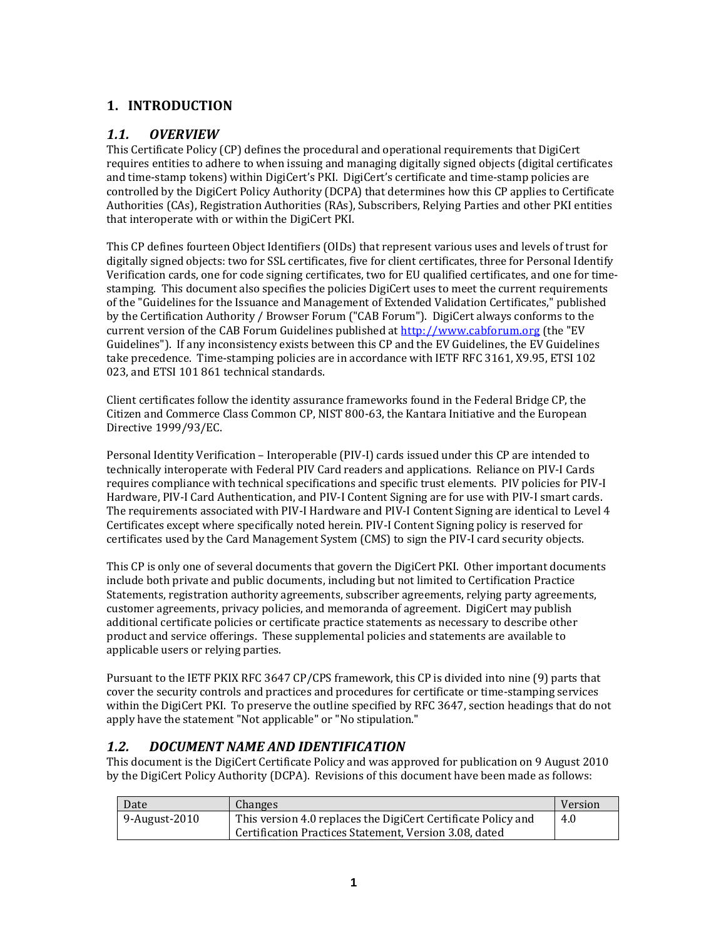## **1. INTRODUCTION**

## *1.1. OVERVIEW*

This Certificate Policy (CP) defines the procedural and operational requirements that DigiCert requires entities to adhere to when issuing and managing digitally signed objects (digital certificates and time‐stamp tokens) within DigiCert's PKI. DigiCert's certificate and time‐stamp policies are controlled by the DigiCert Policy Authority (DCPA) that determines how this CP applies to Certificate Authorities (CAs), Registration Authorities (RAs), Subscribers, Relying Parties and other PKI entities that interoperate with or within the DigiCert PKI.

This CP defines fourteen Object Identifiers (OIDs) that represent various uses and levels of trust for digitally signed objects: two for SSL certificates, five for client certificates, three for Personal Identify Verification cards, one for code signing certificates, two for EU qualified certificates, and one for time‐ stamping. This document also specifies the policies DigiCert uses to meet the current requirements of the "Guidelines for the Issuance and Management of Extended Validation Certificates," published by the Certification Authority / Browser Forum ("CAB Forum"). DigiCert always conforms to the current version of the CAB Forum Guidelines published at http://www.cabforum.org (the "EV Guidelines"). If any inconsistency exists between this CP and the EV Guidelines, the EV Guidelines take precedence. Time‐stamping policies are in accordance with IETF RFC 3161, X9.95, ETSI 102 023, and ETSI 101 861 technical standards.

Client certificates follow the identity assurance frameworks found in the Federal Bridge CP, the Citizen and Commerce Class Common CP, NIST 800‐63, the Kantara Initiative and the European Directive 1999/93/EC.

Personal Identity Verification – Interoperable (PIV‐I) cards issued under this CP are intended to technically interoperate with Federal PIV Card readers and applications. Reliance on PIV‐I Cards requires compliance with technical specifications and specific trust elements. PIV policies for PIV‐I Hardware, PIV‐I Card Authentication, and PIV‐I Content Signing are for use with PIV‐I smart cards. The requirements associated with PIV‐I Hardware and PIV‐I Content Signing are identical to Level 4 Certificates except where specifically noted herein. PIV‐I Content Signing policy is reserved for certificates used by the Card Management System (CMS) to sign the PIV‐I card security objects.

This CP is only one of several documents that govern the DigiCert PKI. Other important documents include both private and public documents, including but not limited to Certification Practice Statements, registration authority agreements, subscriber agreements, relying party agreements, customer agreements, privacy policies, and memoranda of agreement. DigiCert may publish additional certificate policies or certificate practice statements as necessary to describe other product and service offerings. These supplemental policies and statements are available to applicable users or relying parties.

Pursuant to the IETF PKIX RFC 3647 CP/CPS framework, this CP is divided into nine (9) parts that cover the security controls and practices and procedures for certificate or time‐stamping services within the DigiCert PKI. To preserve the outline specified by RFC 3647, section headings that do not apply have the statement "Not applicable" or "No stipulation."

## *1.2. DOCUMENT NAME AND IDENTIFICATION*

This document is the DigiCert Certificate Policy and was approved for publication on 9 August 2010 by the DigiCert Policy Authority (DCPA). Revisions of this document have been made as follows:

| Date          | <b>Changes</b>                                                | Version |
|---------------|---------------------------------------------------------------|---------|
| 9-August-2010 | This version 4.0 replaces the DigiCert Certificate Policy and | 4.0     |
|               | Certification Practices Statement, Version 3.08, dated        |         |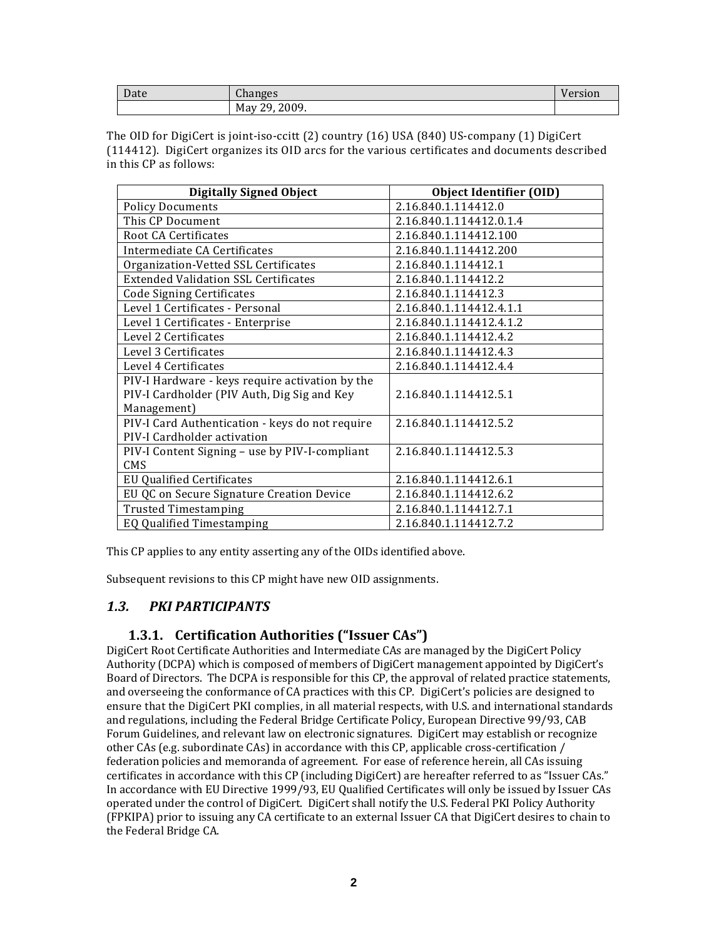| $\sqrt{ }$<br>Date | $\sim$<br>$\alpha$<br>ulidliy.<br>ີບມ | $ -$<br>ion |
|--------------------|---------------------------------------|-------------|
|                    | 2009.<br>ററ<br>May<br>u<br><u>.</u>   |             |

The OID for DigiCert is joint‐iso‐ccitt (2) country (16) USA (840) US‐company (1) DigiCert (114412). DigiCert organizes its OID arcs for the various certificates and documents described in this CP as follows:

| <b>Digitally Signed Object</b>                  | <b>Object Identifier (OID)</b> |
|-------------------------------------------------|--------------------------------|
| <b>Policy Documents</b>                         | 2.16.840.1.114412.0            |
| This CP Document                                | 2.16.840.1.114412.0.1.4        |
| Root CA Certificates                            | 2.16.840.1.114412.100          |
| Intermediate CA Certificates                    | 2.16.840.1.114412.200          |
| Organization-Vetted SSL Certificates            | 2.16.840.1.114412.1            |
| <b>Extended Validation SSL Certificates</b>     | 2.16.840.1.114412.2            |
| <b>Code Signing Certificates</b>                | 2.16.840.1.114412.3            |
| Level 1 Certificates - Personal                 | 2.16.840.1.114412.4.1.1        |
| Level 1 Certificates - Enterprise               | 2.16.840.1.114412.4.1.2        |
| Level 2 Certificates                            | 2.16.840.1.114412.4.2          |
| Level 3 Certificates                            | 2.16.840.1.114412.4.3          |
| Level 4 Certificates                            | 2.16.840.1.114412.4.4          |
| PIV-I Hardware - keys require activation by the |                                |
| PIV-I Cardholder (PIV Auth, Dig Sig and Key     | 2.16.840.1.114412.5.1          |
| Management)                                     |                                |
| PIV-I Card Authentication - keys do not require | 2.16.840.1.114412.5.2          |
| PIV-I Cardholder activation                     |                                |
| PIV-I Content Signing - use by PIV-I-compliant  | 2.16.840.1.114412.5.3          |
| <b>CMS</b>                                      |                                |
| <b>EU Qualified Certificates</b>                | 2.16.840.1.114412.6.1          |
| EU QC on Secure Signature Creation Device       | 2.16.840.1.114412.6.2          |
| <b>Trusted Timestamping</b>                     | 2.16.840.1.114412.7.1          |
| EQ Qualified Timestamping                       | 2.16.840.1.114412.7.2          |

This CP applies to any entity asserting any of the OIDs identified above.

Subsequent revisions to this CP might have new OID assignments.

## *1.3. PKI PARTICIPANTS*

## **1.3.1. Certification Authorities ("Issuer CAs")**

DigiCert Root Certificate Authorities and Intermediate CAs are managed by the DigiCert Policy Authority (DCPA) which is composed of members of DigiCert management appointed by DigiCert's Board of Directors. The DCPA is responsible for this CP, the approval of related practice statements, and overseeing the conformance of CA practices with this CP. DigiCert's policies are designed to ensure that the DigiCert PKI complies, in all material respects, with U.S. and international standards and regulations, including the Federal Bridge Certificate Policy, European Directive 99/93, CAB Forum Guidelines, and relevant law on electronic signatures. DigiCert may establish or recognize other CAs (e.g. subordinate CAs) in accordance with this CP, applicable cross‐certification / federation policies and memoranda of agreement. For ease of reference herein, all CAs issuing certificates in accordance with this CP (including DigiCert) are hereafter referred to as "Issuer CAs." In accordance with EU Directive 1999/93, EU Qualified Certificates will only be issued by Issuer CAs operated under the control of DigiCert. DigiCert shall notify the U.S. Federal PKI Policy Authority (FPKIPA) prior to issuing any CA certificate to an external Issuer CA that DigiCert desires to chain to the Federal Bridge CA.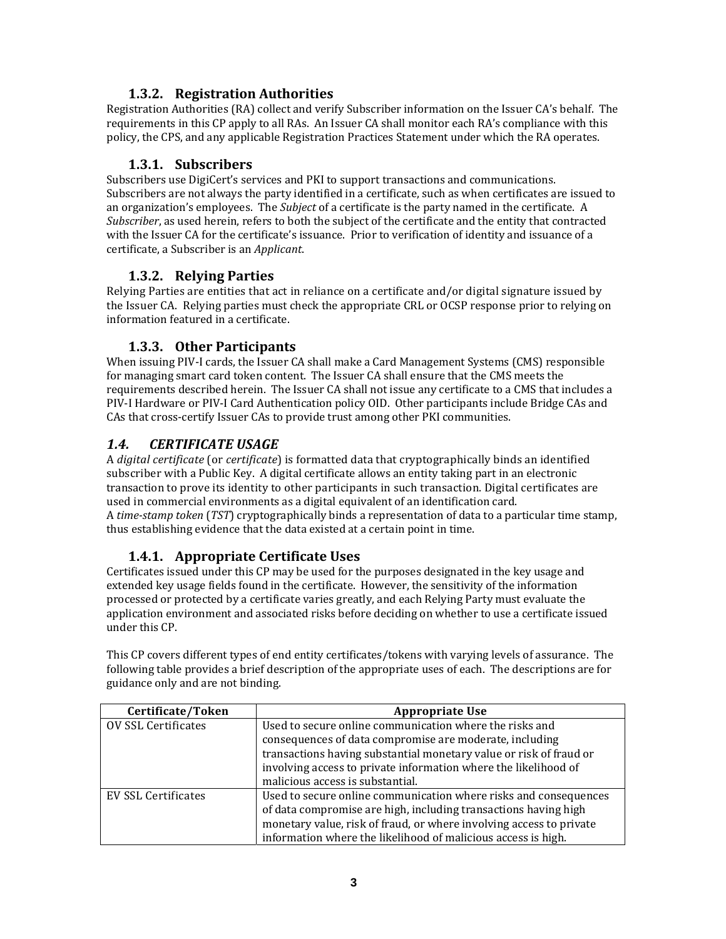## **1.3.2. Registration Authorities**

Registration Authorities (RA) collect and verify Subscriber information on the Issuer CA's behalf. The requirements in this CP apply to all RAs. An Issuer CA shall monitor each RA's compliance with this policy, the CPS, and any applicable Registration Practices Statement under which the RA operates.

## **1.3.1. Subscribers**

Subscribers use DigiCert's services and PKI to support transactions and communications. Subscribers are not always the party identified in a certificate, such as when certificates are issued to an organization's employees. The *Subject* of a certificate is the party named in the certificate. A *Subscriber*, as used herein, refers to both the subject of the certificate and the entity that contracted with the Issuer CA for the certificate's issuance. Prior to verification of identity and issuance of a certificate, a Subscriber is an *Applicant*.

## **1.3.2. Relying Parties**

Relying Parties are entities that act in reliance on a certificate and/or digital signature issued by the Issuer CA. Relying parties must check the appropriate CRL or OCSP response prior to relying on information featured in a certificate.

## **1.3.3. Other Participants**

When issuing PIV‐I cards, the Issuer CA shall make a Card Management Systems (CMS) responsible for managing smart card token content. The Issuer CA shall ensure that the CMS meets the requirements described herein. The Issuer CA shall not issue any certificate to a CMS that includes a PIV‐I Hardware or PIV‐I Card Authentication policy OID. Other participants include Bridge CAs and CAs that cross‐certify Issuer CAs to provide trust among other PKI communities.

## *1.4. CERTIFICATE USAGE*

A *digital certificate* (or *certificate*) is formatted data that cryptographically binds an identified subscriber with a Public Key. A digital certificate allows an entity taking part in an electronic transaction to prove its identity to other participants in such transaction. Digital certificates are used in commercial environments as a digital equivalent of an identification card. A *timestamp token* (*TST*) cryptographically binds a representation of data to a particular time stamp, thus establishing evidence that the data existed at a certain point in time.

## **1.4.1. Appropriate Certificate Uses**

Certificates issued under this CP may be used for the purposes designated in the key usage and extended key usage fields found in the certificate. However, the sensitivity of the information processed or protected by a certificate varies greatly, and each Relying Party must evaluate the application environment and associated risks before deciding on whether to use a certificate issued under this CP.

This CP covers different types of end entity certificates/tokens with varying levels of assurance. The following table provides a brief description of the appropriate uses of each. The descriptions are for guidance only and are not binding.

| Certificate/Token   | <b>Appropriate Use</b>                                              |
|---------------------|---------------------------------------------------------------------|
| OV SSL Certificates | Used to secure online communication where the risks and             |
|                     | consequences of data compromise are moderate, including             |
|                     | transactions having substantial monetary value or risk of fraud or  |
|                     | involving access to private information where the likelihood of     |
|                     | malicious access is substantial.                                    |
| EV SSL Certificates | Used to secure online communication where risks and consequences    |
|                     | of data compromise are high, including transactions having high     |
|                     | monetary value, risk of fraud, or where involving access to private |
|                     | information where the likelihood of malicious access is high.       |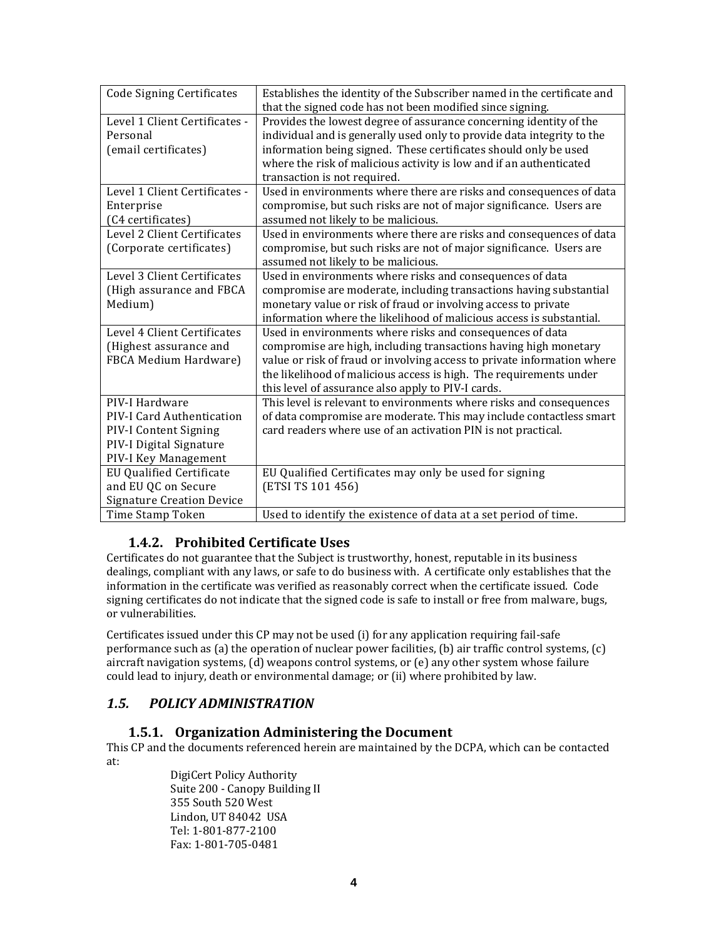| <b>Code Signing Certificates</b> | Establishes the identity of the Subscriber named in the certificate and<br>that the signed code has not been modified since signing. |
|----------------------------------|--------------------------------------------------------------------------------------------------------------------------------------|
| Level 1 Client Certificates -    | Provides the lowest degree of assurance concerning identity of the                                                                   |
|                                  |                                                                                                                                      |
| Personal                         | individual and is generally used only to provide data integrity to the                                                               |
| (email certificates)             | information being signed. These certificates should only be used                                                                     |
|                                  | where the risk of malicious activity is low and if an authenticated                                                                  |
|                                  | transaction is not required.                                                                                                         |
| Level 1 Client Certificates -    | Used in environments where there are risks and consequences of data                                                                  |
| Enterprise                       | compromise, but such risks are not of major significance. Users are                                                                  |
| (C4 certificates)                | assumed not likely to be malicious.                                                                                                  |
| Level 2 Client Certificates      | Used in environments where there are risks and consequences of data                                                                  |
| (Corporate certificates)         | compromise, but such risks are not of major significance. Users are                                                                  |
|                                  | assumed not likely to be malicious.                                                                                                  |
| Level 3 Client Certificates      |                                                                                                                                      |
|                                  | Used in environments where risks and consequences of data                                                                            |
| (High assurance and FBCA         | compromise are moderate, including transactions having substantial                                                                   |
| Medium)                          | monetary value or risk of fraud or involving access to private                                                                       |
|                                  | information where the likelihood of malicious access is substantial.                                                                 |
| Level 4 Client Certificates      | Used in environments where risks and consequences of data                                                                            |
| (Highest assurance and           | compromise are high, including transactions having high monetary                                                                     |
| FBCA Medium Hardware)            | value or risk of fraud or involving access to private information where                                                              |
|                                  | the likelihood of malicious access is high. The requirements under                                                                   |
|                                  | this level of assurance also apply to PIV-I cards.                                                                                   |
| PIV-I Hardware                   | This level is relevant to environments where risks and consequences                                                                  |
| PIV-I Card Authentication        | of data compromise are moderate. This may include contactless smart                                                                  |
| PIV-I Content Signing            | card readers where use of an activation PIN is not practical.                                                                        |
| PIV-I Digital Signature          |                                                                                                                                      |
| PIV-I Key Management             |                                                                                                                                      |
| <b>EU Qualified Certificate</b>  | EU Qualified Certificates may only be used for signing                                                                               |
| and EU QC on Secure              | (ETSI TS 101 456)                                                                                                                    |
| <b>Signature Creation Device</b> |                                                                                                                                      |
| Time Stamp Token                 | Used to identify the existence of data at a set period of time.                                                                      |

## **1.4.2. Prohibited Certificate Uses**

Certificates do not guarantee that the Subject is trustworthy, honest, reputable in its business dealings, compliant with any laws, or safe to do business with. A certificate only establishes that the information in the certificate was verified as reasonably correct when the certificate issued. Code signing certificates do not indicate that the signed code is safe to install or free from malware, bugs, or vulnerabilities.

Certificates issued under this CP may not be used (i) for any application requiring fail‐safe performance such as (a) the operation of nuclear power facilities, (b) air traffic control systems, (c) aircraft navigation systems, (d) weapons control systems, or (e) any other system whose failure could lead to injury, death or environmental damage; or (ii) where prohibited by law.

## *1.5. POLICY ADMINISTRATION*

#### **1.5.1. Organization Administering the Document**

This CP and the documents referenced herein are maintained by the DCPA, which can be contacted at:

DigiCert Policy Authority Suite 200 ‐ Canopy Building II 355 South 520 West Lindon, UT 84042 USA Tel: 1‐801‐877‐2100 Fax: 1‐801‐705‐0481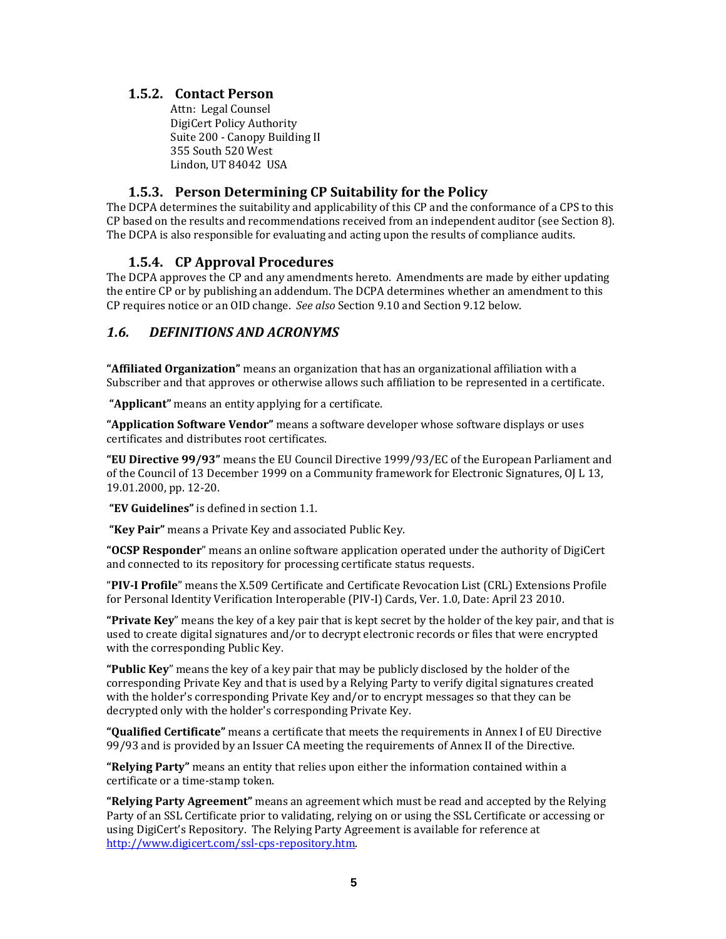#### **1.5.2. Contact Person**

Attn: Legal Counsel DigiCert Policy Authority Suite 200 ‐ Canopy Building II 355 South 520 West Lindon, UT 84042 USA

#### **1.5.3. Person Determining CP Suitability for the Policy**

The DCPA determines the suitability and applicability of this CP and the conformance of a CPS to this CP based on the results and recommendations received from an independent auditor (see Section 8). The DCPA is also responsible for evaluating and acting upon the results of compliance audits.

#### **1.5.4. CP Approval Procedures**

The DCPA approves the CP and any amendments hereto. Amendments are made by either updating the entire CP or by publishing an addendum. The DCPA determines whether an amendment to this CP requires notice or an OID change. *See also* Section 9.10 and Section 9.12 below.

#### *1.6. DEFINITIONS AND ACRONYMS*

**"Affiliated Organization"** means an organization that has an organizational affiliation with a Subscriber and that approves or otherwise allows such affiliation to be represented in a certificate.

**"Applicant"** means an entity applying for a certificate.

**"Application Software Vendor"** means a software developer whose software displays or uses certificates and distributes root certificates.

**"EU Directive 99/93"** means the EU Council Directive 1999/93/EC of the European Parliament and of the Council of 13 December 1999 on a Community framework for Electronic Signatures, OJ L 13, 19.01.2000, pp. 12‐20.

**"EV Guidelines"** is defined in section 1.1.

**"Key Pair"** means a Private Key and associated Public Key.

**"OCSP Responder**" means an online software application operated under the authority of DigiCert and connected to its repository for processing certificate status requests.

"**PIVI Profile**" means the X.509 Certificate and Certificate Revocation List (CRL) Extensions Profile for Personal Identity Verification Interoperable (PIV‐I) Cards, Ver. 1.0, Date: April 23 2010.

**"Private Key**" means the key of a key pair that is kept secret by the holder of the key pair, and that is used to create digital signatures and/or to decrypt electronic records or files that were encrypted with the corresponding Public Key.

**"Public Key**" means the key of a key pair that may be publicly disclosed by the holder of the corresponding Private Key and that is used by a Relying Party to verify digital signatures created with the holder's corresponding Private Key and/or to encrypt messages so that they can be decrypted only with the holder's corresponding Private Key.

**"Qualified Certificate"** means a certificate that meets the requirements in Annex I of EU Directive 99/93 and is provided by an Issuer CA meeting the requirements of Annex II of the Directive.

**"Relying Party"** means an entity that relies upon either the information contained within a certificate or a time‐stamp token.

**"Relying Party Agreement"** means an agreement which must be read and accepted by the Relying Party of an SSL Certificate prior to validating, relying on or using the SSL Certificate or accessing or using DigiCert's Repository. The Relying Party Agreement is available for reference at http://www.digicert.com/ssl‐cps‐repository.htm.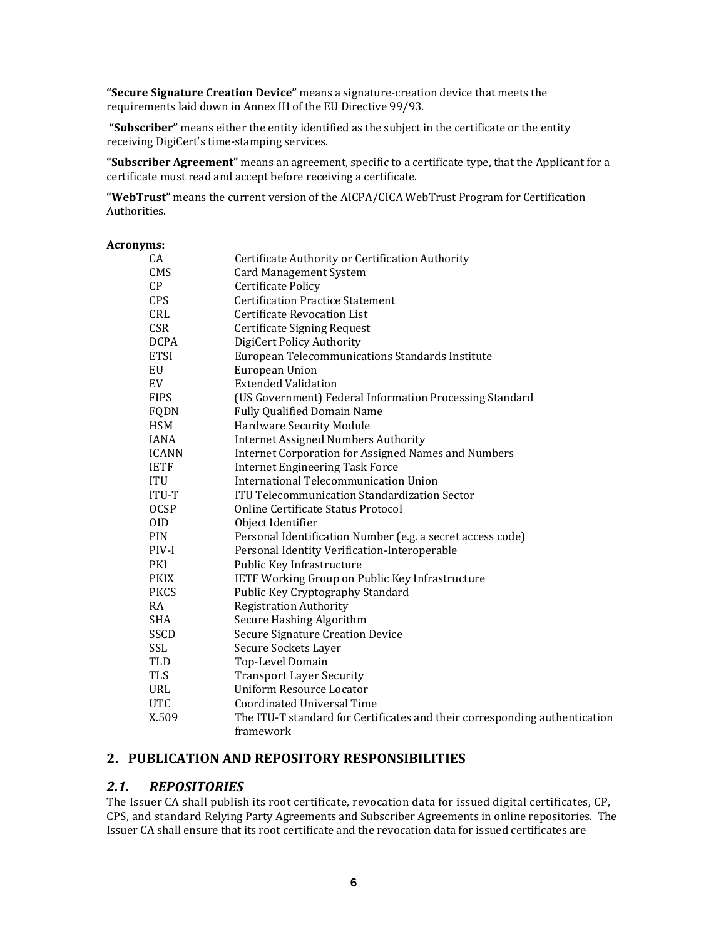**"Secure Signature Creation Device"** means a signature‐creation device that meets the requirements laid down in Annex III of the EU Directive 99/93.

**"Subscriber"** means either the entity identified as the subject in the certificate or the entity receiving DigiCert's time‐stamping services.

**"Subscriber Agreement"** means an agreement, specific to a certificate type, that the Applicant for a certificate must read and accept before receiving a certificate.

**"WebTrust"** means the current version of the AICPA/CICA WebTrust Program for Certification Authorities.

#### **Acronyms:**

| CA           | Certificate Authority or Certification Authority                           |
|--------------|----------------------------------------------------------------------------|
| CMS          | <b>Card Management System</b>                                              |
| CP           | <b>Certificate Policy</b>                                                  |
| <b>CPS</b>   | <b>Certification Practice Statement</b>                                    |
| CRL          | <b>Certificate Revocation List</b>                                         |
| <b>CSR</b>   | Certificate Signing Request                                                |
| <b>DCPA</b>  | DigiCert Policy Authority                                                  |
| <b>ETSI</b>  | European Telecommunications Standards Institute                            |
| EU           | European Union                                                             |
| EV           | <b>Extended Validation</b>                                                 |
| <b>FIPS</b>  | (US Government) Federal Information Processing Standard                    |
| FQDN         | <b>Fully Qualified Domain Name</b>                                         |
| <b>HSM</b>   | <b>Hardware Security Module</b>                                            |
| <b>IANA</b>  | <b>Internet Assigned Numbers Authority</b>                                 |
| <b>ICANN</b> | <b>Internet Corporation for Assigned Names and Numbers</b>                 |
| <b>IETF</b>  | <b>Internet Engineering Task Force</b>                                     |
| <b>ITU</b>   | International Telecommunication Union                                      |
| ITU-T        | <b>ITU Telecommunication Standardization Sector</b>                        |
| <b>OCSP</b>  | Online Certificate Status Protocol                                         |
| <b>OID</b>   | Object Identifier                                                          |
| <b>PIN</b>   | Personal Identification Number (e.g. a secret access code)                 |
| PIV-I        | Personal Identity Verification-Interoperable                               |
| PKI          | Public Key Infrastructure                                                  |
| <b>PKIX</b>  | <b>IETF Working Group on Public Key Infrastructure</b>                     |
| <b>PKCS</b>  | Public Key Cryptography Standard                                           |
| RA           | <b>Registration Authority</b>                                              |
| <b>SHA</b>   | Secure Hashing Algorithm                                                   |
| <b>SSCD</b>  | <b>Secure Signature Creation Device</b>                                    |
| SSL          | Secure Sockets Layer                                                       |
| TLD          | Top-Level Domain                                                           |
| <b>TLS</b>   | <b>Transport Layer Security</b>                                            |
| URL          | Uniform Resource Locator                                                   |
| <b>UTC</b>   | Coordinated Universal Time                                                 |
| X.509        | The ITU-T standard for Certificates and their corresponding authentication |
|              | framework                                                                  |

#### **2. PUBLICATION AND REPOSITORY RESPONSIBILITIES**

#### *2.1. REPOSITORIES*

The Issuer CA shall publish its root certificate, revocation data for issued digital certificates, CP, CPS, and standard Relying Party Agreements and Subscriber Agreements in online repositories. The Issuer CA shall ensure that its root certificate and the revocation data for issued certificates are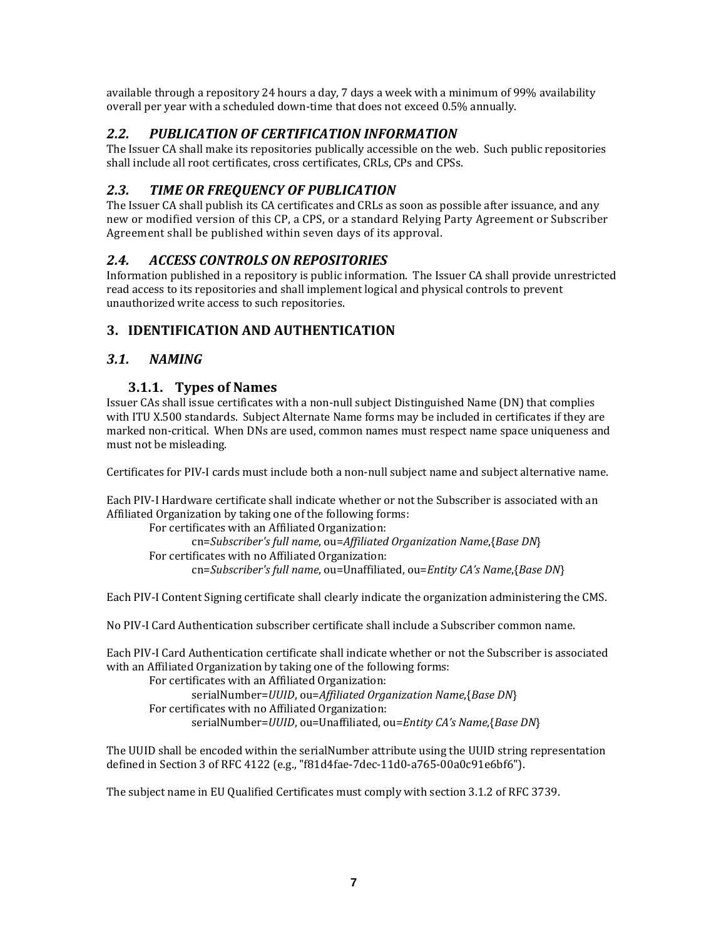available through a repository 24 hours a day, 7 days a week with a minimum of 99% availability overall per year with a scheduled down‐time that does not exceed 0.5% annually.

## *2.2. PUBLICATION OF CERTIFICATION INFORMATION*

The Issuer CA shall make its repositories publically accessible on the web. Such public repositories shall include all root certificates, cross certificates, CRLs, CPs and CPSs.

## *2.3. TIME OR FREQUENCY OF PUBLICATION*

The Issuer CA shall publish its CA certificates and CRLs as soon as possible after issuance, and any new or modified version of this CP, a CPS, or a standard Relying Party Agreement or Subscriber Agreement shall be published within seven days of its approval.

## *2.4. ACCESS CONTROLS ON REPOSITORIES*

Information published in a repository is public information. The Issuer CA shall provide unrestricted read access to its repositories and shall implement logical and physical controls to prevent unauthorized write access to such repositories.

## **3. IDENTIFICATION AND AUTHENTICATION**

## *3.1. NAMING*

## **3.1.1. Types of Names**

Issuer CAs shall issue certificates with a non‐null subject Distinguished Name (DN) that complies with ITU X.500 standards. Subject Alternate Name forms may be included in certificates if they are marked non‐critical. When DNs are used, common names must respect name space uniqueness and must not be misleading.

Certificates for PIV‐I cards must include both a non‐null subject name and subject alternative name.

Each PIV‐I Hardware certificate shall indicate whether or not the Subscriber is associated with an Affiliated Organization by taking one of the following forms:

For certificates with an Affiliated Organization: cn=*Subscriber's full name*, ou=*Affiliated Organization Name*,{*Base DN*} For certificates with no Affiliated Organization: cn=*Subscriber's full name*, ou=Unaffiliated, ou=*Entity CA's Name*,{*Base DN*}

Each PIV‐I Content Signing certificate shall clearly indicate the organization administering the CMS.

No PIV‐I Card Authentication subscriber certificate shall include a Subscriber common name.

Each PIV‐I Card Authentication certificate shall indicate whether or not the Subscriber is associated with an Affiliated Organization by taking one of the following forms:

For certificates with an Affiliated Organization: serialNumber=*UUID*, ou=*Affiliated Organization Name*,{*Base DN*} For certificates with no Affiliated Organization: serialNumber=*UUID*, ou=Unaffiliated, ou=*Entity CA's Name*,{*Base DN*}

The UUID shall be encoded within the serialNumber attribute using the UUID string representation defined in Section 3 of RFC 4122 (e.g., "f81d4fae‐7dec‐11d0‐a765‐00a0c91e6bf6").

The subject name in EU Qualified Certificates must comply with section 3.1.2 of RFC 3739.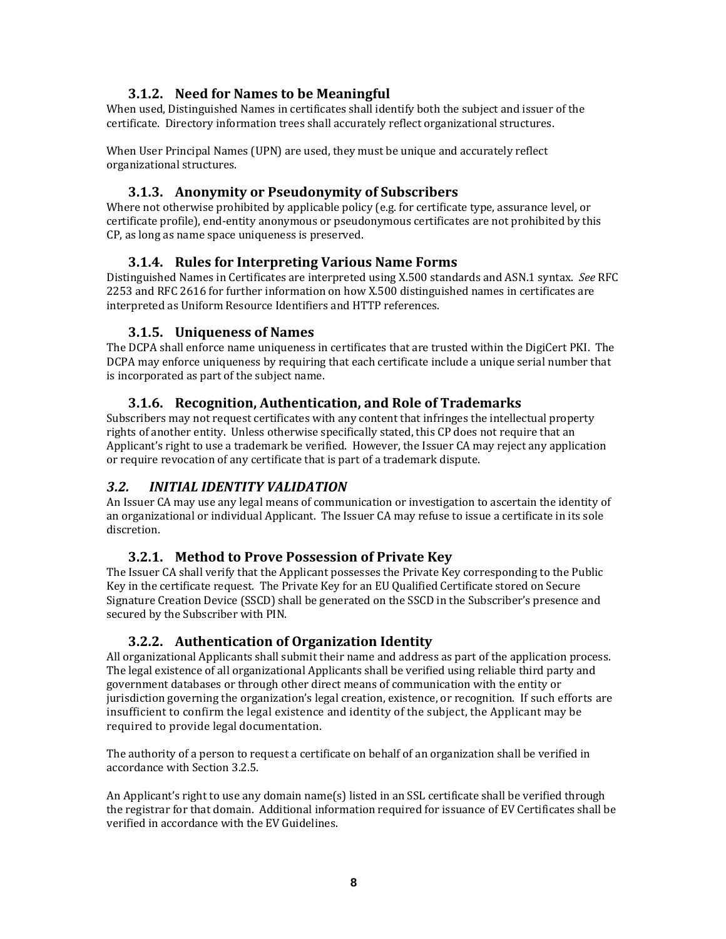#### **3.1.2. Need for Names to be Meaningful**

When used, Distinguished Names in certificates shall identify both the subject and issuer of the certificate. Directory information trees shall accurately reflect organizational structures.

When User Principal Names (UPN) are used, they must be unique and accurately reflect organizational structures.

#### **3.1.3. Anonymity or Pseudonymity of Subscribers**

Where not otherwise prohibited by applicable policy (e.g. for certificate type, assurance level, or certificate profile), end‐entity anonymous or pseudonymous certificates are not prohibited by this CP, as long as name space uniqueness is preserved.

#### **3.1.4. Rules for Interpreting Various Name Forms**

Distinguished Names in Certificates are interpreted using X.500 standards and ASN.1 syntax. *See* RFC 2253 and RFC 2616 for further information on how X.500 distinguished names in certificates are interpreted as Uniform Resource Identifiers and HTTP references.

#### **3.1.5. Uniqueness of Names**

The DCPA shall enforce name uniqueness in certificates that are trusted within the DigiCert PKI. The DCPA may enforce uniqueness by requiring that each certificate include a unique serial number that is incorporated as part of the subject name.

#### **3.1.6. Recognition, Authentication, and Role of Trademarks**

Subscribers may not request certificates with any content that infringes the intellectual property rights of another entity. Unless otherwise specifically stated, this CP does not require that an Applicant's right to use a trademark be verified. However, the Issuer CA may reject any application or require revocation of any certificate that is part of a trademark dispute.

#### *3.2. INITIAL IDENTITY VALIDATION*

An Issuer CA may use any legal means of communication or investigation to ascertain the identity of an organizational or individual Applicant. The Issuer CA may refuse to issue a certificate in its sole discretion.

#### **3.2.1. Method to Prove Possession of Private Key**

The Issuer CA shall verify that the Applicant possesses the Private Key corresponding to the Public Key in the certificate request. The Private Key for an EU Qualified Certificate stored on Secure Signature Creation Device (SSCD) shall be generated on the SSCD in the Subscriber's presence and secured by the Subscriber with PIN.

#### **3.2.2. Authentication of Organization Identity**

All organizational Applicants shall submit their name and address as part of the application process. The legal existence of all organizational Applicants shall be verified using reliable third party and government databases or through other direct means of communication with the entity or jurisdiction governing the organization's legal creation, existence, or recognition. If such efforts are insufficient to confirm the legal existence and identity of the subject, the Applicant may be required to provide legal documentation.

The authority of a person to request a certificate on behalf of an organization shall be verified in accordance with Section 3.2.5.

An Applicant's right to use any domain name(s) listed in an SSL certificate shall be verified through the registrar for that domain. Additional information required for issuance of EV Certificates shall be verified in accordance with the EV Guidelines.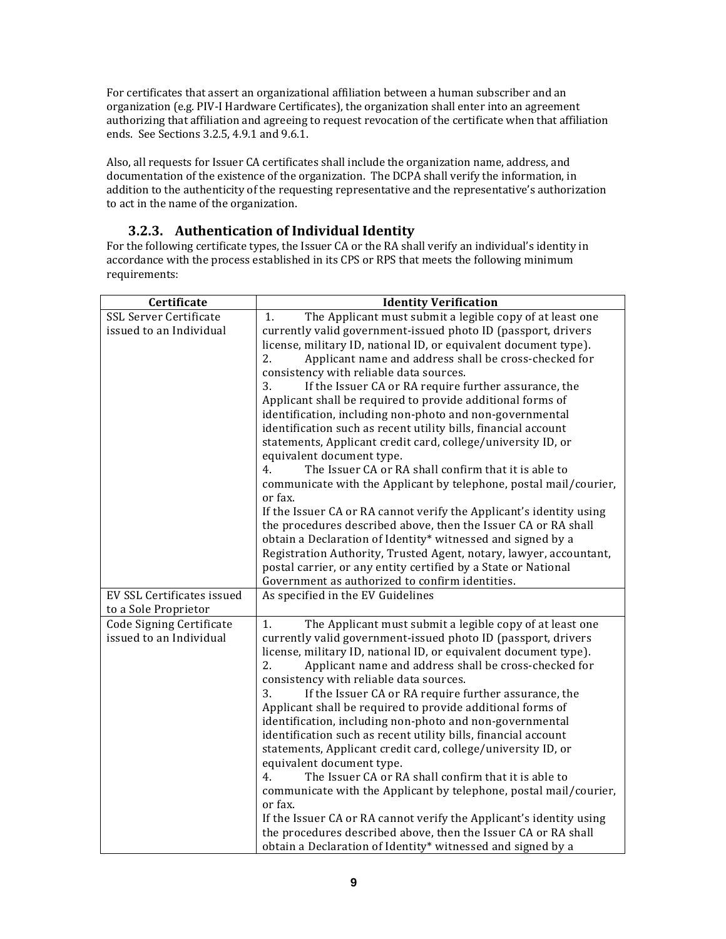For certificates that assert an organizational affiliation between a human subscriber and an organization (e.g. PIV‐I Hardware Certificates), the organization shall enter into an agreement authorizing that affiliation and agreeing to request revocation of the certificate when that affiliation ends. See Sections 3.2.5, 4.9.1 and 9.6.1.

Also, all requests for Issuer CA certificates shall include the organization name, address, and documentation of the existence of the organization. The DCPA shall verify the information, in addition to the authenticity of the requesting representative and the representative's authorization to act in the name of the organization.

## **3.2.3. Authentication of Individual Identity**

For the following certificate types, the Issuer CA or the RA shall verify an individual's identity in accordance with the process established in its CPS or RPS that meets the following minimum requirements:

| Certificate                | <b>Identity Verification</b>                                        |
|----------------------------|---------------------------------------------------------------------|
| SSL Server Certificate     | The Applicant must submit a legible copy of at least one<br>1.      |
| issued to an Individual    | currently valid government-issued photo ID (passport, drivers       |
|                            | license, military ID, national ID, or equivalent document type).    |
|                            | Applicant name and address shall be cross-checked for<br>2.         |
|                            | consistency with reliable data sources.                             |
|                            | If the Issuer CA or RA require further assurance, the<br>3.         |
|                            | Applicant shall be required to provide additional forms of          |
|                            | identification, including non-photo and non-governmental            |
|                            | identification such as recent utility bills, financial account      |
|                            | statements, Applicant credit card, college/university ID, or        |
|                            | equivalent document type.                                           |
|                            | The Issuer CA or RA shall confirm that it is able to<br>4.          |
|                            | communicate with the Applicant by telephone, postal mail/courier,   |
|                            | or fax.                                                             |
|                            | If the Issuer CA or RA cannot verify the Applicant's identity using |
|                            | the procedures described above, then the Issuer CA or RA shall      |
|                            | obtain a Declaration of Identity* witnessed and signed by a         |
|                            | Registration Authority, Trusted Agent, notary, lawyer, accountant,  |
|                            | postal carrier, or any entity certified by a State or National      |
|                            | Government as authorized to confirm identities.                     |
| EV SSL Certificates issued | As specified in the EV Guidelines                                   |
| to a Sole Proprietor       |                                                                     |
| Code Signing Certificate   | 1.<br>The Applicant must submit a legible copy of at least one      |
| issued to an Individual    | currently valid government-issued photo ID (passport, drivers       |
|                            | license, military ID, national ID, or equivalent document type).    |
|                            | 2.<br>Applicant name and address shall be cross-checked for         |
|                            | consistency with reliable data sources.                             |
|                            | If the Issuer CA or RA require further assurance, the<br>3.         |
|                            | Applicant shall be required to provide additional forms of          |
|                            | identification, including non-photo and non-governmental            |
|                            | identification such as recent utility bills, financial account      |
|                            | statements, Applicant credit card, college/university ID, or        |
|                            | equivalent document type.                                           |
|                            | The Issuer CA or RA shall confirm that it is able to<br>4.          |
|                            | communicate with the Applicant by telephone, postal mail/courier,   |
|                            | or fax.                                                             |
|                            | If the Issuer CA or RA cannot verify the Applicant's identity using |
|                            | the procedures described above, then the Issuer CA or RA shall      |
|                            | obtain a Declaration of Identity* witnessed and signed by a         |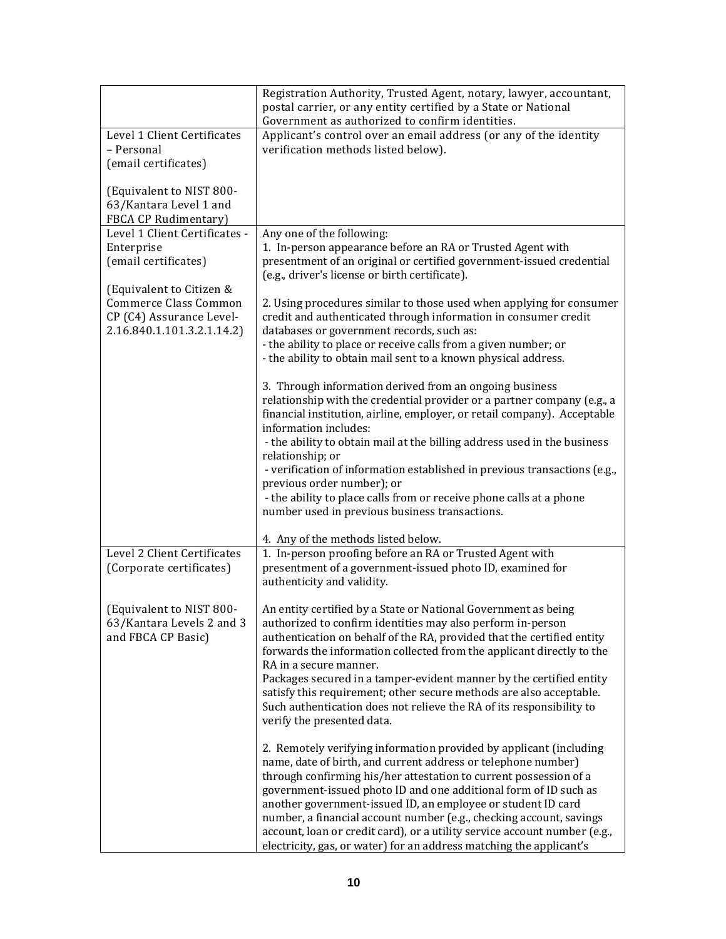|                                                                                                             | Registration Authority, Trusted Agent, notary, lawyer, accountant,<br>postal carrier, or any entity certified by a State or National<br>Government as authorized to confirm identities.                                                                                                                                                                                                                                                                                                                                                                                 |
|-------------------------------------------------------------------------------------------------------------|-------------------------------------------------------------------------------------------------------------------------------------------------------------------------------------------------------------------------------------------------------------------------------------------------------------------------------------------------------------------------------------------------------------------------------------------------------------------------------------------------------------------------------------------------------------------------|
| Level 1 Client Certificates<br>- Personal<br>(email certificates)                                           | Applicant's control over an email address (or any of the identity<br>verification methods listed below).                                                                                                                                                                                                                                                                                                                                                                                                                                                                |
| (Equivalent to NIST 800-<br>63/Kantara Level 1 and<br>FBCA CP Rudimentary)                                  |                                                                                                                                                                                                                                                                                                                                                                                                                                                                                                                                                                         |
| Level 1 Client Certificates -<br>Enterprise<br>(email certificates)                                         | Any one of the following:<br>1. In-person appearance before an RA or Trusted Agent with<br>presentment of an original or certified government-issued credential<br>(e.g., driver's license or birth certificate).                                                                                                                                                                                                                                                                                                                                                       |
| (Equivalent to Citizen &<br>Commerce Class Common<br>CP (C4) Assurance Level-<br>2.16.840.1.101.3.2.1.14.2) | 2. Using procedures similar to those used when applying for consumer<br>credit and authenticated through information in consumer credit<br>databases or government records, such as:<br>- the ability to place or receive calls from a given number; or<br>- the ability to obtain mail sent to a known physical address.                                                                                                                                                                                                                                               |
|                                                                                                             | 3. Through information derived from an ongoing business<br>relationship with the credential provider or a partner company (e.g., a<br>financial institution, airline, employer, or retail company). Acceptable<br>information includes:<br>- the ability to obtain mail at the billing address used in the business<br>relationship; or<br>- verification of information established in previous transactions (e.g.,<br>previous order number); or                                                                                                                      |
|                                                                                                             | - the ability to place calls from or receive phone calls at a phone<br>number used in previous business transactions.                                                                                                                                                                                                                                                                                                                                                                                                                                                   |
| Level 2 Client Certificates<br>(Corporate certificates)                                                     | 4. Any of the methods listed below.<br>1. In-person proofing before an RA or Trusted Agent with<br>presentment of a government-issued photo ID, examined for<br>authenticity and validity.                                                                                                                                                                                                                                                                                                                                                                              |
| (Equivalent to NIST 800-<br>63/Kantara Levels 2 and 3<br>and FBCA CP Basic)                                 | An entity certified by a State or National Government as being<br>authorized to confirm identities may also perform in-person<br>authentication on behalf of the RA, provided that the certified entity<br>forwards the information collected from the applicant directly to the<br>RA in a secure manner.<br>Packages secured in a tamper-evident manner by the certified entity<br>satisfy this requirement; other secure methods are also acceptable.<br>Such authentication does not relieve the RA of its responsibility to<br>verify the presented data.          |
|                                                                                                             | 2. Remotely verifying information provided by applicant (including<br>name, date of birth, and current address or telephone number)<br>through confirming his/her attestation to current possession of a<br>government-issued photo ID and one additional form of ID such as<br>another government-issued ID, an employee or student ID card<br>number, a financial account number (e.g., checking account, savings<br>account, loan or credit card), or a utility service account number (e.g.,<br>electricity, gas, or water) for an address matching the applicant's |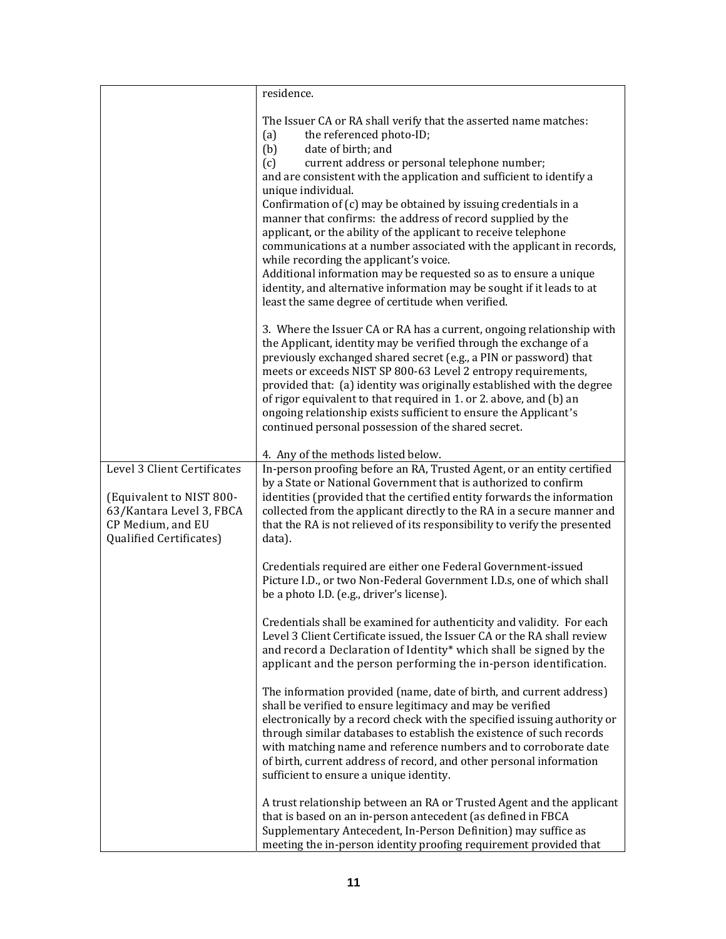|                                                                                                      | residence.                                                                                                                                                                                                                                                                                                                                                                                                                                                                                                                                                                                                                                                                                                                                                                                                      |
|------------------------------------------------------------------------------------------------------|-----------------------------------------------------------------------------------------------------------------------------------------------------------------------------------------------------------------------------------------------------------------------------------------------------------------------------------------------------------------------------------------------------------------------------------------------------------------------------------------------------------------------------------------------------------------------------------------------------------------------------------------------------------------------------------------------------------------------------------------------------------------------------------------------------------------|
|                                                                                                      | The Issuer CA or RA shall verify that the asserted name matches:<br>(a)<br>the referenced photo-ID;<br>(b)<br>date of birth; and<br>current address or personal telephone number;<br>(c)<br>and are consistent with the application and sufficient to identify a<br>unique individual.<br>Confirmation of (c) may be obtained by issuing credentials in a<br>manner that confirms: the address of record supplied by the<br>applicant, or the ability of the applicant to receive telephone<br>communications at a number associated with the applicant in records,<br>while recording the applicant's voice.<br>Additional information may be requested so as to ensure a unique<br>identity, and alternative information may be sought if it leads to at<br>least the same degree of certitude when verified. |
|                                                                                                      | 3. Where the Issuer CA or RA has a current, ongoing relationship with<br>the Applicant, identity may be verified through the exchange of a<br>previously exchanged shared secret (e.g., a PIN or password) that<br>meets or exceeds NIST SP 800-63 Level 2 entropy requirements,<br>provided that: (a) identity was originally established with the degree<br>of rigor equivalent to that required in 1. or 2. above, and (b) an<br>ongoing relationship exists sufficient to ensure the Applicant's<br>continued personal possession of the shared secret.<br>4. Any of the methods listed below.                                                                                                                                                                                                              |
| Level 3 Client Certificates                                                                          | In-person proofing before an RA, Trusted Agent, or an entity certified                                                                                                                                                                                                                                                                                                                                                                                                                                                                                                                                                                                                                                                                                                                                          |
| (Equivalent to NIST 800-<br>63/Kantara Level 3, FBCA<br>CP Medium, and EU<br>Qualified Certificates) | by a State or National Government that is authorized to confirm<br>identities (provided that the certified entity forwards the information<br>collected from the applicant directly to the RA in a secure manner and<br>that the RA is not relieved of its responsibility to verify the presented<br>data).                                                                                                                                                                                                                                                                                                                                                                                                                                                                                                     |
|                                                                                                      | Credentials required are either one Federal Government-issued<br>Picture I.D., or two Non-Federal Government I.D.s, one of which shall<br>be a photo I.D. (e.g., driver's license).                                                                                                                                                                                                                                                                                                                                                                                                                                                                                                                                                                                                                             |
|                                                                                                      | Credentials shall be examined for authenticity and validity. For each<br>Level 3 Client Certificate issued, the Issuer CA or the RA shall review<br>and record a Declaration of Identity* which shall be signed by the<br>applicant and the person performing the in-person identification.                                                                                                                                                                                                                                                                                                                                                                                                                                                                                                                     |
|                                                                                                      | The information provided (name, date of birth, and current address)<br>shall be verified to ensure legitimacy and may be verified<br>electronically by a record check with the specified issuing authority or<br>through similar databases to establish the existence of such records<br>with matching name and reference numbers and to corroborate date<br>of birth, current address of record, and other personal information<br>sufficient to ensure a unique identity.                                                                                                                                                                                                                                                                                                                                     |
|                                                                                                      | A trust relationship between an RA or Trusted Agent and the applicant<br>that is based on an in-person antecedent (as defined in FBCA<br>Supplementary Antecedent, In-Person Definition) may suffice as<br>meeting the in-person identity proofing requirement provided that                                                                                                                                                                                                                                                                                                                                                                                                                                                                                                                                    |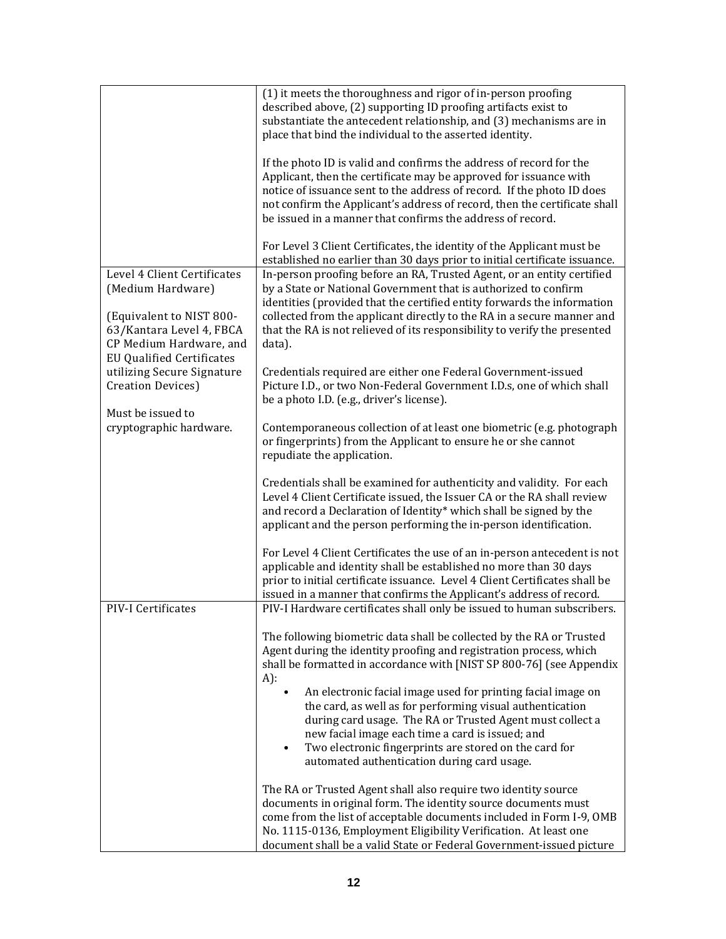|                                                                                                                                                                                                                                                                            | (1) it meets the thoroughness and rigor of in-person proofing<br>described above, (2) supporting ID proofing artifacts exist to<br>substantiate the antecedent relationship, and (3) mechanisms are in<br>place that bind the individual to the asserted identity.                                                                                                                    |
|----------------------------------------------------------------------------------------------------------------------------------------------------------------------------------------------------------------------------------------------------------------------------|---------------------------------------------------------------------------------------------------------------------------------------------------------------------------------------------------------------------------------------------------------------------------------------------------------------------------------------------------------------------------------------|
|                                                                                                                                                                                                                                                                            | If the photo ID is valid and confirms the address of record for the<br>Applicant, then the certificate may be approved for issuance with<br>notice of issuance sent to the address of record. If the photo ID does<br>not confirm the Applicant's address of record, then the certificate shall<br>be issued in a manner that confirms the address of record.                         |
|                                                                                                                                                                                                                                                                            | For Level 3 Client Certificates, the identity of the Applicant must be<br>established no earlier than 30 days prior to initial certificate issuance.                                                                                                                                                                                                                                  |
| Level 4 Client Certificates<br>(Medium Hardware)<br>(Equivalent to NIST 800-<br>63/Kantara Level 4, FBCA<br>CP Medium Hardware, and<br><b>EU Qualified Certificates</b><br>utilizing Secure Signature<br>Creation Devices)<br>Must be issued to<br>cryptographic hardware. | In-person proofing before an RA, Trusted Agent, or an entity certified<br>by a State or National Government that is authorized to confirm<br>identities (provided that the certified entity forwards the information<br>collected from the applicant directly to the RA in a secure manner and<br>that the RA is not relieved of its responsibility to verify the presented<br>data). |
|                                                                                                                                                                                                                                                                            | Credentials required are either one Federal Government-issued<br>Picture I.D., or two Non-Federal Government I.D.s, one of which shall<br>be a photo I.D. (e.g., driver's license).                                                                                                                                                                                                   |
|                                                                                                                                                                                                                                                                            | Contemporaneous collection of at least one biometric (e.g. photograph<br>or fingerprints) from the Applicant to ensure he or she cannot<br>repudiate the application.                                                                                                                                                                                                                 |
|                                                                                                                                                                                                                                                                            | Credentials shall be examined for authenticity and validity. For each<br>Level 4 Client Certificate issued, the Issuer CA or the RA shall review<br>and record a Declaration of Identity* which shall be signed by the<br>applicant and the person performing the in-person identification.                                                                                           |
|                                                                                                                                                                                                                                                                            | For Level 4 Client Certificates the use of an in-person antecedent is not<br>applicable and identity shall be established no more than 30 days<br>prior to initial certificate issuance. Level 4 Client Certificates shall be<br>issued in a manner that confirms the Applicant's address of record.                                                                                  |
| PIV-I Certificates                                                                                                                                                                                                                                                         | PIV-I Hardware certificates shall only be issued to human subscribers.                                                                                                                                                                                                                                                                                                                |
|                                                                                                                                                                                                                                                                            | The following biometric data shall be collected by the RA or Trusted<br>Agent during the identity proofing and registration process, which<br>shall be formatted in accordance with [NIST SP 800-76] (see Appendix<br>A):                                                                                                                                                             |
|                                                                                                                                                                                                                                                                            | An electronic facial image used for printing facial image on<br>$\bullet$<br>the card, as well as for performing visual authentication<br>during card usage. The RA or Trusted Agent must collect a<br>new facial image each time a card is issued; and<br>Two electronic fingerprints are stored on the card for<br>$\bullet$<br>automated authentication during card usage.         |
|                                                                                                                                                                                                                                                                            | The RA or Trusted Agent shall also require two identity source<br>documents in original form. The identity source documents must<br>come from the list of acceptable documents included in Form I-9, OMB<br>No. 1115-0136, Employment Eligibility Verification. At least one<br>document shall be a valid State or Federal Government-issued picture                                  |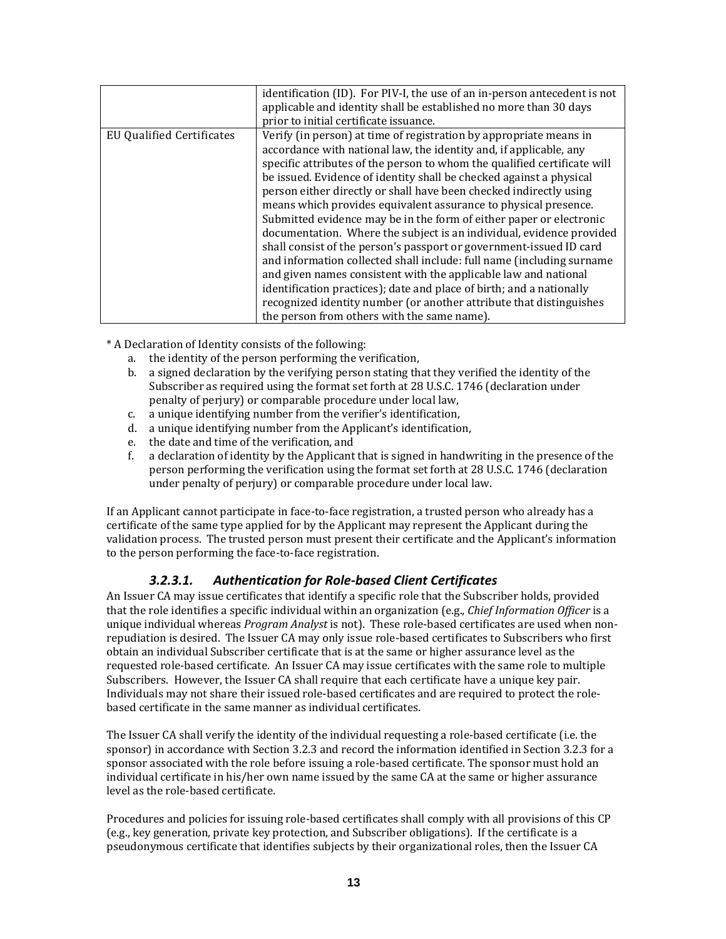|                           | identification (ID). For PIV-I, the use of an in-person antecedent is not<br>applicable and identity shall be established no more than 30 days<br>prior to initial certificate issuance.                                                                                                                                                                                                                                                                                                                                                                                                                                                                                                                                                                                                                                                                                                                                                                                                             |
|---------------------------|------------------------------------------------------------------------------------------------------------------------------------------------------------------------------------------------------------------------------------------------------------------------------------------------------------------------------------------------------------------------------------------------------------------------------------------------------------------------------------------------------------------------------------------------------------------------------------------------------------------------------------------------------------------------------------------------------------------------------------------------------------------------------------------------------------------------------------------------------------------------------------------------------------------------------------------------------------------------------------------------------|
| EU Qualified Certificates | Verify (in person) at time of registration by appropriate means in<br>accordance with national law, the identity and, if applicable, any<br>specific attributes of the person to whom the qualified certificate will<br>be issued. Evidence of identity shall be checked against a physical<br>person either directly or shall have been checked indirectly using<br>means which provides equivalent assurance to physical presence.<br>Submitted evidence may be in the form of either paper or electronic<br>documentation. Where the subject is an individual, evidence provided<br>shall consist of the person's passport or government-issued ID card<br>and information collected shall include: full name (including surname<br>and given names consistent with the applicable law and national<br>identification practices); date and place of birth; and a nationally<br>recognized identity number (or another attribute that distinguishes<br>the person from others with the same name). |

\* A Declaration of Identity consists of the following:

- a. the identity of the person performing the verification,
- b. a signed declaration by the verifying person stating that they verified the identity of the Subscriber as required using the format set forth at 28 U.S.C. 1746 (declaration under penalty of perjury) or comparable procedure under local law,
- c. a unique identifying number from the verifier's identification,
- d. a unique identifying number from the Applicant's identification,
- e. the date and time of the verification, and
- f. a declaration of identity by the Applicant that is signed in handwriting in the presence of the person performing the verification using the format set forth at 28 U.S.C. 1746 (declaration under penalty of perjury) or comparable procedure under local law.

If an Applicant cannot participate in face‐to‐face registration, a trusted person who already has a certificate of the same type applied for by the Applicant may represent the Applicant during the validation process. The trusted person must present their certificate and the Applicant's information to the person performing the face‐to‐face registration.

#### *3.2.3.1. Authentication for Role‐based Client Certificates*

An Issuer CA may issue certificates that identify a specific role that the Subscriber holds, provided that the role identifies a specific individual within an organization (e.g., *Chief Information Officer* is a unique individual whereas *Program Analyst* is not). These role‐based certificates are used when non‐ repudiation is desired. The Issuer CA may only issue role‐based certificates to Subscribers who first obtain an individual Subscriber certificate that is at the same or higher assurance level as the requested role‐based certificate. An Issuer CA may issue certificates with the same role to multiple Subscribers. However, the Issuer CA shall require that each certificate have a unique key pair. Individuals may not share their issued role‐based certificates and are required to protect the role‐ based certificate in the same manner as individual certificates.

The Issuer CA shall verify the identity of the individual requesting a role‐based certificate (i.e. the sponsor) in accordance with Section 3.2.3 and record the information identified in Section 3.2.3 for a sponsor associated with the role before issuing a role-based certificate. The sponsor must hold an individual certificate in his/her own name issued by the same CA at the same or higher assurance level as the role‐based certificate.

Procedures and policies for issuing role‐based certificates shall comply with all provisions of this CP (e.g., key generation, private key protection, and Subscriber obligations). If the certificate is a pseudonymous certificate that identifies subjects by their organizational roles, then the Issuer CA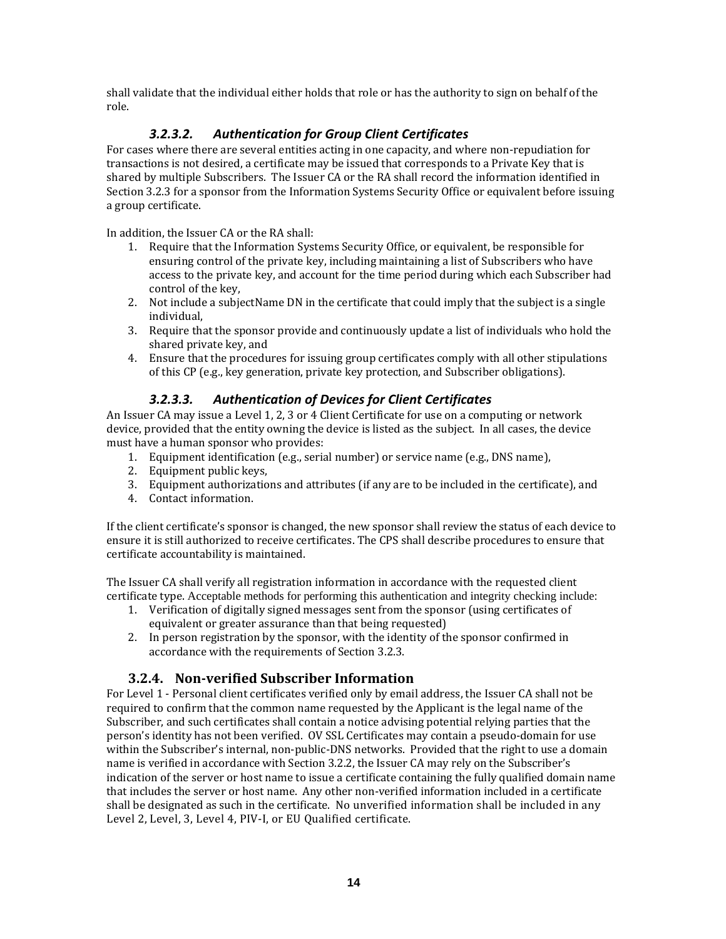shall validate that the individual either holds that role or has the authority to sign on behalf of the role.

## *3.2.3.2. Authentication for Group Client Certificates*

For cases where there are several entities acting in one capacity, and where non-repudiation for transactions is not desired, a certificate may be issued that corresponds to a Private Key that is shared by multiple Subscribers. The Issuer CA or the RA shall record the information identified in Section 3.2.3 for a sponsor from the Information Systems Security Office or equivalent before issuing a group certificate.

In addition, the Issuer CA or the RA shall:

- 1. Require that the Information Systems Security Office, or equivalent, be responsible for ensuring control of the private key, including maintaining a list of Subscribers who have access to the private key, and account for the time period during which each Subscriber had control of the key,
- 2. Not include a subjectName DN in the certificate that could imply that the subject is a single individual,
- 3. Require that the sponsor provide and continuously update a list of individuals who hold the shared private key, and
- 4. Ensure that the procedures for issuing group certificates comply with all other stipulations of this CP (e.g., key generation, private key protection, and Subscriber obligations).

## *3.2.3.3. Authentication of Devices for Client Certificates*

An Issuer CA may issue a Level 1, 2, 3 or 4 Client Certificate for use on a computing or network device, provided that the entity owning the device is listed as the subject. In all cases, the device must have a human sponsor who provides:

- 1. Equipment identification (e.g., serial number) or service name (e.g., DNS name),
- 2. Equipment public keys,
- 3. Equipment authorizations and attributes (if any are to be included in the certificate), and
- 4. Contact information.

If the client certificate's sponsor is changed, the new sponsor shall review the status of each device to ensure it is still authorized to receive certificates. The CPS shall describe procedures to ensure that certificate accountability is maintained.

The Issuer CA shall verify all registration information in accordance with the requested client certificate type. Acceptable methods for performing this authentication and integrity checking include:

- 1. Verification of digitally signed messages sent from the sponsor (using certificates of equivalent or greater assurance than that being requested)
- 2. In person registration by the sponsor, with the identity of the sponsor confirmed in accordance with the requirements of Section 3.2.3.

#### **3.2.4. Nonverified Subscriber Information**

For Level 1 ‐ Personal client certificates verified only by email address, the Issuer CA shall not be required to confirm that the common name requested by the Applicant is the legal name of the Subscriber, and such certificates shall contain a notice advising potential relying parties that the person's identity has not been verified. OV SSL Certificates may contain a pseudo‐domain for use within the Subscriber's internal, non-public-DNS networks. Provided that the right to use a domain name is verified in accordance with Section 3.2.2, the Issuer CA may rely on the Subscriber's indication of the server or host name to issue a certificate containing the fully qualified domain name that includes the server or host name. Any other non-verified information included in a certificate shall be designated as such in the certificate. No unverified information shall be included in any Level 2, Level, 3, Level 4, PIV‐I, or EU Qualified certificate.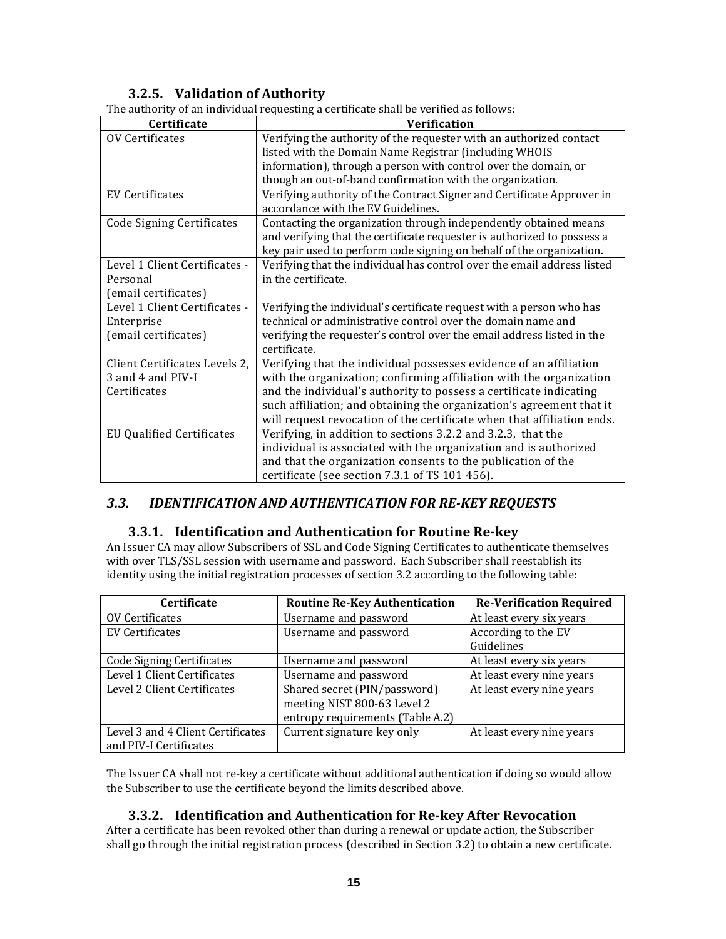# **3.2.5. Validation of Authority**

|                                  | The authority of an individual requesting a certificate shall be verified as follows:  |
|----------------------------------|----------------------------------------------------------------------------------------|
| Certificate                      | <b>Verification</b>                                                                    |
| OV Certificates                  | Verifying the authority of the requester with an authorized contact                    |
|                                  | listed with the Domain Name Registrar (including WHOIS                                 |
|                                  | information), through a person with control over the domain, or                        |
|                                  | though an out-of-band confirmation with the organization.                              |
| <b>EV Certificates</b>           | Verifying authority of the Contract Signer and Certificate Approver in                 |
|                                  | accordance with the EV Guidelines.                                                     |
| <b>Code Signing Certificates</b> | Contacting the organization through independently obtained means                       |
|                                  | and verifying that the certificate requester is authorized to possess a                |
|                                  | key pair used to perform code signing on behalf of the organization.                   |
| Level 1 Client Certificates -    | Verifying that the individual has control over the email address listed                |
| Personal                         | in the certificate.                                                                    |
| (email certificates)             |                                                                                        |
| Level 1 Client Certificates -    | Verifying the individual's certificate request with a person who has                   |
| Enterprise                       | technical or administrative control over the domain name and                           |
| (email certificates)             | verifying the requester's control over the email address listed in the<br>certificate. |
| Client Certificates Levels 2,    | Verifying that the individual possesses evidence of an affiliation                     |
| 3 and 4 and PIV-I                | with the organization; confirming affiliation with the organization                    |
| Certificates                     | and the individual's authority to possess a certificate indicating                     |
|                                  | such affiliation; and obtaining the organization's agreement that it                   |
|                                  | will request revocation of the certificate when that affiliation ends.                 |
| <b>EU Qualified Certificates</b> | Verifying, in addition to sections 3.2.2 and 3.2.3, that the                           |
|                                  | individual is associated with the organization and is authorized                       |
|                                  | and that the organization consents to the publication of the                           |
|                                  | certificate (see section 7.3.1 of TS 101 456).                                         |

The authority of an individual requesting a certificate shall be verified as follows:

## *3.3. IDENTIFICATION AND AUTHENTICATION FOR REKEY REQUESTS*

#### **3.3.1. Identification and Authentication for Routine Rekey**

An Issuer CA may allow Subscribers of SSL and Code Signing Certificates to authenticate themselves with over TLS/SSL session with username and password. Each Subscriber shall reestablish its identity using the initial registration processes of section 3.2 according to the following table:

| <b>Certificate</b>                                          | <b>Routine Re-Key Authentication</b>                                                            | <b>Re-Verification Required</b>   |
|-------------------------------------------------------------|-------------------------------------------------------------------------------------------------|-----------------------------------|
| OV Certificates                                             | Username and password                                                                           | At least every six years          |
| EV Certificates                                             | Username and password                                                                           | According to the EV<br>Guidelines |
| <b>Code Signing Certificates</b>                            | Username and password                                                                           | At least every six years          |
| Level 1 Client Certificates                                 | Username and password                                                                           | At least every nine years         |
| Level 2 Client Certificates                                 | Shared secret (PIN/password)<br>meeting NIST 800-63 Level 2<br>entropy requirements (Table A.2) | At least every nine years         |
| Level 3 and 4 Client Certificates<br>and PIV-I Certificates | Current signature key only                                                                      | At least every nine years         |

The Issuer CA shall not re-key a certificate without additional authentication if doing so would allow the Subscriber to use the certificate beyond the limits described above.

## **3.3.2. Identification and Authentication for Rekey After Revocation**

After a certificate has been revoked other than during a renewal or update action, the Subscriber shall go through the initial registration process (described in Section 3.2) to obtain a new certificate.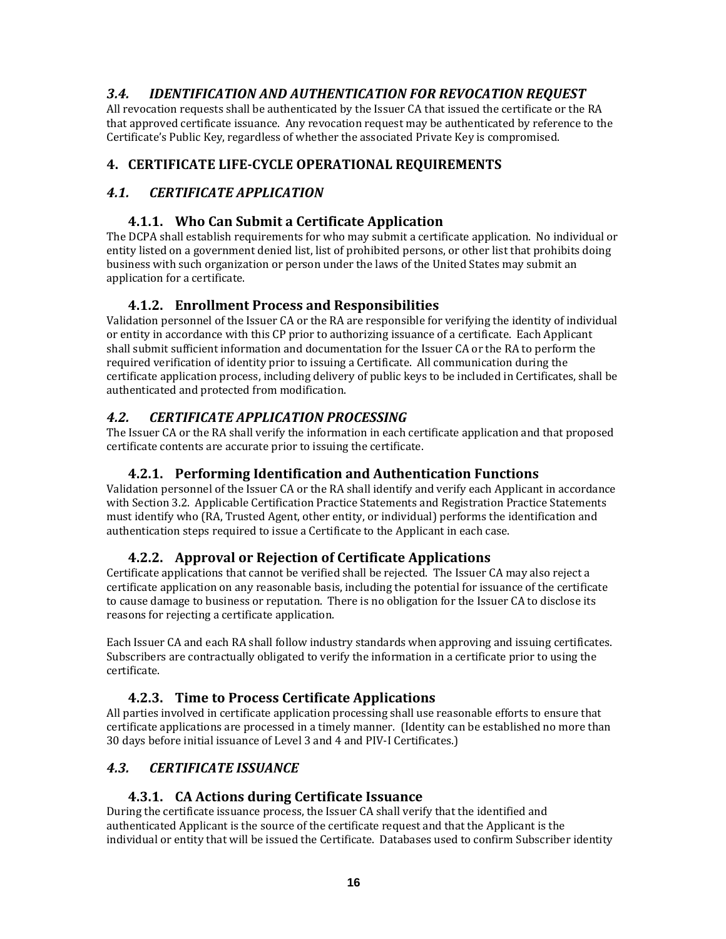## *3.4. IDENTIFICATION AND AUTHENTICATION FOR REVOCATION REQUEST*

All revocation requests shall be authenticated by the Issuer CA that issued the certificate or the RA that approved certificate issuance. Any revocation request may be authenticated by reference to the Certificate's Public Key, regardless of whether the associated Private Key is compromised.

## **4. CERTIFICATE LIFECYCLE OPERATIONAL REQUIREMENTS**

## *4.1. CERTIFICATE APPLICATION*

## **4.1.1. Who Can Submit a Certificate Application**

The DCPA shall establish requirements for who may submit a certificate application. No individual or entity listed on a government denied list, list of prohibited persons, or other list that prohibits doing business with such organization or person under the laws of the United States may submit an application for a certificate.

## **4.1.2. Enrollment Process and Responsibilities**

Validation personnel of the Issuer CA or the RA are responsible for verifying the identity of individual or entity in accordance with this CP prior to authorizing issuance of a certificate. Each Applicant shall submit sufficient information and documentation for the Issuer CA or the RA to perform the required verification of identity prior to issuing a Certificate. All communication during the certificate application process, including delivery of public keys to be included in Certificates, shall be authenticated and protected from modification.

## *4.2. CERTIFICATE APPLICATION PROCESSING*

The Issuer CA or the RA shall verify the information in each certificate application and that proposed certificate contents are accurate prior to issuing the certificate.

## **4.2.1. Performing Identification and Authentication Functions**

Validation personnel of the Issuer CA or the RA shall identify and verify each Applicant in accordance with Section 3.2. Applicable Certification Practice Statements and Registration Practice Statements must identify who (RA, Trusted Agent, other entity, or individual) performs the identification and authentication steps required to issue a Certificate to the Applicant in each case.

## **4.2.2. Approval or Rejection of Certificate Applications**

Certificate applications that cannot be verified shall be rejected. The Issuer CA may also reject a certificate application on any reasonable basis, including the potential for issuance of the certificate to cause damage to business or reputation. There is no obligation for the Issuer CA to disclose its reasons for rejecting a certificate application.

Each Issuer CA and each RA shall follow industry standards when approving and issuing certificates. Subscribers are contractually obligated to verify the information in a certificate prior to using the certificate.

## **4.2.3. Time to Process Certificate Applications**

All parties involved in certificate application processing shall use reasonable efforts to ensure that certificate applications are processed in a timely manner. (Identity can be established no more than 30 days before initial issuance of Level 3 and 4 and PIV‐I Certificates.)

## *4.3. CERTIFICATE ISSUANCE*

## **4.3.1. CA Actions during Certificate Issuance**

During the certificate issuance process, the Issuer CA shall verify that the identified and authenticated Applicant is the source of the certificate request and that the Applicant is the individual or entity that will be issued the Certificate. Databases used to confirm Subscriber identity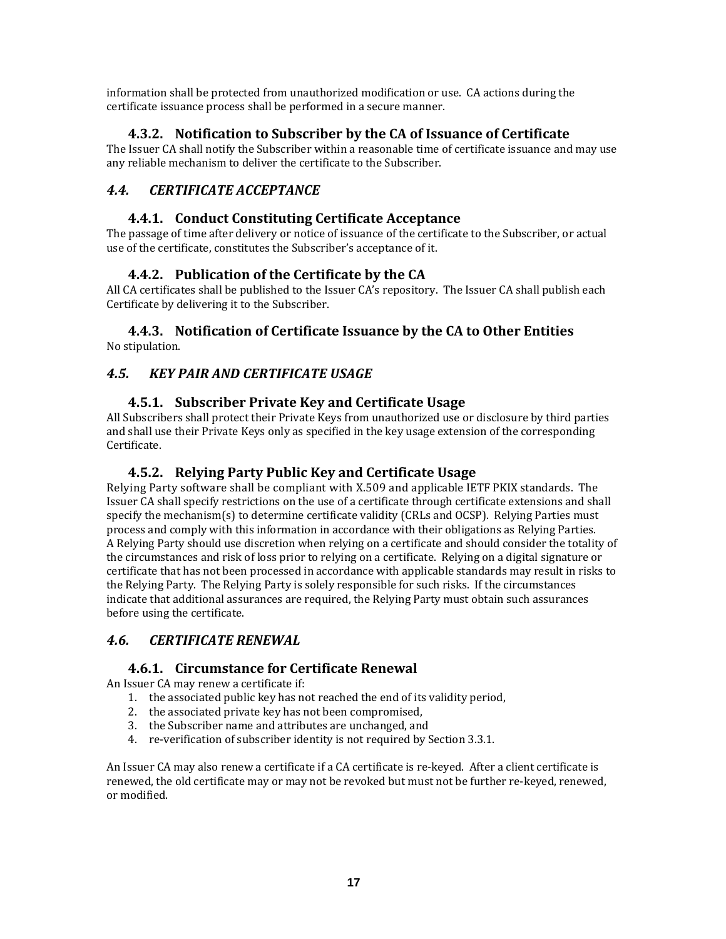information shall be protected from unauthorized modification or use. CA actions during the certificate issuance process shall be performed in a secure manner.

## **4.3.2. Notification to Subscriber by the CA of Issuance of Certificate**

The Issuer CA shall notify the Subscriber within a reasonable time of certificate issuance and may use any reliable mechanism to deliver the certificate to the Subscriber.

## *4.4. CERTIFICATE ACCEPTANCE*

## **4.4.1. Conduct Constituting Certificate Acceptance**

The passage of time after delivery or notice of issuance of the certificate to the Subscriber, or actual use of the certificate, constitutes the Subscriber's acceptance of it.

## **4.4.2. Publication of the Certificate by the CA**

All CA certificates shall be published to the Issuer CA's repository. The Issuer CA shall publish each Certificate by delivering it to the Subscriber.

#### **4.4.3. Notification of Certificate Issuance by the CA to Other Entities** No stipulation.

## *4.5. KEY PAIR AND CERTIFICATE USAGE*

## **4.5.1. Subscriber Private Key and Certificate Usage**

All Subscribers shall protect their Private Keys from unauthorized use or disclosure by third parties and shall use their Private Keys only as specified in the key usage extension of the corresponding Certificate.

#### **4.5.2. Relying Party Public Key and Certificate Usage**

Relying Party software shall be compliant with X.509 and applicable IETF PKIX standards. The Issuer CA shall specify restrictions on the use of a certificate through certificate extensions and shall specify the mechanism(s) to determine certificate validity (CRLs and OCSP). Relying Parties must process and comply with this information in accordance with their obligations as Relying Parties. A Relying Party should use discretion when relying on a certificate and should consider the totality of the circumstances and risk of loss prior to relying on a certificate. Relying on a digital signature or certificate that has not been processed in accordance with applicable standards may result in risks to the Relying Party. The Relying Party is solely responsible for such risks. If the circumstances indicate that additional assurances are required, the Relying Party must obtain such assurances before using the certificate.

## *4.6. CERTIFICATE RENEWAL*

#### **4.6.1. Circumstance for Certificate Renewal**

An Issuer CA may renew a certificate if:

- 1. the associated public key has not reached the end of its validity period,
- 2. the associated private key has not been compromised,
- 3. the Subscriber name and attributes are unchanged, and
- 4. re-verification of subscriber identity is not required by Section 3.3.1.

An Issuer CA may also renew a certificate if a CA certificate is re‐keyed. After a client certificate is renewed, the old certificate may or may not be revoked but must not be further re‐keyed, renewed, or modified.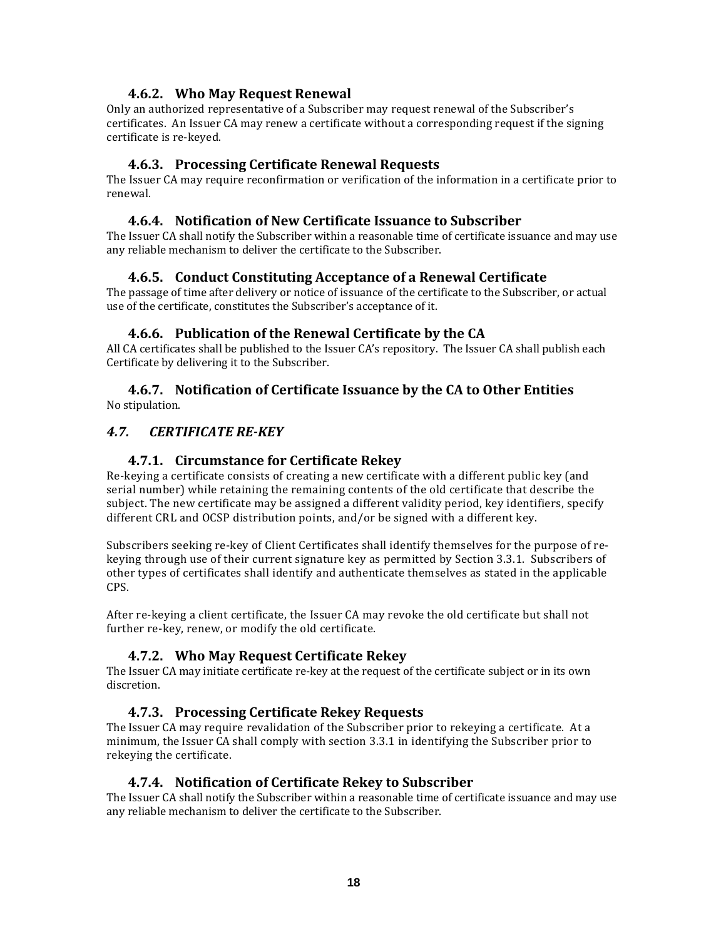#### **4.6.2. Who May Request Renewal**

Only an authorized representative of a Subscriber may request renewal of the Subscriber's certificates. An Issuer CA may renew a certificate without a corresponding request if the signing certificate is re‐keyed.

#### **4.6.3. Processing Certificate Renewal Requests**

The Issuer CA may require reconfirmation or verification of the information in a certificate prior to renewal.

#### **4.6.4. Notification of New Certificate Issuance to Subscriber**

The Issuer CA shall notify the Subscriber within a reasonable time of certificate issuance and may use any reliable mechanism to deliver the certificate to the Subscriber.

#### **4.6.5. Conduct Constituting Acceptance of a Renewal Certificate**

The passage of time after delivery or notice of issuance of the certificate to the Subscriber, or actual use of the certificate, constitutes the Subscriber's acceptance of it.

#### **4.6.6. Publication of the Renewal Certificate by the CA**

All CA certificates shall be published to the Issuer CA's repository. The Issuer CA shall publish each Certificate by delivering it to the Subscriber.

#### **4.6.7. Notification of Certificate Issuance by the CA to Other Entities** No stipulation.

#### *4.7. CERTIFICATE REKEY*

#### **4.7.1. Circumstance for Certificate Rekey**

Re-keying a certificate consists of creating a new certificate with a different public key (and serial number) while retaining the remaining contents of the old certificate that describe the subject. The new certificate may be assigned a different validity period, key identifiers, specify different CRL and OCSP distribution points, and/or be signed with a different key.

Subscribers seeking re‐key of Client Certificates shall identify themselves for the purpose of re‐ keying through use of their current signature key as permitted by Section 3.3.1. Subscribers of other types of certificates shall identify and authenticate themselves as stated in the applicable CPS.

After re‐keying a client certificate, the Issuer CA may revoke the old certificate but shall not further re-key, renew, or modify the old certificate.

#### **4.7.2. Who May Request Certificate Rekey**

The Issuer CA may initiate certificate re‐key at the request of the certificate subject or in its own discretion.

#### **4.7.3. Processing Certificate Rekey Requests**

The Issuer CA may require revalidation of the Subscriber prior to rekeying a certificate. At a minimum, the Issuer CA shall comply with section 3.3.1 in identifying the Subscriber prior to rekeying the certificate.

#### **4.7.4. Notification of Certificate Rekey to Subscriber**

The Issuer CA shall notify the Subscriber within a reasonable time of certificate issuance and may use any reliable mechanism to deliver the certificate to the Subscriber.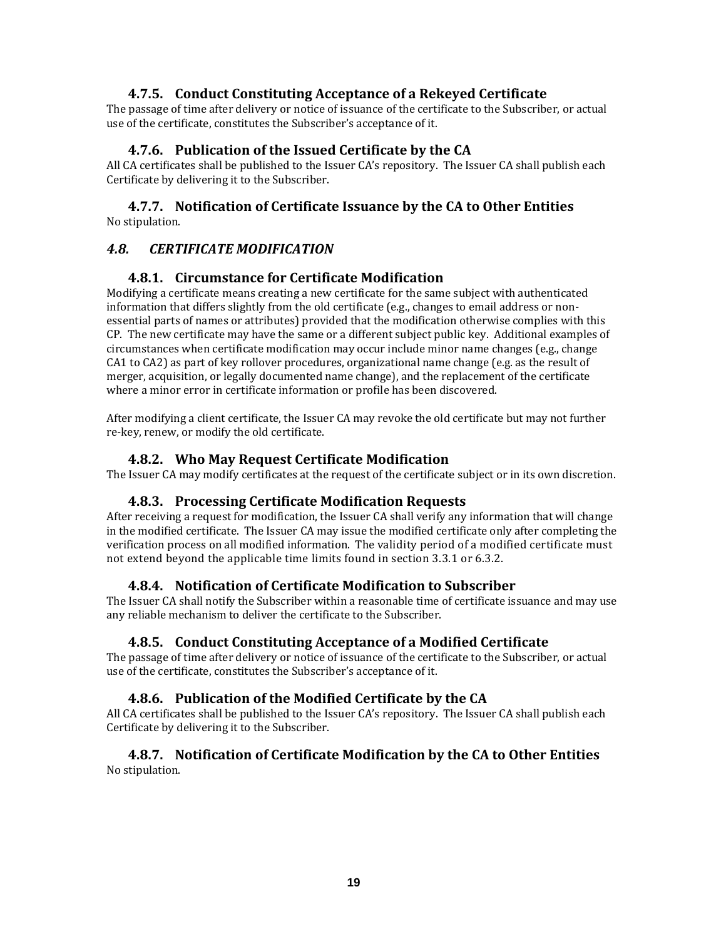#### **4.7.5. Conduct Constituting Acceptance of a Rekeyed Certificate**

The passage of time after delivery or notice of issuance of the certificate to the Subscriber, or actual use of the certificate, constitutes the Subscriber's acceptance of it.

#### **4.7.6. Publication of the Issued Certificate by the CA**

All CA certificates shall be published to the Issuer CA's repository. The Issuer CA shall publish each Certificate by delivering it to the Subscriber.

#### **4.7.7. Notification of Certificate Issuance by the CA to Other Entities** No stipulation.

#### *4.8. CERTIFICATE MODIFICATION*

#### **4.8.1. Circumstance for Certificate Modification**

Modifying a certificate means creating a new certificate for the same subject with authenticated information that differs slightly from the old certificate (e.g., changes to email address or nonessential parts of names or attributes) provided that the modification otherwise complies with this CP. The new certificate may have the same or a different subject public key. Additional examples of circumstances when certificate modification may occur include minor name changes (e.g., change CA1 to CA2) as part of key rollover procedures, organizational name change (e.g. as the result of merger, acquisition, or legally documented name change), and the replacement of the certificate where a minor error in certificate information or profile has been discovered.

After modifying a client certificate, the Issuer CA may revoke the old certificate but may not further re‐key, renew, or modify the old certificate.

#### **4.8.2. Who May Request Certificate Modification**

The Issuer CA may modify certificates at the request of the certificate subject or in its own discretion.

#### **4.8.3. Processing Certificate Modification Requests**

After receiving a request for modification, the Issuer CA shall verify any information that will change in the modified certificate. The Issuer CA may issue the modified certificate only after completing the verification process on all modified information. The validity period of a modified certificate must not extend beyond the applicable time limits found in section 3.3.1 or 6.3.2.

#### **4.8.4. Notification of Certificate Modification to Subscriber**

The Issuer CA shall notify the Subscriber within a reasonable time of certificate issuance and may use any reliable mechanism to deliver the certificate to the Subscriber.

#### **4.8.5. Conduct Constituting Acceptance of a Modified Certificate**

The passage of time after delivery or notice of issuance of the certificate to the Subscriber, or actual use of the certificate, constitutes the Subscriber's acceptance of it.

#### **4.8.6. Publication of the Modified Certificate by the CA**

All CA certificates shall be published to the Issuer CA's repository. The Issuer CA shall publish each Certificate by delivering it to the Subscriber.

#### **4.8.7. Notification of Certificate Modification by the CA to Other Entities** No stipulation.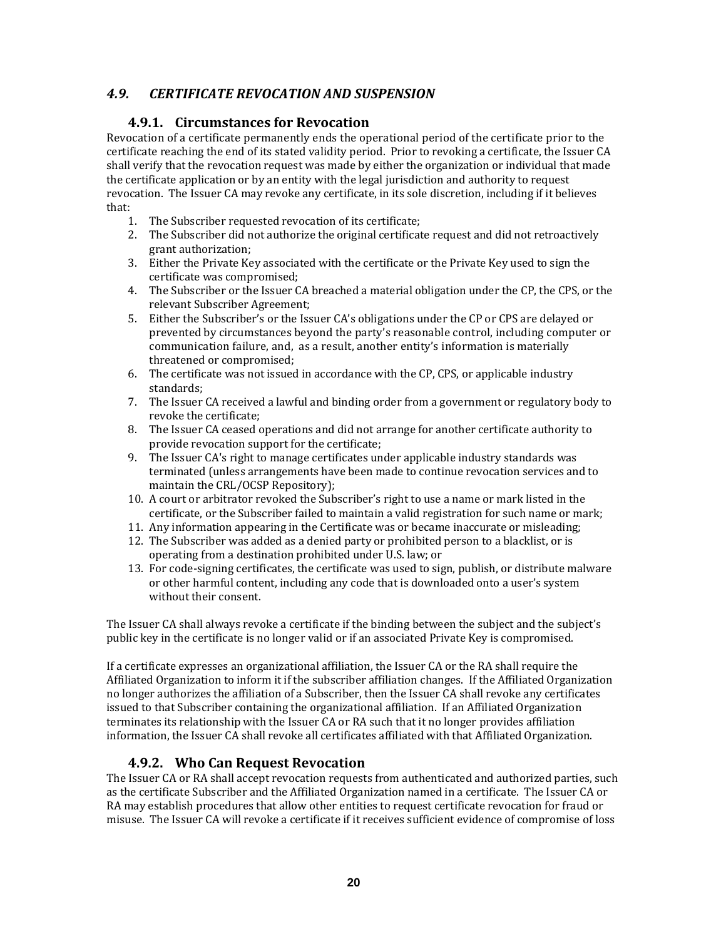## *4.9. CERTIFICATE REVOCATION AND SUSPENSION*

## **4.9.1. Circumstances for Revocation**

Revocation of a certificate permanently ends the operational period of the certificate prior to the certificate reaching the end of its stated validity period. Prior to revoking a certificate, the Issuer CA shall verify that the revocation request was made by either the organization or individual that made the certificate application or by an entity with the legal jurisdiction and authority to request revocation. The Issuer CA may revoke any certificate, in its sole discretion, including if it believes that:

- 1. The Subscriber requested revocation of its certificate;
- 2. The Subscriber did not authorize the original certificate request and did not retroactively grant authorization;
- 3. Either the Private Key associated with the certificate or the Private Key used to sign the certificate was compromised;
- 4. The Subscriber or the Issuer CA breached a material obligation under the CP, the CPS, or the relevant Subscriber Agreement;
- 5. Either the Subscriber's or the Issuer CA's obligations under the CP or CPS are delayed or prevented by circumstances beyond the party's reasonable control, including computer or communication failure, and, as a result, another entity's information is materially threatened or compromised;
- 6. The certificate was not issued in accordance with the CP, CPS, or applicable industry standards;
- 7. The Issuer CA received a lawful and binding order from a government or regulatory body to revoke the certificate;
- 8. The Issuer CA ceased operations and did not arrange for another certificate authority to provide revocation support for the certificate;
- 9. The Issuer CA's right to manage certificates under applicable industry standards was terminated (unless arrangements have been made to continue revocation services and to maintain the CRL/OCSP Repository);
- 10. A court or arbitrator revoked the Subscriber's right to use a name or mark listed in the certificate, or the Subscriber failed to maintain a valid registration for such name or mark;
- 11. Any information appearing in the Certificate was or became inaccurate or misleading;
- 12. The Subscriber was added as a denied party or prohibited person to a blacklist, or is operating from a destination prohibited under U.S. law; or
- 13. For code‐signing certificates, the certificate was used to sign, publish, or distribute malware or other harmful content, including any code that is downloaded onto a user's system without their consent.

The Issuer CA shall always revoke a certificate if the binding between the subject and the subject's public key in the certificate is no longer valid or if an associated Private Key is compromised.

If a certificate expresses an organizational affiliation, the Issuer CA or the RA shall require the Affiliated Organization to inform it if the subscriber affiliation changes. If the Affiliated Organization no longer authorizes the affiliation of a Subscriber, then the Issuer CA shall revoke any certificates issued to that Subscriber containing the organizational affiliation. If an Affiliated Organization terminates its relationship with the Issuer CA or RA such that it no longer provides affiliation information, the Issuer CA shall revoke all certificates affiliated with that Affiliated Organization.

## **4.9.2. Who Can Request Revocation**

The Issuer CA or RA shall accept revocation requests from authenticated and authorized parties, such as the certificate Subscriber and the Affiliated Organization named in a certificate. The Issuer CA or RA may establish procedures that allow other entities to request certificate revocation for fraud or misuse. The Issuer CA will revoke a certificate if it receives sufficient evidence of compromise of loss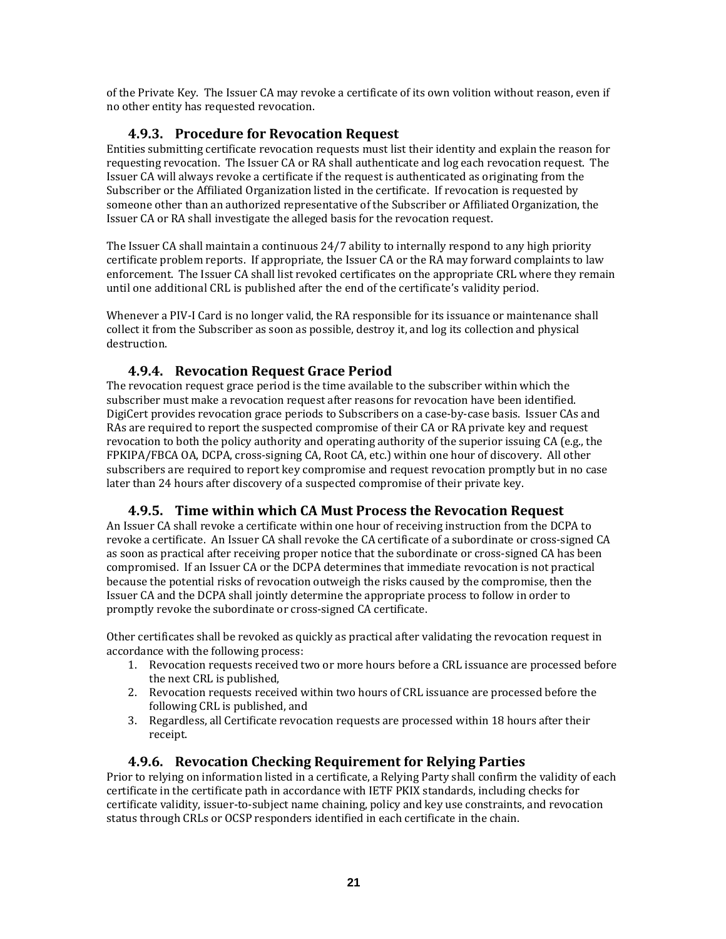of the Private Key. The Issuer CA may revoke a certificate of its own volition without reason, even if no other entity has requested revocation.

## **4.9.3. Procedure for Revocation Request**

Entities submitting certificate revocation requests must list their identity and explain the reason for requesting revocation. The Issuer CA or RA shall authenticate and log each revocation request. The Issuer CA will always revoke a certificate if the request is authenticated as originating from the Subscriber or the Affiliated Organization listed in the certificate. If revocation is requested by someone other than an authorized representative of the Subscriber or Affiliated Organization, the Issuer CA or RA shall investigate the alleged basis for the revocation request.

The Issuer CA shall maintain a continuous 24/7 ability to internally respond to any high priority certificate problem reports. If appropriate, the Issuer CA or the RA may forward complaints to law enforcement. The Issuer CA shall list revoked certificates on the appropriate CRL where they remain until one additional CRL is published after the end of the certificate's validity period.

Whenever a PIV‐I Card is no longer valid, the RA responsible for its issuance or maintenance shall collect it from the Subscriber as soon as possible, destroy it, and log its collection and physical destruction.

## **4.9.4. Revocation Request Grace Period**

The revocation request grace period is the time available to the subscriber within which the subscriber must make a revocation request after reasons for revocation have been identified. DigiCert provides revocation grace periods to Subscribers on a case‐by‐case basis. Issuer CAs and RAs are required to report the suspected compromise of their CA or RA private key and request revocation to both the policy authority and operating authority of the superior issuing CA (e.g., the FPKIPA/FBCA OA, DCPA, cross‐signing CA, Root CA, etc.) within one hour of discovery. All other subscribers are required to report key compromise and request revocation promptly but in no case later than 24 hours after discovery of a suspected compromise of their private key.

## **4.9.5. Time within which CA Must Process the Revocation Request**

An Issuer CA shall revoke a certificate within one hour of receiving instruction from the DCPA to revoke a certificate. An Issuer CA shall revoke the CA certificate of a subordinate or cross-signed CA as soon as practical after receiving proper notice that the subordinate or cross‐signed CA has been compromised. If an Issuer CA or the DCPA determines that immediate revocation is not practical because the potential risks of revocation outweigh the risks caused by the compromise, then the Issuer CA and the DCPA shall jointly determine the appropriate process to follow in order to promptly revoke the subordinate or cross‐signed CA certificate.

Other certificates shall be revoked as quickly as practical after validating the revocation request in accordance with the following process:

- 1. Revocation requests received two or more hours before a CRL issuance are processed before the next CRL is published,
- 2. Revocation requests received within two hours of CRL issuance are processed before the following CRL is published, and
- 3. Regardless, all Certificate revocation requests are processed within 18 hours after their receipt.

#### **4.9.6. Revocation Checking Requirement for Relying Parties**

Prior to relying on information listed in a certificate, a Relying Party shall confirm the validity of each certificate in the certificate path in accordance with IETF PKIX standards, including checks for certificate validity, issuer‐to‐subject name chaining, policy and key use constraints, and revocation status through CRLs or OCSP responders identified in each certificate in the chain.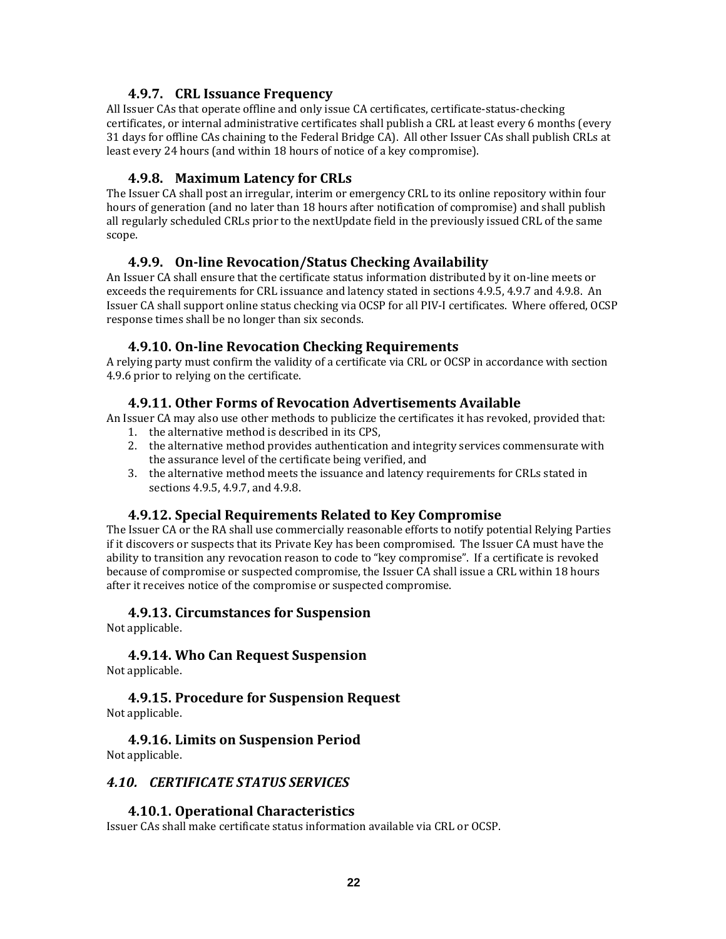#### **4.9.7. CRL Issuance Frequency**

All Issuer CAs that operate offline and only issue CA certificates, certificate‐status‐checking certificates, or internal administrative certificates shall publish a CRL at least every 6 months (every 31 days for offline CAs chaining to the Federal Bridge CA). All other Issuer CAs shall publish CRLs at least every 24 hours (and within 18 hours of notice of a key compromise).

#### **4.9.8. Maximum Latency for CRLs**

The Issuer CA shall post an irregular, interim or emergency CRL to its online repository within four hours of generation (and no later than 18 hours after notification of compromise) and shall publish all regularly scheduled CRLs prior to the nextUpdate field in the previously issued CRL of the same scope.

#### **4.9.9. Online Revocation/Status Checking Availability**

An Issuer CA shall ensure that the certificate status information distributed by it on‐line meets or exceeds the requirements for CRL issuance and latency stated in sections 4.9.5, 4.9.7 and 4.9.8. An Issuer CA shall support online status checking via OCSP for all PIV‐I certificates. Where offered, OCSP response times shall be no longer than six seconds.

## **4.9.10. Online Revocation Checking Requirements**

A relying party must confirm the validity of a certificate via CRL or OCSP in accordance with section 4.9.6 prior to relying on the certificate.

## **4.9.11. Other Forms of Revocation Advertisements Available**

An Issuer CA may also use other methods to publicize the certificates it has revoked, provided that:

- 1. the alternative method is described in its CPS,
- 2. the alternative method provides authentication and integrity services commensurate with the assurance level of the certificate being verified, and
- 3. the alternative method meets the issuance and latency requirements for CRLs stated in sections 4.9.5, 4.9.7, and 4.9.8.

#### **4.9.12. Special Requirements Related to Key Compromise**

The Issuer CA or the RA shall use commercially reasonable efforts to notify potential Relying Parties if it discovers or suspects that its Private Key has been compromised. The Issuer CA must have the ability to transition any revocation reason to code to "key compromise". If a certificate is revoked because of compromise or suspected compromise, the Issuer CA shall issue a CRL within 18 hours after it receives notice of the compromise or suspected compromise.

#### **4.9.13. Circumstances for Suspension**

Not applicable.

**4.9.14. Who Can Request Suspension**

Not applicable.

#### **4.9.15. Procedure for Suspension Request** Not applicable.

**4.9.16. Limits on Suspension Period** Not applicable.

## *4.10. CERTIFICATE STATUS SERVICES*

#### **4.10.1. Operational Characteristics**

Issuer CAs shall make certificate status information available via CRL or OCSP.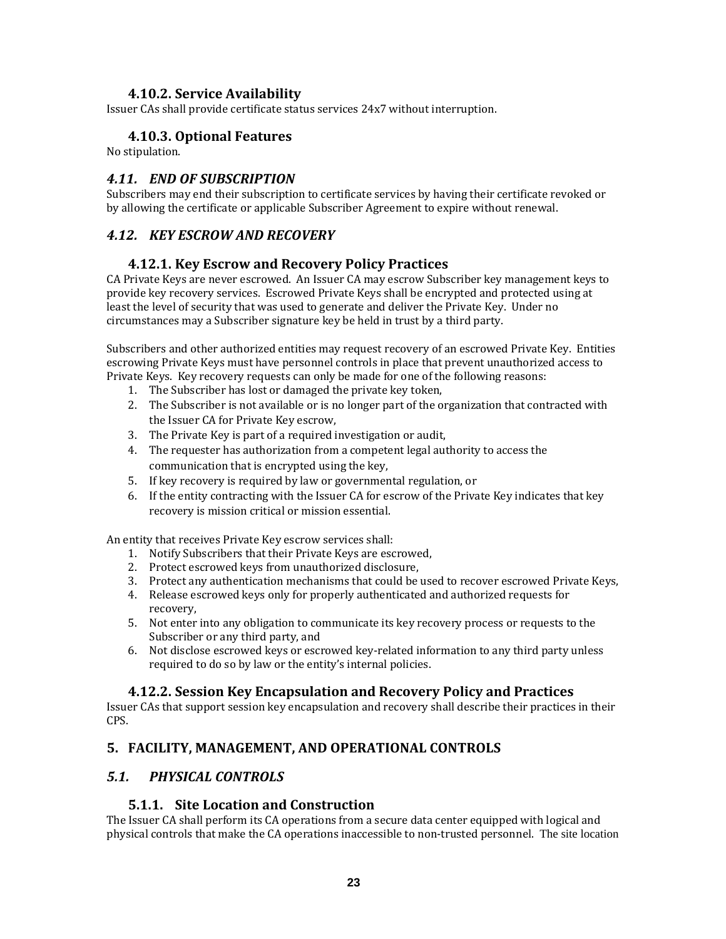#### **4.10.2. Service Availability**

Issuer CAs shall provide certificate status services 24x7 without interruption.

#### **4.10.3. Optional Features**

No stipulation.

#### *4.11. END OF SUBSCRIPTION*

Subscribers may end their subscription to certificate services by having their certificate revoked or by allowing the certificate or applicable Subscriber Agreement to expire without renewal.

## *4.12. KEY ESCROW AND RECOVERY*

#### **4.12.1. Key Escrow and Recovery Policy Practices**

CA Private Keys are never escrowed. An Issuer CA may escrow Subscriber key management keys to provide key recovery services. Escrowed Private Keys shall be encrypted and protected using at least the level of security that was used to generate and deliver the Private Key. Under no circumstances may a Subscriber signature key be held in trust by a third party.

Subscribers and other authorized entities may request recovery of an escrowed Private Key. Entities escrowing Private Keys must have personnel controls in place that prevent unauthorized access to Private Keys. Key recovery requests can only be made for one of the following reasons:

- 1. The Subscriber has lost or damaged the private key token,
- 2. The Subscriber is not available or is no longer part of the organization that contracted with the Issuer CA for Private Key escrow,
- 3. The Private Key is part of a required investigation or audit,
- 4. The requester has authorization from a competent legal authority to access the communication that is encrypted using the key,
- 5. If key recovery is required by law or governmental regulation, or
- 6. If the entity contracting with the Issuer CA for escrow of the Private Key indicates that key recovery is mission critical or mission essential.

An entity that receives Private Key escrow services shall:

- 1. Notify Subscribers that their Private Keys are escrowed,
- 2. Protect escrowed keys from unauthorized disclosure,
- 3. Protect any authentication mechanisms that could be used to recover escrowed Private Keys,
- 4. Release escrowed keys only for properly authenticated and authorized requests for recovery,
- 5. Not enter into any obligation to communicate its key recovery process or requests to the Subscriber or any third party, and
- 6. Not disclose escrowed keys or escrowed key‐related information to any third party unless required to do so by law or the entity's internal policies.

#### **4.12.2. Session Key Encapsulation and Recovery Policy and Practices**

Issuer CAs that support session key encapsulation and recovery shall describe their practices in their CPS.

#### **5. FACILITY, MANAGEMENT, AND OPERATIONAL CONTROLS**

#### *5.1. PHYSICAL CONTROLS*

#### **5.1.1. Site Location and Construction**

The Issuer CA shall perform its CA operations from a secure data center equipped with logical and physical controls that make the CA operations inaccessible to non‐trusted personnel. The site location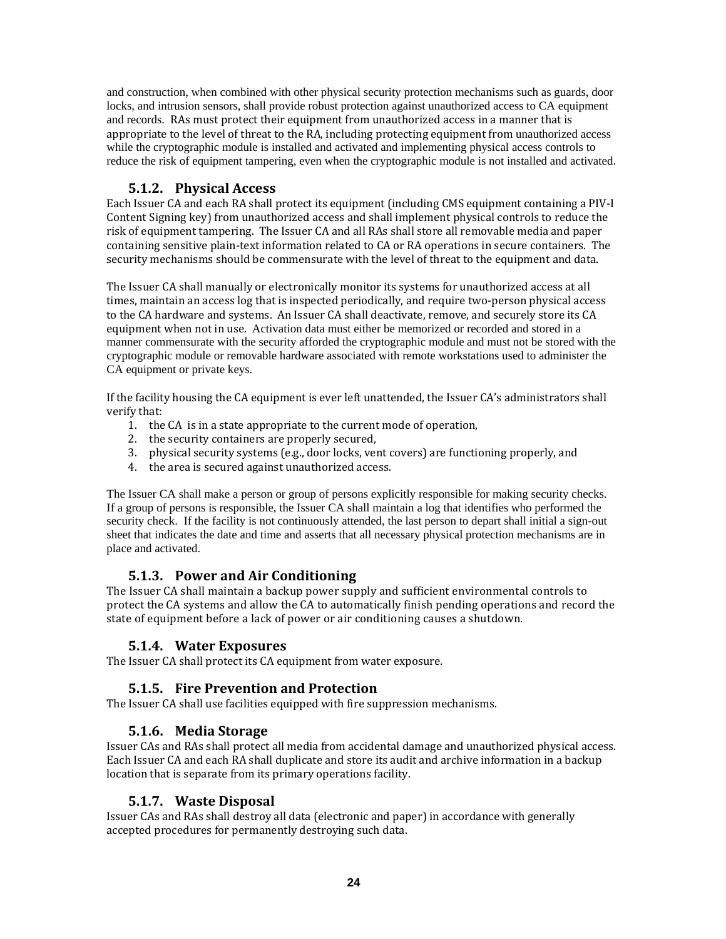and construction, when combined with other physical security protection mechanisms such as guards, door locks, and intrusion sensors, shall provide robust protection against unauthorized access to CA equipment and records. RAs must protect their equipment from unauthorized access in a manner that is appropriate to the level of threat to the RA, including protecting equipment from unauthorized access while the cryptographic module is installed and activated and implementing physical access controls to reduce the risk of equipment tampering, even when the cryptographic module is not installed and activated.

## **5.1.2. Physical Access**

Each Issuer CA and each RA shall protect its equipment (including CMS equipment containing a PIV‐I Content Signing key) from unauthorized access and shall implement physical controls to reduce the risk of equipment tampering. The Issuer CA and all RAs shall store all removable media and paper containing sensitive plain‐text information related to CA or RA operations in secure containers. The security mechanisms should be commensurate with the level of threat to the equipment and data.

The Issuer CA shall manually or electronically monitor its systems for unauthorized access at all times, maintain an access log that is inspected periodically, and require two-person physical access to the CA hardware and systems. An Issuer CA shall deactivate, remove, and securely store its CA equipment when not in use. Activation data must either be memorized or recorded and stored in a manner commensurate with the security afforded the cryptographic module and must not be stored with the cryptographic module or removable hardware associated with remote workstations used to administer the CA equipment or private keys.

If the facility housing the CA equipment is ever left unattended, the Issuer CA's administrators shall verify that:

- 1. the CA is in a state appropriate to the current mode of operation,
- 2. the security containers are properly secured,
- 3. physical security systems (e.g., door locks, vent covers) are functioning properly, and
- 4. the area is secured against unauthorized access.

The Issuer CA shall make a person or group of persons explicitly responsible for making security checks. If a group of persons is responsible, the Issuer CA shall maintain a log that identifies who performed the security check. If the facility is not continuously attended, the last person to depart shall initial a sign-out sheet that indicates the date and time and asserts that all necessary physical protection mechanisms are in place and activated.

#### **5.1.3. Power and Air Conditioning**

The Issuer CA shall maintain a backup power supply and sufficient environmental controls to protect the CA systems and allow the CA to automatically finish pending operations and record the state of equipment before a lack of power or air conditioning causes a shutdown.

#### **5.1.4. Water Exposures**

The Issuer CA shall protect its CA equipment from water exposure.

#### **5.1.5. Fire Prevention and Protection**

The Issuer CA shall use facilities equipped with fire suppression mechanisms.

#### **5.1.6. Media Storage**

Issuer CAs and RAs shall protect all media from accidental damage and unauthorized physical access. Each Issuer CA and each RA shall duplicate and store its audit and archive information in a backup location that is separate from its primary operations facility.

#### **5.1.7. Waste Disposal**

Issuer CAs and RAs shall destroy all data (electronic and paper) in accordance with generally accepted procedures for permanently destroying such data.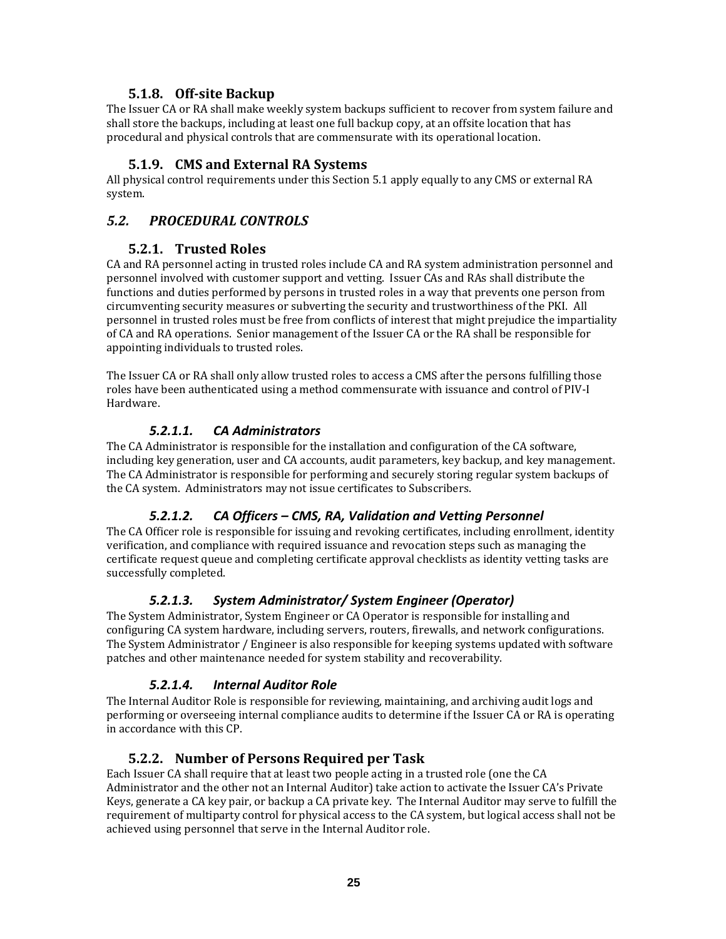#### **5.1.8. Offsite Backup**

The Issuer CA or RA shall make weekly system backups sufficient to recover from system failure and shall store the backups, including at least one full backup copy, at an offsite location that has procedural and physical controls that are commensurate with its operational location.

#### **5.1.9. CMS and External RA Systems**

All physical control requirements under this Section 5.1 apply equally to any CMS or external RA system.

## *5.2. PROCEDURAL CONTROLS*

#### **5.2.1. Trusted Roles**

CA and RA personnel acting in trusted roles include CA and RA system administration personnel and personnel involved with customer support and vetting. Issuer CAs and RAs shall distribute the functions and duties performed by persons in trusted roles in a way that prevents one person from circumventing security measures or subverting the security and trustworthiness of the PKI. All personnel in trusted roles must be free from conflicts of interest that might prejudice the impartiality of CA and RA operations. Senior management of the Issuer CA or the RA shall be responsible for appointing individuals to trusted roles.

The Issuer CA or RA shall only allow trusted roles to access a CMS after the persons fulfilling those roles have been authenticated using a method commensurate with issuance and control of PIV‐I Hardware.

#### *5.2.1.1. CA Administrators*

The CA Administrator is responsible for the installation and configuration of the CA software, including key generation, user and CA accounts, audit parameters, key backup, and key management. The CA Administrator is responsible for performing and securely storing regular system backups of the CA system. Administrators may not issue certificates to Subscribers.

#### *5.2.1.2. CA Officers – CMS, RA, Validation and Vetting Personnel*

The CA Officer role is responsible for issuing and revoking certificates, including enrollment, identity verification, and compliance with required issuance and revocation steps such as managing the certificate request queue and completing certificate approval checklists as identity vetting tasks are successfully completed.

#### *5.2.1.3. System Administrator/ System Engineer (Operator)*

The System Administrator, System Engineer or CA Operator is responsible for installing and configuring CA system hardware, including servers, routers, firewalls, and network configurations. The System Administrator / Engineer is also responsible for keeping systems updated with software patches and other maintenance needed for system stability and recoverability.

#### *5.2.1.4. Internal Auditor Role*

The Internal Auditor Role is responsible for reviewing, maintaining, and archiving audit logs and performing or overseeing internal compliance audits to determine if the Issuer CA or RA is operating in accordance with this CP.

#### **5.2.2. Number of Persons Required per Task**

Each Issuer CA shall require that at least two people acting in a trusted role (one the CA Administrator and the other not an Internal Auditor) take action to activate the Issuer CA's Private Keys, generate a CA key pair, or backup a CA private key. The Internal Auditor may serve to fulfill the requirement of multiparty control for physical access to the CA system, but logical access shall not be achieved using personnel that serve in the Internal Auditor role.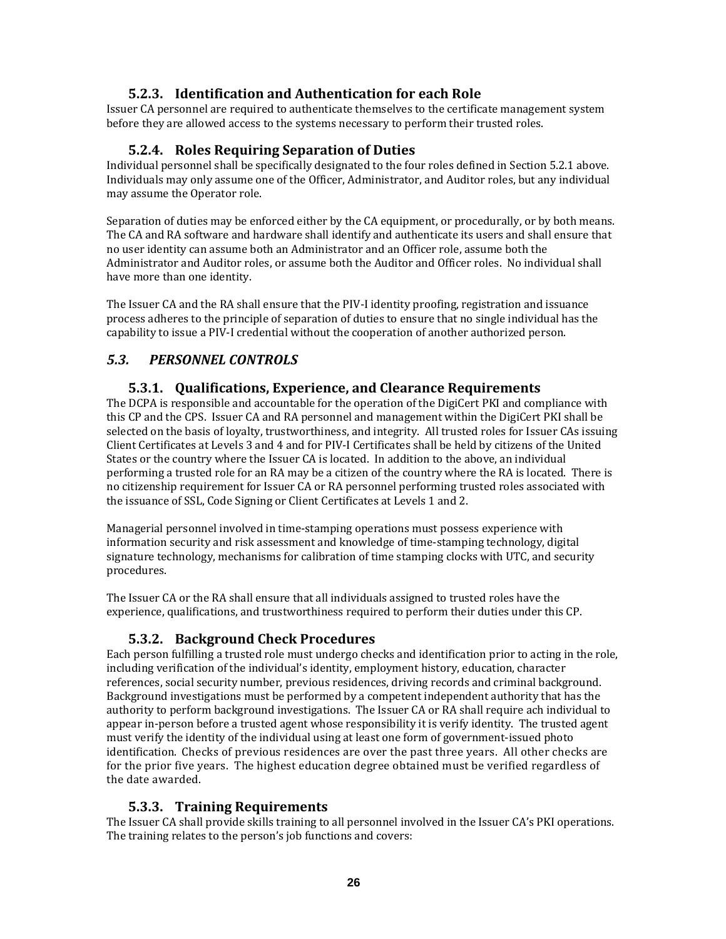## **5.2.3. Identification and Authentication for each Role**

Issuer CA personnel are required to authenticate themselves to the certificate management system before they are allowed access to the systems necessary to perform their trusted roles.

#### **5.2.4. Roles Requiring Separation of Duties**

Individual personnel shall be specifically designated to the four roles defined in Section 5.2.1 above. Individuals may only assume one of the Officer, Administrator, and Auditor roles, but any individual may assume the Operator role.

Separation of duties may be enforced either by the CA equipment, or procedurally, or by both means. The CA and RA software and hardware shall identify and authenticate its users and shall ensure that no user identity can assume both an Administrator and an Officer role, assume both the Administrator and Auditor roles, or assume both the Auditor and Officer roles. No individual shall have more than one identity.

The Issuer CA and the RA shall ensure that the PIV-I identity proofing, registration and issuance process adheres to the principle of separation of duties to ensure that no single individual has the capability to issue a PIV‐I credential without the cooperation of another authorized person.

## *5.3. PERSONNEL CONTROLS*

#### **5.3.1. Qualifications, Experience, and Clearance Requirements**

The DCPA is responsible and accountable for the operation of the DigiCert PKI and compliance with this CP and the CPS. Issuer CA and RA personnel and management within the DigiCert PKI shall be selected on the basis of loyalty, trustworthiness, and integrity. All trusted roles for Issuer CAs issuing Client Certificates at Levels 3 and 4 and for PIV‐I Certificates shall be held by citizens of the United States or the country where the Issuer CA is located. In addition to the above, an individual performing a trusted role for an RA may be a citizen of the country where the RA is located. There is no citizenship requirement for Issuer CA or RA personnel performing trusted roles associated with the issuance of SSL, Code Signing or Client Certificates at Levels 1 and 2.

Managerial personnel involved in time‐stamping operations must possess experience with information security and risk assessment and knowledge of time‐stamping technology, digital signature technology, mechanisms for calibration of time stamping clocks with UTC, and security procedures.

The Issuer CA or the RA shall ensure that all individuals assigned to trusted roles have the experience, qualifications, and trustworthiness required to perform their duties under this CP.

#### **5.3.2. Background Check Procedures**

Each person fulfilling a trusted role must undergo checks and identification prior to acting in the role, including verification of the individual's identity, employment history, education, character references, social security number, previous residences, driving records and criminal background. Background investigations must be performed by a competent independent authority that has the authority to perform background investigations. The Issuer CA or RA shall require ach individual to appear in‐person before a trusted agent whose responsibility it is verify identity. The trusted agent must verify the identity of the individual using at least one form of government‐issued photo identification. Checks of previous residences are over the past three years. All other checks are for the prior five years. The highest education degree obtained must be verified regardless of the date awarded.

#### **5.3.3. Training Requirements**

The Issuer CA shall provide skills training to all personnel involved in the Issuer CA's PKI operations. The training relates to the person's job functions and covers: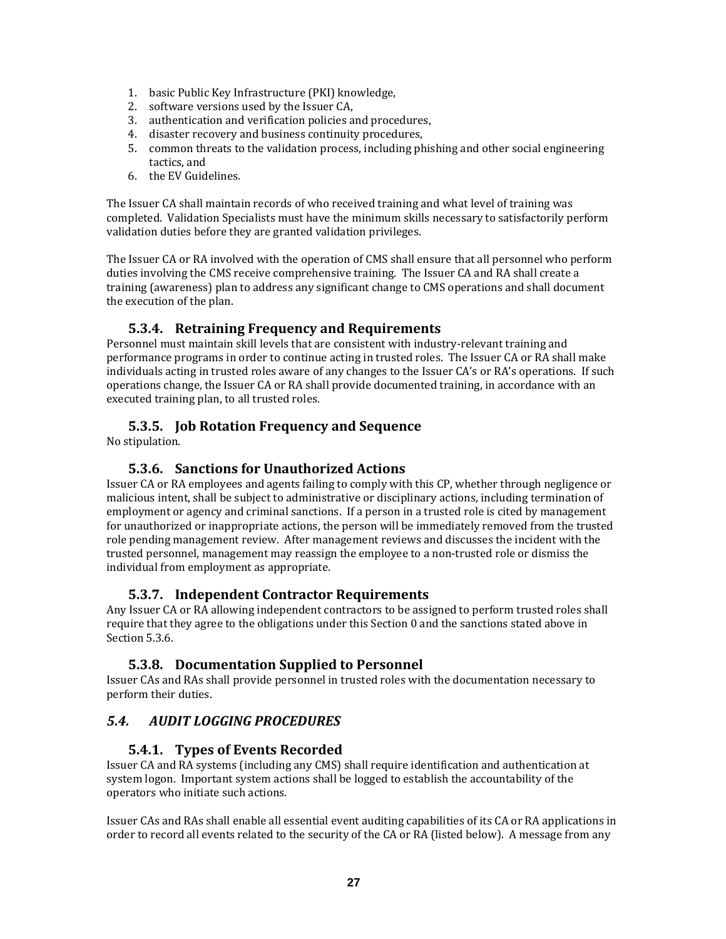- 1. basic Public Key Infrastructure (PKI) knowledge,
- 2. software versions used by the Issuer CA,
- 3. authentication and verification policies and procedures,
- 4. disaster recovery and business continuity procedures,
- 5. common threats to the validation process, including phishing and other social engineering tactics, and
- 6. the EV Guidelines.

The Issuer CA shall maintain records of who received training and what level of training was completed. Validation Specialists must have the minimum skills necessary to satisfactorily perform validation duties before they are granted validation privileges.

The Issuer CA or RA involved with the operation of CMS shall ensure that all personnel who perform duties involving the CMS receive comprehensive training. The Issuer CA and RA shall create a training (awareness) plan to address any significant change to CMS operations and shall document the execution of the plan.

#### **5.3.4. Retraining Frequency and Requirements**

Personnel must maintain skill levels that are consistent with industry-relevant training and performance programs in order to continue acting in trusted roles. The Issuer CA or RA shall make individuals acting in trusted roles aware of any changes to the Issuer CA's or RA's operations. If such operations change, the Issuer CA or RA shall provide documented training, in accordance with an executed training plan, to all trusted roles.

#### **5.3.5. Job Rotation Frequency and Sequence**

No stipulation.

#### **5.3.6. Sanctions for Unauthorized Actions**

Issuer CA or RA employees and agents failing to comply with this CP, whether through negligence or malicious intent, shall be subject to administrative or disciplinary actions, including termination of employment or agency and criminal sanctions. If a person in a trusted role is cited by management for unauthorized or inappropriate actions, the person will be immediately removed from the trusted role pending management review. After management reviews and discusses the incident with the trusted personnel, management may reassign the employee to a non-trusted role or dismiss the individual from employment as appropriate.

#### **5.3.7. Independent Contractor Requirements**

Any Issuer CA or RA allowing independent contractors to be assigned to perform trusted roles shall require that they agree to the obligations under this Section 0 and the sanctions stated above in Section 5.3.6.

#### **5.3.8. Documentation Supplied to Personnel**

Issuer CAs and RAs shall provide personnel in trusted roles with the documentation necessary to perform their duties.

## *5.4. AUDIT LOGGING PROCEDURES*

#### **5.4.1. Types of Events Recorded**

Issuer CA and RA systems (including any CMS) shall require identification and authentication at system logon. Important system actions shall be logged to establish the accountability of the operators who initiate such actions.

Issuer CAs and RAs shall enable all essential event auditing capabilities of its CA or RA applications in order to record all events related to the security of the CA or RA (listed below). A message from any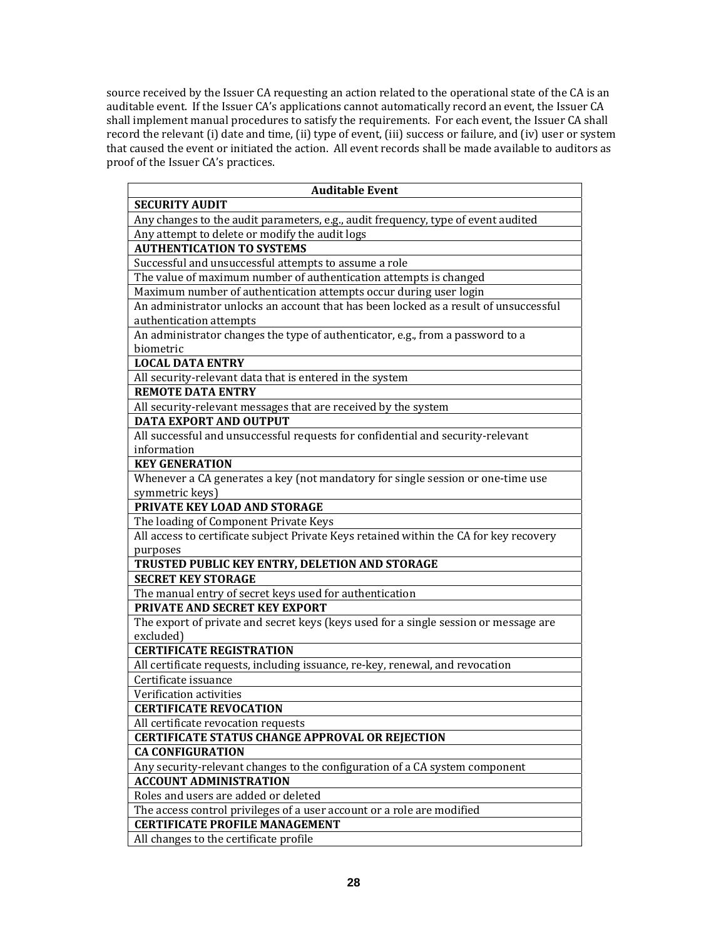source received by the Issuer CA requesting an action related to the operational state of the CA is an auditable event. If the Issuer CA's applications cannot automatically record an event, the Issuer CA shall implement manual procedures to satisfy the requirements. For each event, the Issuer CA shall record the relevant (i) date and time, (ii) type of event, (iii) success or failure, and (iv) user or system that caused the event or initiated the action. All event records shall be made available to auditors as proof of the Issuer CA's practices.

| <b>Auditable Event</b>                                                                 |  |  |
|----------------------------------------------------------------------------------------|--|--|
| <b>SECURITY AUDIT</b>                                                                  |  |  |
| Any changes to the audit parameters, e.g., audit frequency, type of event audited      |  |  |
| Any attempt to delete or modify the audit logs                                         |  |  |
| <b>AUTHENTICATION TO SYSTEMS</b>                                                       |  |  |
| Successful and unsuccessful attempts to assume a role                                  |  |  |
| The value of maximum number of authentication attempts is changed                      |  |  |
| Maximum number of authentication attempts occur during user login                      |  |  |
| An administrator unlocks an account that has been locked as a result of unsuccessful   |  |  |
| authentication attempts                                                                |  |  |
| An administrator changes the type of authenticator, e.g., from a password to a         |  |  |
| biometric                                                                              |  |  |
| <b>LOCAL DATA ENTRY</b>                                                                |  |  |
| All security-relevant data that is entered in the system                               |  |  |
| <b>REMOTE DATA ENTRY</b>                                                               |  |  |
| All security-relevant messages that are received by the system                         |  |  |
| <b>DATA EXPORT AND OUTPUT</b>                                                          |  |  |
| All successful and unsuccessful requests for confidential and security-relevant        |  |  |
| information                                                                            |  |  |
| <b>KEY GENERATION</b>                                                                  |  |  |
| Whenever a CA generates a key (not mandatory for single session or one-time use        |  |  |
| symmetric keys)                                                                        |  |  |
| PRIVATE KEY LOAD AND STORAGE                                                           |  |  |
| The loading of Component Private Keys                                                  |  |  |
| All access to certificate subject Private Keys retained within the CA for key recovery |  |  |
| purposes                                                                               |  |  |
| TRUSTED PUBLIC KEY ENTRY, DELETION AND STORAGE                                         |  |  |
| <b>SECRET KEY STORAGE</b>                                                              |  |  |
| The manual entry of secret keys used for authentication                                |  |  |
| PRIVATE AND SECRET KEY EXPORT                                                          |  |  |
| The export of private and secret keys (keys used for a single session or message are   |  |  |
| excluded)                                                                              |  |  |
| <b>CERTIFICATE REGISTRATION</b>                                                        |  |  |
| All certificate requests, including issuance, re-key, renewal, and revocation          |  |  |
| Certificate issuance                                                                   |  |  |
| Verification activities                                                                |  |  |
| <b>CERTIFICATE REVOCATION</b>                                                          |  |  |
| All certificate revocation requests                                                    |  |  |
| <b>CERTIFICATE STATUS CHANGE APPROVAL OR REJECTION</b>                                 |  |  |
| <b>CA CONFIGURATION</b>                                                                |  |  |
| Any security-relevant changes to the configuration of a CA system component            |  |  |
| <b>ACCOUNT ADMINISTRATION</b>                                                          |  |  |
| Roles and users are added or deleted                                                   |  |  |
| The access control privileges of a user account or a role are modified                 |  |  |
| <b>CERTIFICATE PROFILE MANAGEMENT</b>                                                  |  |  |
| All changes to the certificate profile                                                 |  |  |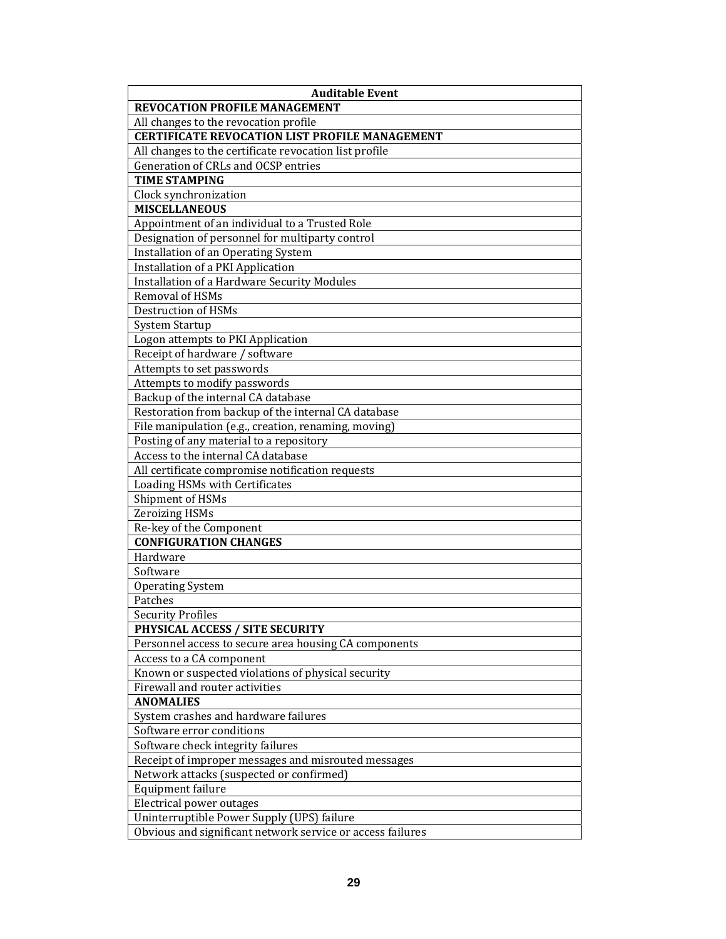| <b>Auditable Event</b>                                     |  |  |
|------------------------------------------------------------|--|--|
| REVOCATION PROFILE MANAGEMENT                              |  |  |
| All changes to the revocation profile                      |  |  |
| <b>CERTIFICATE REVOCATION LIST PROFILE MANAGEMENT</b>      |  |  |
| All changes to the certificate revocation list profile     |  |  |
| Generation of CRLs and OCSP entries                        |  |  |
| <b>TIME STAMPING</b>                                       |  |  |
| Clock synchronization                                      |  |  |
| <b>MISCELLANEOUS</b>                                       |  |  |
| Appointment of an individual to a Trusted Role             |  |  |
| Designation of personnel for multiparty control            |  |  |
| Installation of an Operating System                        |  |  |
| Installation of a PKI Application                          |  |  |
| <b>Installation of a Hardware Security Modules</b>         |  |  |
| Removal of HSMs                                            |  |  |
| Destruction of HSMs                                        |  |  |
| <b>System Startup</b>                                      |  |  |
| Logon attempts to PKI Application                          |  |  |
| Receipt of hardware / software                             |  |  |
| Attempts to set passwords                                  |  |  |
| Attempts to modify passwords                               |  |  |
| Backup of the internal CA database                         |  |  |
| Restoration from backup of the internal CA database        |  |  |
| File manipulation (e.g., creation, renaming, moving)       |  |  |
| Posting of any material to a repository                    |  |  |
| Access to the internal CA database                         |  |  |
| All certificate compromise notification requests           |  |  |
| Loading HSMs with Certificates                             |  |  |
| Shipment of HSMs                                           |  |  |
| <b>Zeroizing HSMs</b>                                      |  |  |
| Re-key of the Component                                    |  |  |
| <b>CONFIGURATION CHANGES</b>                               |  |  |
| Hardware                                                   |  |  |
| Software                                                   |  |  |
| <b>Operating System</b>                                    |  |  |
| Patches                                                    |  |  |
| <b>Security Profiles</b>                                   |  |  |
| PHYSICAL ACCESS / SITE SECURITY                            |  |  |
| Personnel access to secure area housing CA components      |  |  |
| Access to a CA component                                   |  |  |
| Known or suspected violations of physical security         |  |  |
| Firewall and router activities                             |  |  |
| <b>ANOMALIES</b>                                           |  |  |
| System crashes and hardware failures                       |  |  |
| Software error conditions                                  |  |  |
| Software check integrity failures                          |  |  |
| Receipt of improper messages and misrouted messages        |  |  |
| Network attacks (suspected or confirmed)                   |  |  |
| Equipment failure                                          |  |  |
| Electrical power outages                                   |  |  |
| Uninterruptible Power Supply (UPS) failure                 |  |  |
| Obvious and significant network service or access failures |  |  |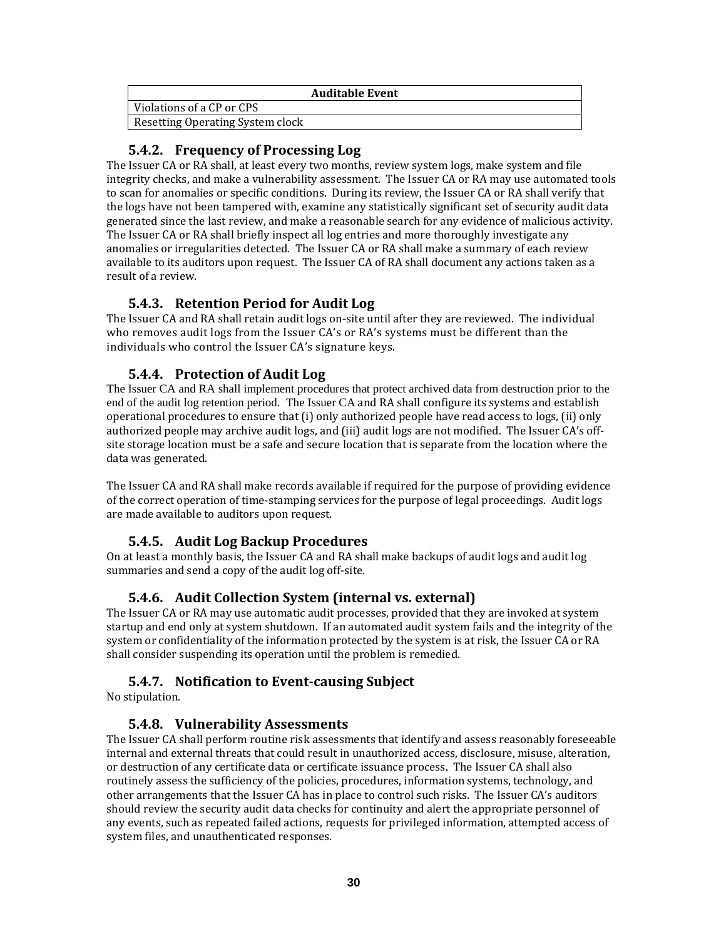| <b>Auditable Event</b>           |  |
|----------------------------------|--|
| Violations of a CP or CPS        |  |
| Resetting Operating System clock |  |

## **5.4.2. Frequency of Processing Log**

The Issuer CA or RA shall, at least every two months, review system logs, make system and file integrity checks, and make a vulnerability assessment. The Issuer CA or RA may use automated tools to scan for anomalies or specific conditions. During its review, the Issuer CA or RA shall verify that the logs have not been tampered with, examine any statistically significant set of security audit data generated since the last review, and make a reasonable search for any evidence of malicious activity. The Issuer CA or RA shall briefly inspect all log entries and more thoroughly investigate any anomalies or irregularities detected. The Issuer CA or RA shall make a summary of each review available to its auditors upon request. The Issuer CA of RA shall document any actions taken as a result of a review.

## **5.4.3. Retention Period for Audit Log**

The Issuer CA and RA shall retain audit logs on‐site until after they are reviewed. The individual who removes audit logs from the Issuer CA's or RA's systems must be different than the individuals who control the Issuer CA's signature keys.

## **5.4.4. Protection of Audit Log**

The Issuer CA and RA shall implement procedures that protect archived data from destruction prior to the end of the audit log retention period. The Issuer CA and RA shall configure its systems and establish operational procedures to ensure that (i) only authorized people have read access to logs, (ii) only authorized people may archive audit logs, and (iii) audit logs are not modified. The Issuer CA's off‐ site storage location must be a safe and secure location that is separate from the location where the data was generated.

The Issuer CA and RA shall make records available if required for the purpose of providing evidence of the correct operation of time‐stamping services for the purpose of legal proceedings. Audit logs are made available to auditors upon request.

## **5.4.5. Audit Log Backup Procedures**

On at least a monthly basis, the Issuer CA and RA shall make backups of audit logs and audit log summaries and send a copy of the audit log off-site.

## **5.4.6. Audit Collection System (internal vs. external)**

The Issuer CA or RA may use automatic audit processes, provided that they are invoked at system startup and end only at system shutdown. If an automated audit system fails and the integrity of the system or confidentiality of the information protected by the system is at risk, the Issuer CA or RA shall consider suspending its operation until the problem is remedied.

## **5.4.7. Notification to Eventcausing Subject**

No stipulation.

## **5.4.8. Vulnerability Assessments**

The Issuer CA shall perform routine risk assessments that identify and assess reasonably foreseeable internal and external threats that could result in unauthorized access, disclosure, misuse, alteration, or destruction of any certificate data or certificate issuance process. The Issuer CA shall also routinely assess the sufficiency of the policies, procedures, information systems, technology, and other arrangements that the Issuer CA has in place to control such risks. The Issuer CA's auditors should review the security audit data checks for continuity and alert the appropriate personnel of any events, such as repeated failed actions, requests for privileged information, attempted access of system files, and unauthenticated responses.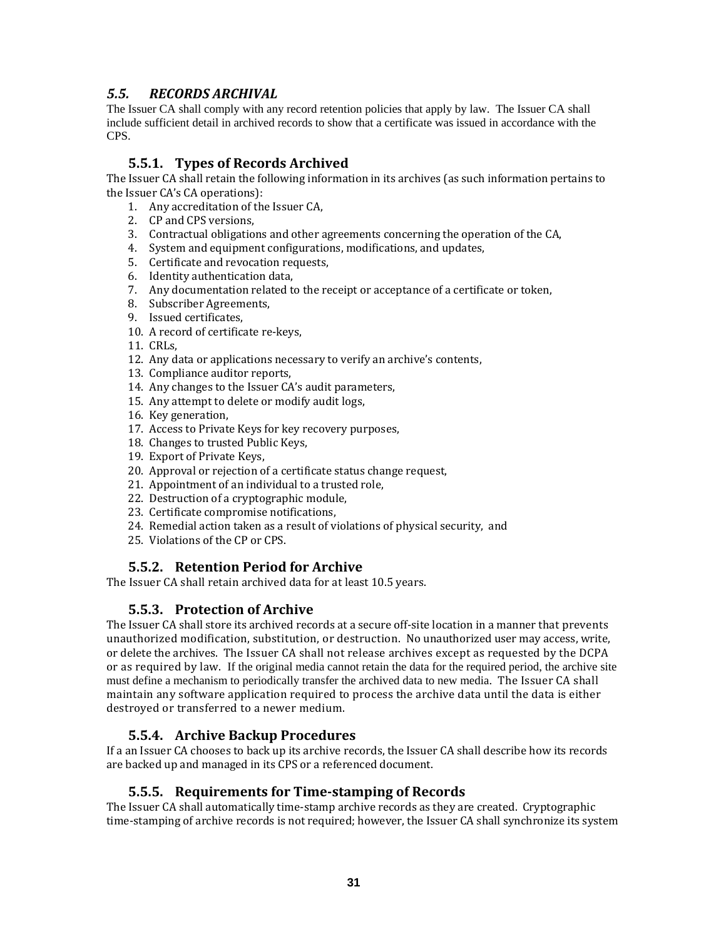## *5.5. RECORDS ARCHIVAL*

The Issuer CA shall comply with any record retention policies that apply by law. The Issuer CA shall include sufficient detail in archived records to show that a certificate was issued in accordance with the CPS.

## **5.5.1. Types of Records Archived**

The Issuer CA shall retain the following information in its archives (as such information pertains to the Issuer CA's CA operations):

- 1. Any accreditation of the Issuer CA,
- 2. CP and CPS versions,
- 3. Contractual obligations and other agreements concerning the operation of the CA,
- 4. System and equipment configurations, modifications, and updates,
- 5. Certificate and revocation requests,
- 6. Identity authentication data,
- 7. Any documentation related to the receipt or acceptance of a certificate or token,
- 8. Subscriber Agreements,
- 9. Issued certificates,
- 10. A record of certificate re‐keys,
- 11. CRLs,
- 12. Any data or applications necessary to verify an archive's contents,
- 13. Compliance auditor reports,
- 14. Any changes to the Issuer CA's audit parameters,
- 15. Any attempt to delete or modify audit logs,
- 16. Key generation,
- 17. Access to Private Keys for key recovery purposes,
- 18. Changes to trusted Public Keys,
- 19. Export of Private Keys,
- 20. Approval or rejection of a certificate status change request,
- 21. Appointment of an individual to a trusted role,
- 22. Destruction of a cryptographic module,
- 23. Certificate compromise notifications,
- 24. Remedial action taken as a result of violations of physical security, and
- 25. Violations of the CP or CPS.

#### **5.5.2. Retention Period for Archive**

The Issuer CA shall retain archived data for at least 10.5 years.

#### **5.5.3. Protection of Archive**

The Issuer CA shall store its archived records at a secure off‐site location in a manner that prevents unauthorized modification, substitution, or destruction. No unauthorized user may access, write, or delete the archives. The Issuer CA shall not release archives except as requested by the DCPA or as required by law. If the original media cannot retain the data for the required period, the archive site must define a mechanism to periodically transfer the archived data to new media. The Issuer CA shall maintain any software application required to process the archive data until the data is either destroyed or transferred to a newer medium.

#### **5.5.4. Archive Backup Procedures**

If a an Issuer CA chooses to back up its archive records, the Issuer CA shall describe how its records are backed up and managed in its CPS or a referenced document.

#### **5.5.5. Requirements for Timestamping of Records**

The Issuer CA shall automatically time‐stamp archive records as they are created. Cryptographic time‐stamping of archive records is not required; however, the Issuer CA shall synchronize its system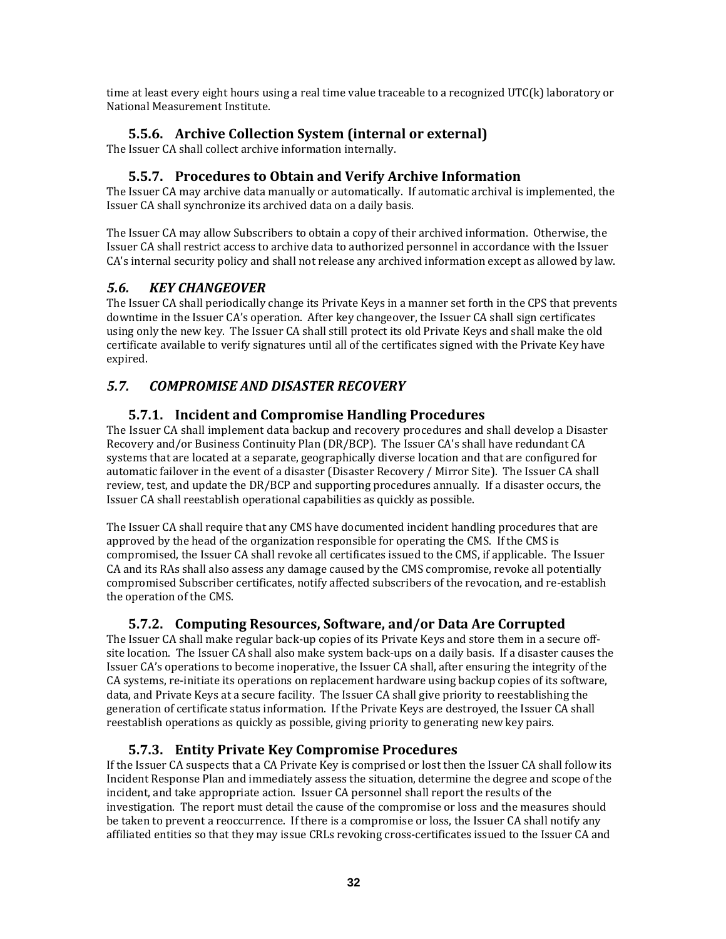time at least every eight hours using a real time value traceable to a recognized UTC(k) laboratory or National Measurement Institute.

## **5.5.6. Archive Collection System (internal or external)**

The Issuer CA shall collect archive information internally.

## **5.5.7. Procedures to Obtain and Verify Archive Information**

The Issuer CA may archive data manually or automatically. If automatic archival is implemented, the Issuer CA shall synchronize its archived data on a daily basis.

The Issuer CA may allow Subscribers to obtain a copy of their archived information. Otherwise, the Issuer CA shall restrict access to archive data to authorized personnel in accordance with the Issuer CA's internal security policy and shall not release any archived information except as allowed by law.

## *5.6. KEY CHANGEOVER*

The Issuer CA shall periodically change its Private Keys in a manner set forth in the CPS that prevents downtime in the Issuer CA's operation. After key changeover, the Issuer CA shall sign certificates using only the new key. The Issuer CA shall still protect its old Private Keys and shall make the old certificate available to verify signatures until all of the certificates signed with the Private Key have expired.

## *5.7. COMPROMISE AND DISASTER RECOVERY*

## **5.7.1. Incident and Compromise Handling Procedures**

The Issuer CA shall implement data backup and recovery procedures and shall develop a Disaster Recovery and/or Business Continuity Plan (DR/BCP). The Issuer CA's shall have redundant CA systems that are located at a separate, geographically diverse location and that are configured for automatic failover in the event of a disaster (Disaster Recovery / Mirror Site). The Issuer CA shall review, test, and update the DR/BCP and supporting procedures annually. If a disaster occurs, the Issuer CA shall reestablish operational capabilities as quickly as possible.

The Issuer CA shall require that any CMS have documented incident handling procedures that are approved by the head of the organization responsible for operating the CMS. If the CMS is compromised, the Issuer CA shall revoke all certificates issued to the CMS, if applicable. The Issuer CA and its RAs shall also assess any damage caused by the CMS compromise, revoke all potentially compromised Subscriber certificates, notify affected subscribers of the revocation, and re‐establish the operation of the CMS.

## **5.7.2. Computing Resources, Software, and/or Data Are Corrupted**

The Issuer CA shall make regular back‐up copies of its Private Keys and store them in a secure off‐ site location. The Issuer CA shall also make system back‐ups on a daily basis. If a disaster causes the Issuer CA's operations to become inoperative, the Issuer CA shall, after ensuring the integrity of the CA systems, re‐initiate its operations on replacement hardware using backup copies of its software, data, and Private Keys at a secure facility. The Issuer CA shall give priority to reestablishing the generation of certificate status information. If the Private Keys are destroyed, the Issuer CA shall reestablish operations as quickly as possible, giving priority to generating new key pairs.

## **5.7.3. Entity Private Key Compromise Procedures**

If the Issuer CA suspects that a CA Private Key is comprised or lost then the Issuer CA shall follow its Incident Response Plan and immediately assess the situation, determine the degree and scope of the incident, and take appropriate action. Issuer CA personnel shall report the results of the investigation. The report must detail the cause of the compromise or loss and the measures should be taken to prevent a reoccurrence. If there is a compromise or loss, the Issuer CA shall notify any affiliated entities so that they may issue CRLs revoking cross‐certificates issued to the Issuer CA and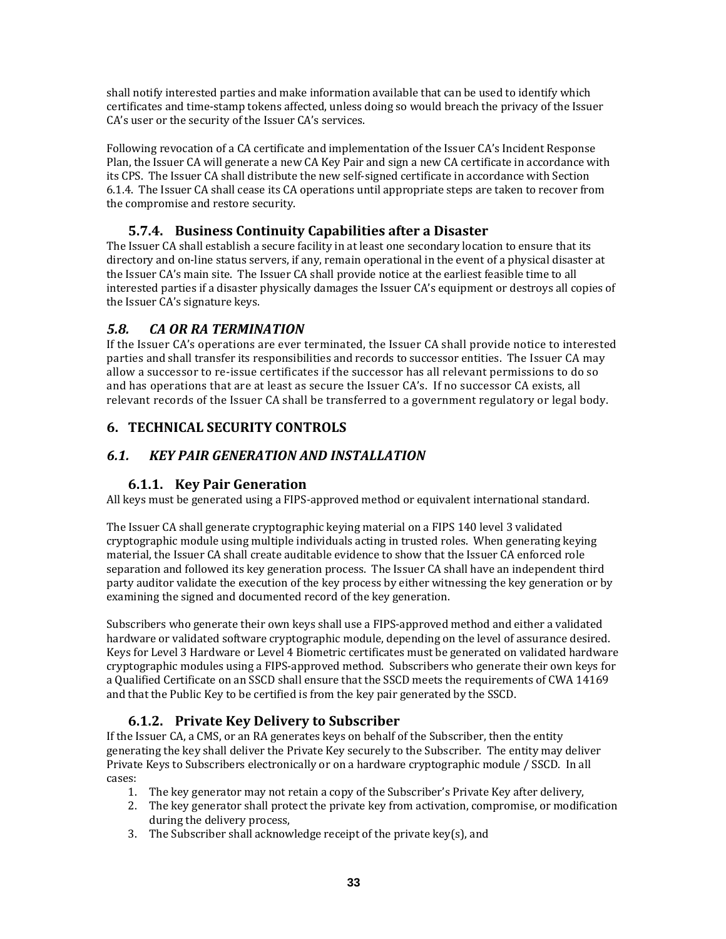shall notify interested parties and make information available that can be used to identify which certificates and time‐stamp tokens affected, unless doing so would breach the privacy of the Issuer CA's user or the security of the Issuer CA's services.

Following revocation of a CA certificate and implementation of the Issuer CA's Incident Response Plan, the Issuer CA will generate a new CA Key Pair and sign a new CA certificate in accordance with its CPS. The Issuer CA shall distribute the new self‐signed certificate in accordance with Section 6.1.4. The Issuer CA shall cease its CA operations until appropriate steps are taken to recover from the compromise and restore security.

## **5.7.4. Business Continuity Capabilities after a Disaster**

The Issuer CA shall establish a secure facility in at least one secondary location to ensure that its directory and on‐line status servers, if any, remain operational in the event of a physical disaster at the Issuer CA's main site. The Issuer CA shall provide notice at the earliest feasible time to all interested parties if a disaster physically damages the Issuer CA's equipment or destroys all copies of the Issuer CA's signature keys.

## *5.8. CA OR RA TERMINATION*

If the Issuer CA's operations are ever terminated, the Issuer CA shall provide notice to interested parties and shall transfer its responsibilities and records to successor entities. The Issuer CA may allow a successor to re‐issue certificates if the successor has all relevant permissions to do so and has operations that are at least as secure the Issuer CA's. If no successor CA exists, all relevant records of the Issuer CA shall be transferred to a government regulatory or legal body.

## **6. TECHNICAL SECURITY CONTROLS**

## *6.1. KEY PAIR GENERATION AND INSTALLATION*

## **6.1.1. Key Pair Generation**

All keys must be generated using a FIPS‐approved method or equivalent international standard.

The Issuer CA shall generate cryptographic keying material on a FIPS 140 level 3 validated cryptographic module using multiple individuals acting in trusted roles. When generating keying material, the Issuer CA shall create auditable evidence to show that the Issuer CA enforced role separation and followed its key generation process. The Issuer CA shall have an independent third party auditor validate the execution of the key process by either witnessing the key generation or by examining the signed and documented record of the key generation.

Subscribers who generate their own keys shall use a FIPS‐approved method and either a validated hardware or validated software cryptographic module, depending on the level of assurance desired. Keys for Level 3 Hardware or Level 4 Biometric certificates must be generated on validated hardware cryptographic modules using a FIPS‐approved method. Subscribers who generate their own keys for a Qualified Certificate on an SSCD shall ensure that the SSCD meets the requirements of CWA 14169 and that the Public Key to be certified is from the key pair generated by the SSCD.

## **6.1.2. Private Key Delivery to Subscriber**

If the Issuer CA, a CMS, or an RA generates keys on behalf of the Subscriber, then the entity generating the key shall deliver the Private Key securely to the Subscriber. The entity may deliver Private Keys to Subscribers electronically or on a hardware cryptographic module / SSCD. In all cases:

- 1. The key generator may not retain a copy of the Subscriber's Private Key after delivery,
- 2. The key generator shall protect the private key from activation, compromise, or modification during the delivery process,
- 3. The Subscriber shall acknowledge receipt of the private key(s), and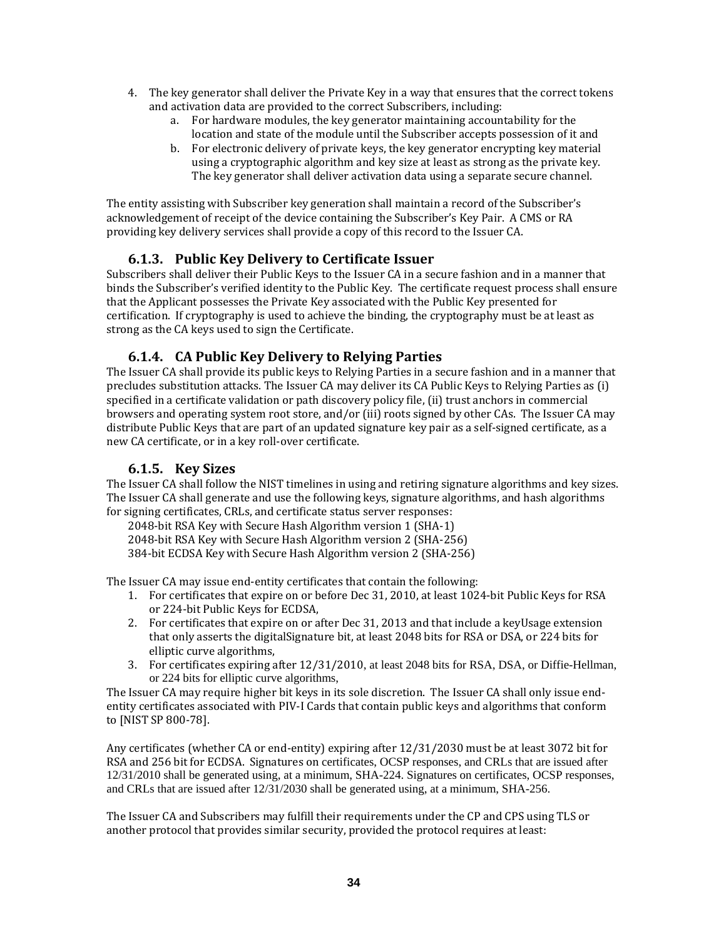- 4. The key generator shall deliver the Private Key in a way that ensures that the correct tokens and activation data are provided to the correct Subscribers, including:
	- a. For hardware modules, the key generator maintaining accountability for the location and state of the module until the Subscriber accepts possession of it and
	- b. For electronic delivery of private keys, the key generator encrypting key material using a cryptographic algorithm and key size at least as strong as the private key. The key generator shall deliver activation data using a separate secure channel.

The entity assisting with Subscriber key generation shall maintain a record of the Subscriber's acknowledgement of receipt of the device containing the Subscriber's Key Pair. A CMS or RA providing key delivery services shall provide a copy of this record to the Issuer CA.

#### **6.1.3. Public Key Delivery to Certificate Issuer**

Subscribers shall deliver their Public Keys to the Issuer CA in a secure fashion and in a manner that binds the Subscriber's verified identity to the Public Key. The certificate request process shall ensure that the Applicant possesses the Private Key associated with the Public Key presented for certification. If cryptography is used to achieve the binding, the cryptography must be at least as strong as the CA keys used to sign the Certificate.

#### **6.1.4. CA Public Key Delivery to Relying Parties**

The Issuer CA shall provide its public keys to Relying Parties in a secure fashion and in a manner that precludes substitution attacks. The Issuer CA may deliver its CA Public Keys to Relying Parties as (i) specified in a certificate validation or path discovery policy file, (ii) trust anchors in commercial browsers and operating system root store, and/or (iii) roots signed by other CAs. The Issuer CA may distribute Public Keys that are part of an updated signature key pair as a self‐signed certificate, as a new CA certificate, or in a key roll‐over certificate.

#### **6.1.5. Key Sizes**

The Issuer CA shall follow the NIST timelines in using and retiring signature algorithms and key sizes. The Issuer CA shall generate and use the following keys, signature algorithms, and hash algorithms for signing certificates, CRLs, and certificate status server responses:

2048‐bit RSA Key with Secure Hash Algorithm version 1 (SHA‐1) 2048‐bit RSA Key with Secure Hash Algorithm version 2 (SHA‐256) 384‐bit ECDSA Key with Secure Hash Algorithm version 2 (SHA‐256)

The Issuer CA may issue end-entity certificates that contain the following:

- 1. For certificates that expire on or before Dec 31, 2010, at least 1024‐bit Public Keys for RSA or 224‐bit Public Keys for ECDSA,
- 2. For certificates that expire on or after Dec 31, 2013 and that include a keyUsage extension that only asserts the digitalSignature bit, at least 2048 bits for RSA or DSA, or 224 bits for elliptic curve algorithms,
- 3. For certificates expiring after 12/31/2010, at least 2048 bits for RSA, DSA, or Diffie-Hellman, or 224 bits for elliptic curve algorithms,

The Issuer CA may require higher bit keys in its sole discretion. The Issuer CA shall only issue end‐ entity certificates associated with PIV-I Cards that contain public keys and algorithms that conform to [NIST SP 800‐78].

Any certificates (whether CA or end‐entity) expiring after 12/31/2030 must be at least 3072 bit for RSA and 256 bit for ECDSA. Signatures on certificates, OCSP responses, and CRLs that are issued after 12/31/2010 shall be generated using, at a minimum, SHA-224. Signatures on certificates, OCSP responses, and CRLs that are issued after 12/31/2030 shall be generated using, at a minimum, SHA-256.

The Issuer CA and Subscribers may fulfill their requirements under the CP and CPS using TLS or another protocol that provides similar security, provided the protocol requires at least: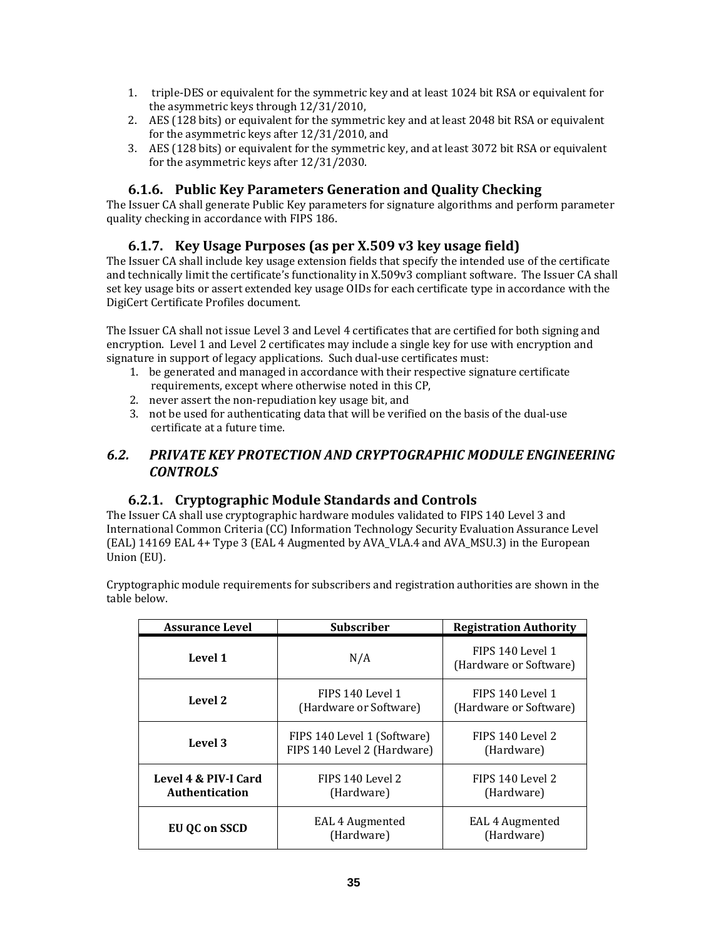- 1. triple‐DES or equivalent for the symmetric key and at least 1024 bit RSA or equivalent for the asymmetric keys through 12/31/2010,
- 2. AES (128 bits) or equivalent for the symmetric key and at least 2048 bit RSA or equivalent for the asymmetric keys after 12/31/2010, and
- 3. AES (128 bits) or equivalent for the symmetric key, and at least 3072 bit RSA or equivalent for the asymmetric keys after 12/31/2030.

## **6.1.6. Public Key Parameters Generation and Quality Checking**

The Issuer CA shall generate Public Key parameters for signature algorithms and perform parameter quality checking in accordance with FIPS 186.

## **6.1.7. Key Usage Purposes (as per X.509 v3 key usage field)**

The Issuer CA shall include key usage extension fields that specify the intended use of the certificate and technically limit the certificate's functionality in X.509v3 compliant software. The Issuer CA shall set key usage bits or assert extended key usage OIDs for each certificate type in accordance with the DigiCert Certificate Profiles document.

The Issuer CA shall not issue Level 3 and Level 4 certificates that are certified for both signing and encryption. Level 1 and Level 2 certificates may include a single key for use with encryption and signature in support of legacy applications. Such dual-use certificates must:

- 1. be generated and managed in accordance with their respective signature certificate requirements, except where otherwise noted in this CP,
- 2. never assert the non‐repudiation key usage bit, and
- 3. not be used for authenticating data that will be verified on the basis of the dual‐use certificate at a future time.

## *6.2. PRIVATE KEY PROTECTION AND CRYPTOGRAPHIC MODULE ENGINEERING CONTROLS*

## **6.2.1. Cryptographic Module Standards and Controls**

The Issuer CA shall use cryptographic hardware modules validated to FIPS 140 Level 3 and International Common Criteria (CC) Information Technology Security Evaluation Assurance Level (EAL) 14169 EAL 4+ Type 3 (EAL 4 Augmented by AVA\_VLA.4 and AVA\_MSU.3) in the European Union (EU).

Cryptographic module requirements for subscribers and registration authorities are shown in the table below.

| <b>Assurance Level</b>                 | <b>Subscriber</b>                                          | <b>Registration Authority</b>              |
|----------------------------------------|------------------------------------------------------------|--------------------------------------------|
| Level 1                                | N/A                                                        | FIPS 140 Level 1<br>(Hardware or Software) |
| Level 2                                | FIPS 140 Level 1<br>(Hardware or Software)                 | FIPS 140 Level 1<br>(Hardware or Software) |
| Level 3                                | FIPS 140 Level 1 (Software)<br>FIPS 140 Level 2 (Hardware) | FIPS 140 Level 2<br>(Hardware)             |
| Level 4 & PIV-I Card<br>Authentication | FIPS 140 Level 2<br>(Hardware)                             | FIPS 140 Level 2<br>(Hardware)             |
| <b>EU QC on SSCD</b>                   | EAL 4 Augmented<br>(Hardware)                              | EAL 4 Augmented<br>(Hardware)              |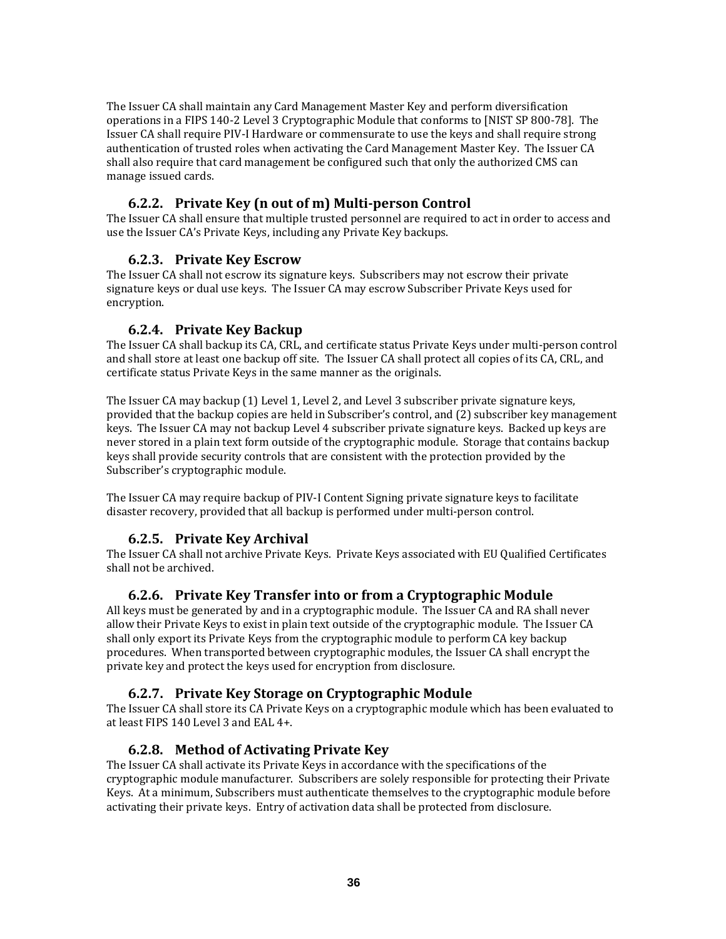The Issuer CA shall maintain any Card Management Master Key and perform diversification operations in a FIPS 140‐2 Level 3 Cryptographic Module that conforms to [NIST SP 800‐78]. The Issuer CA shall require PIV‐I Hardware or commensurate to use the keys and shall require strong authentication of trusted roles when activating the Card Management Master Key. The Issuer CA shall also require that card management be configured such that only the authorized CMS can manage issued cards.

## **6.2.2. Private Key (n out of m) Multiperson Control**

The Issuer CA shall ensure that multiple trusted personnel are required to act in order to access and use the Issuer CA's Private Keys, including any Private Key backups.

#### **6.2.3. Private Key Escrow**

The Issuer CA shall not escrow its signature keys. Subscribers may not escrow their private signature keys or dual use keys. The Issuer CA may escrow Subscriber Private Keys used for encryption.

#### **6.2.4. Private Key Backup**

The Issuer CA shall backup its CA, CRL, and certificate status Private Keys under multi‐person control and shall store at least one backup off site. The Issuer CA shall protect all copies of its CA, CRL, and certificate status Private Keys in the same manner as the originals.

The Issuer CA may backup (1) Level 1, Level 2, and Level 3 subscriber private signature keys, provided that the backup copies are held in Subscriber's control, and (2) subscriber key management keys. The Issuer CA may not backup Level 4 subscriber private signature keys. Backed up keys are never stored in a plain text form outside of the cryptographic module. Storage that contains backup keys shall provide security controls that are consistent with the protection provided by the Subscriber's cryptographic module.

The Issuer CA may require backup of PIV‐I Content Signing private signature keys to facilitate disaster recovery, provided that all backup is performed under multi‐person control.

## **6.2.5. Private Key Archival**

The Issuer CA shall not archive Private Keys. Private Keys associated with EU Qualified Certificates shall not be archived.

#### **6.2.6. Private Key Transfer into or from a Cryptographic Module**

All keys must be generated by and in a cryptographic module. The Issuer CA and RA shall never allow their Private Keys to exist in plain text outside of the cryptographic module. The Issuer CA shall only export its Private Keys from the cryptographic module to perform CA key backup procedures. When transported between cryptographic modules, the Issuer CA shall encrypt the private key and protect the keys used for encryption from disclosure.

#### **6.2.7. Private Key Storage on Cryptographic Module**

The Issuer CA shall store its CA Private Keys on a cryptographic module which has been evaluated to at least FIPS 140 Level 3 and EAL 4+.

#### **6.2.8. Method of Activating Private Key**

The Issuer CA shall activate its Private Keys in accordance with the specifications of the cryptographic module manufacturer. Subscribers are solely responsible for protecting their Private Keys. At a minimum, Subscribers must authenticate themselves to the cryptographic module before activating their private keys. Entry of activation data shall be protected from disclosure.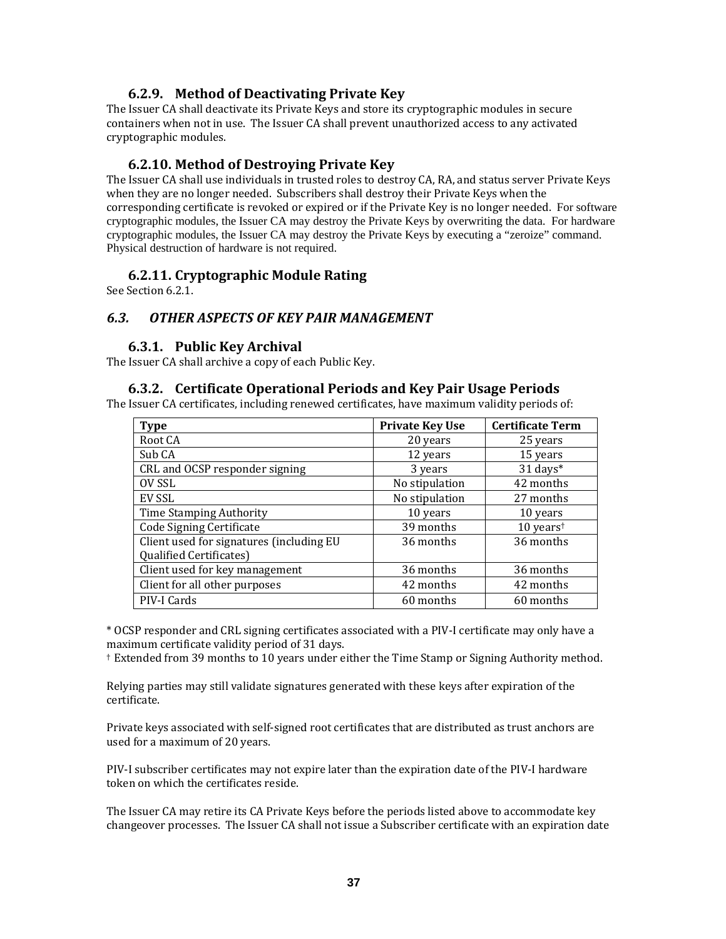#### **6.2.9. Method of Deactivating Private Key**

The Issuer CA shall deactivate its Private Keys and store its cryptographic modules in secure containers when not in use. The Issuer CA shall prevent unauthorized access to any activated cryptographic modules.

#### **6.2.10. Method of Destroying Private Key**

The Issuer CA shall use individuals in trusted roles to destroy CA, RA, and status server Private Keys when they are no longer needed. Subscribers shall destroy their Private Keys when the corresponding certificate is revoked or expired or if the Private Key is no longer needed. For software cryptographic modules, the Issuer CA may destroy the Private Keys by overwriting the data. For hardware cryptographic modules, the Issuer CA may destroy the Private Keys by executing a "zeroize" command. Physical destruction of hardware is not required.

#### **6.2.11. Cryptographic Module Rating**

See Section 6.2.1.

#### *6.3. OTHER ASPECTS OF KEY PAIR MANAGEMENT*

#### **6.3.1. Public Key Archival**

The Issuer CA shall archive a copy of each Public Key.

#### **6.3.2. Certificate Operational Periods and Key Pair Usage Periods**

The Issuer CA certificates, including renewed certificates, have maximum validity periods of:

| <b>Type</b>                              | <b>Private Key Use</b> | <b>Certificate Term</b>                    |
|------------------------------------------|------------------------|--------------------------------------------|
| Root CA                                  | 20 years               | 25 years                                   |
| Sub CA                                   | 12 years               | 15 years                                   |
| CRL and OCSP responder signing           | 3 years                | $31$ days*                                 |
| OV SSL                                   | No stipulation         | 42 months                                  |
| EV SSL                                   | No stipulation         | 27 months                                  |
| Time Stamping Authority                  | 10 years               | 10 years                                   |
| Code Signing Certificate                 | 39 months              | $10$ years <sup><math>\dagger</math></sup> |
| Client used for signatures (including EU | 36 months              | 36 months                                  |
| Qualified Certificates)                  |                        |                                            |
| Client used for key management           | 36 months              | 36 months                                  |
| Client for all other purposes            | 42 months              | 42 months                                  |
| PIV-I Cards                              | 60 months              | 60 months                                  |

\* OCSP responder and CRL signing certificates associated with a PIV‐I certificate may only have a maximum certificate validity period of 31 days.

† Extended from 39 months to 10 years under either the Time Stamp or Signing Authority method.

Relying parties may still validate signatures generated with these keys after expiration of the certificate.

Private keys associated with self‐signed root certificates that are distributed as trust anchors are used for a maximum of 20 years.

PIV‐I subscriber certificates may not expire later than the expiration date of the PIV‐I hardware token on which the certificates reside.

The Issuer CA may retire its CA Private Keys before the periods listed above to accommodate key changeover processes. The Issuer CA shall not issue a Subscriber certificate with an expiration date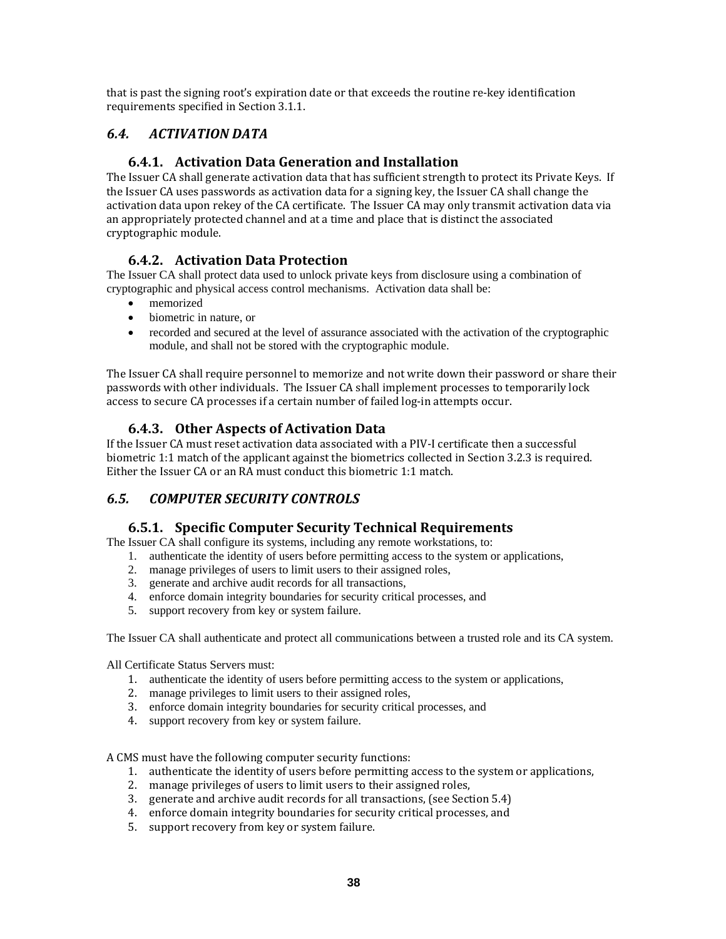that is past the signing root's expiration date or that exceeds the routine re‐key identification requirements specified in Section 3.1.1.

## *6.4. ACTIVATION DATA*

## **6.4.1. Activation Data Generation and Installation**

The Issuer CA shall generate activation data that has sufficient strength to protect its Private Keys. If the Issuer CA uses passwords as activation data for a signing key, the Issuer CA shall change the activation data upon rekey of the CA certificate. The Issuer CA may only transmit activation data via an appropriately protected channel and at a time and place that is distinct the associated cryptographic module.

## **6.4.2. Activation Data Protection**

The Issuer CA shall protect data used to unlock private keys from disclosure using a combination of cryptographic and physical access control mechanisms. Activation data shall be:

- memorized
- biometric in nature, or
- recorded and secured at the level of assurance associated with the activation of the cryptographic module, and shall not be stored with the cryptographic module.

The Issuer CA shall require personnel to memorize and not write down their password or share their passwords with other individuals. The Issuer CA shall implement processes to temporarily lock access to secure CA processes if a certain number of failed log-in attempts occur.

## **6.4.3. Other Aspects of Activation Data**

If the Issuer CA must reset activation data associated with a PIV‐I certificate then a successful biometric 1:1 match of the applicant against the biometrics collected in Section 3.2.3 is required. Either the Issuer CA or an RA must conduct this biometric 1:1 match.

## *6.5. COMPUTER SECURITY CONTROLS*

#### **6.5.1. Specific Computer Security Technical Requirements**

The Issuer CA shall configure its systems, including any remote workstations, to:

- 1. authenticate the identity of users before permitting access to the system or applications,
- 2. manage privileges of users to limit users to their assigned roles,
- 3. generate and archive audit records for all transactions,
- 4. enforce domain integrity boundaries for security critical processes, and
- 5. support recovery from key or system failure.

The Issuer CA shall authenticate and protect all communications between a trusted role and its CA system.

All Certificate Status Servers must:

- 1. authenticate the identity of users before permitting access to the system or applications,
- 2. manage privileges to limit users to their assigned roles,
- 3. enforce domain integrity boundaries for security critical processes, and
- 4. support recovery from key or system failure.

A CMS must have the following computer security functions:

- 1. authenticate the identity of users before permitting access to the system or applications,
- 2. manage privileges of users to limit users to their assigned roles,
- 3. generate and archive audit records for all transactions, (see Section 5.4)
- 4. enforce domain integrity boundaries for security critical processes, and
- 5. support recovery from key or system failure.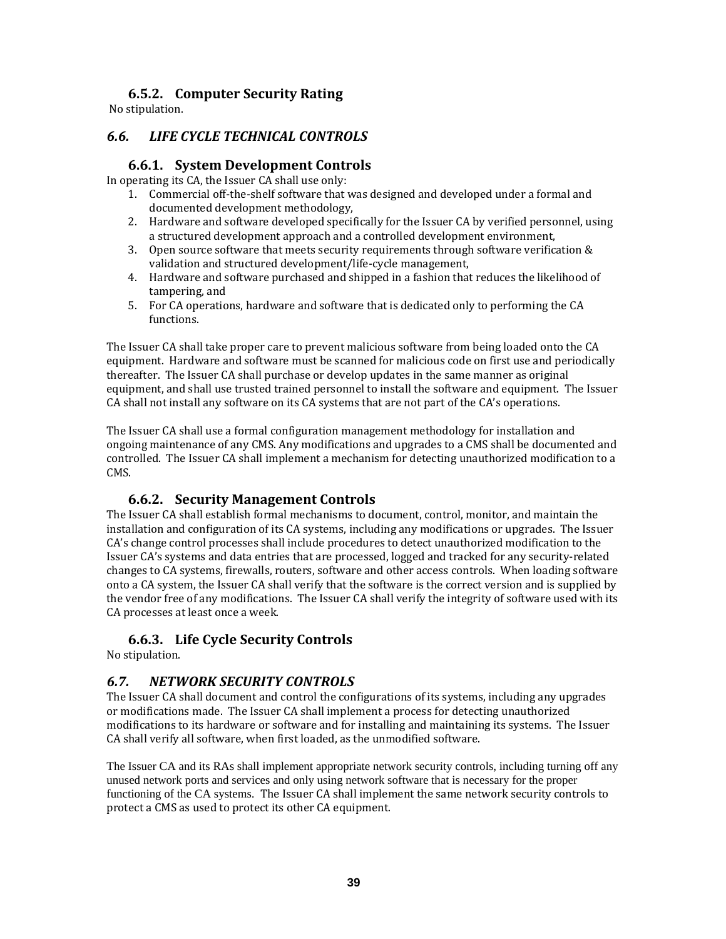## **6.5.2. Computer Security Rating**

No stipulation.

## *6.6. LIFE CYCLE TECHNICAL CONTROLS*

#### **6.6.1. System Development Controls**

In operating its CA, the Issuer CA shall use only:

- 1. Commercial off-the-shelf software that was designed and developed under a formal and documented development methodology,
- 2. Hardware and software developed specifically for the Issuer CA by verified personnel, using a structured development approach and a controlled development environment,
- 3. Open source software that meets security requirements through software verification & validation and structured development/life‐cycle management,
- 4. Hardware and software purchased and shipped in a fashion that reduces the likelihood of tampering, and
- 5. For CA operations, hardware and software that is dedicated only to performing the CA functions.

The Issuer CA shall take proper care to prevent malicious software from being loaded onto the CA equipment. Hardware and software must be scanned for malicious code on first use and periodically thereafter. The Issuer CA shall purchase or develop updates in the same manner as original equipment, and shall use trusted trained personnel to install the software and equipment. The Issuer CA shall not install any software on its CA systems that are not part of the CA's operations.

The Issuer CA shall use a formal configuration management methodology for installation and ongoing maintenance of any CMS. Any modifications and upgrades to a CMS shall be documented and controlled. The Issuer CA shall implement a mechanism for detecting unauthorized modification to a CMS.

#### **6.6.2. Security Management Controls**

The Issuer CA shall establish formal mechanisms to document, control, monitor, and maintain the installation and configuration of its CA systems, including any modifications or upgrades. The Issuer CA's change control processes shall include procedures to detect unauthorized modification to the Issuer CA's systems and data entries that are processed, logged and tracked for any security‐related changes to CA systems, firewalls, routers, software and other access controls. When loading software onto a CA system, the Issuer CA shall verify that the software is the correct version and is supplied by the vendor free of any modifications. The Issuer CA shall verify the integrity of software used with its CA processes at least once a week.

#### **6.6.3. Life Cycle Security Controls**

No stipulation.

## *6.7. NETWORK SECURITY CONTROLS*

The Issuer CA shall document and control the configurations of its systems, including any upgrades or modifications made. The Issuer CA shall implement a process for detecting unauthorized modifications to its hardware or software and for installing and maintaining its systems. The Issuer CA shall verify all software, when first loaded, as the unmodified software.

The Issuer CA and its RAs shall implement appropriate network security controls, including turning off any unused network ports and services and only using network software that is necessary for the proper functioning of the CA systems. The Issuer CA shall implement the same network security controls to protect a CMS as used to protect its other CA equipment.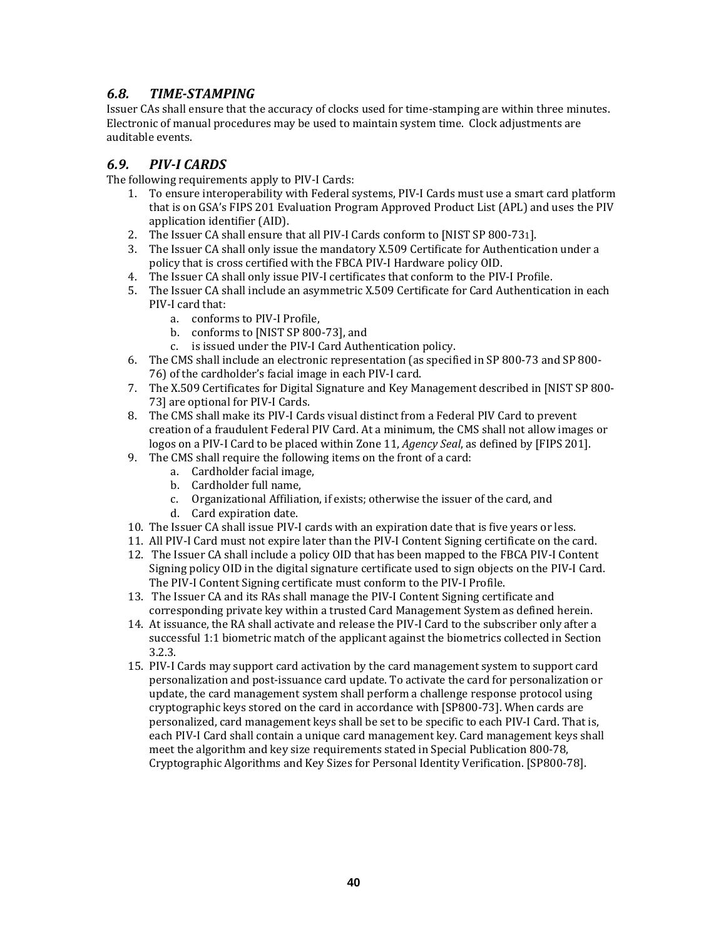## *6.8. TIMESTAMPING*

Issuer CAs shall ensure that the accuracy of clocks used for time‐stamping are within three minutes. Electronic of manual procedures may be used to maintain system time. Clock adjustments are auditable events.

## *6.9. PIVI CARDS*

The following requirements apply to PIV‐I Cards:

- 1. To ensure interoperability with Federal systems, PIV‐I Cards must use a smart card platform that is on GSA's FIPS 201 Evaluation Program Approved Product List (APL) and uses the PIV application identifier (AID).
- 2. The Issuer CA shall ensure that all PIV-I Cards conform to [NIST SP 800-731].
- 3. The Issuer CA shall only issue the mandatory X.509 Certificate for Authentication under a policy that is cross certified with the FBCA PIV‐I Hardware policy OID.
- 4. The Issuer CA shall only issue PIV‐I certificates that conform to the PIV‐I Profile.
- 5. The Issuer CA shall include an asymmetric X.509 Certificate for Card Authentication in each PIV‐I card that:
	- a. conforms to PIV‐I Profile,
	- b. conforms to [NIST SP 800‐73], and
	- c. is issued under the PIV‐I Card Authentication policy.
- 6. The CMS shall include an electronic representation (as specified in SP 800‐73 and SP 800‐ 76) of the cardholder's facial image in each PIV‐I card.
- 7. The X.509 Certificates for Digital Signature and Key Management described in [NIST SP 800‐ 73] are optional for PIV‐I Cards.
- 8. The CMS shall make its PIV‐I Cards visual distinct from a Federal PIV Card to prevent creation of a fraudulent Federal PIV Card. At a minimum, the CMS shall not allow images or logos on a PIV‐I Card to be placed within Zone 11, *Agency Seal*, as defined by [FIPS 201].
- 9. The CMS shall require the following items on the front of a card:
	- a. Cardholder facial image,
	- b. Cardholder full name,
	- c. Organizational Affiliation, if exists; otherwise the issuer of the card, and
	- d. Card expiration date.
- 10. The Issuer CA shall issue PIV‐I cards with an expiration date that is five years or less.
- 11. All PIV‐I Card must not expire later than the PIV‐I Content Signing certificate on the card.
- 12. The Issuer CA shall include a policy OID that has been mapped to the FBCA PIV-I Content Signing policy OID in the digital signature certificate used to sign objects on the PIV‐I Card. The PIV‐I Content Signing certificate must conform to the PIV‐I Profile.
- 13. The Issuer CA and its RAs shall manage the PIV‐I Content Signing certificate and corresponding private key within a trusted Card Management System as defined herein.
- 14. At issuance, the RA shall activate and release the PIV‐I Card to the subscriber only after a successful 1:1 biometric match of the applicant against the biometrics collected in Section 3.2.3.
- 15. PIV‐I Cards may support card activation by the card management system to support card personalization and post‐issuance card update. To activate the card for personalization or update, the card management system shall perform a challenge response protocol using cryptographic keys stored on the card in accordance with [SP800‐73]. When cards are personalized, card management keys shall be set to be specific to each PIV‐I Card. That is, each PIV‐I Card shall contain a unique card management key. Card management keys shall meet the algorithm and key size requirements stated in Special Publication 800-78, Cryptographic Algorithms and Key Sizes for Personal Identity Verification. [SP800‐78].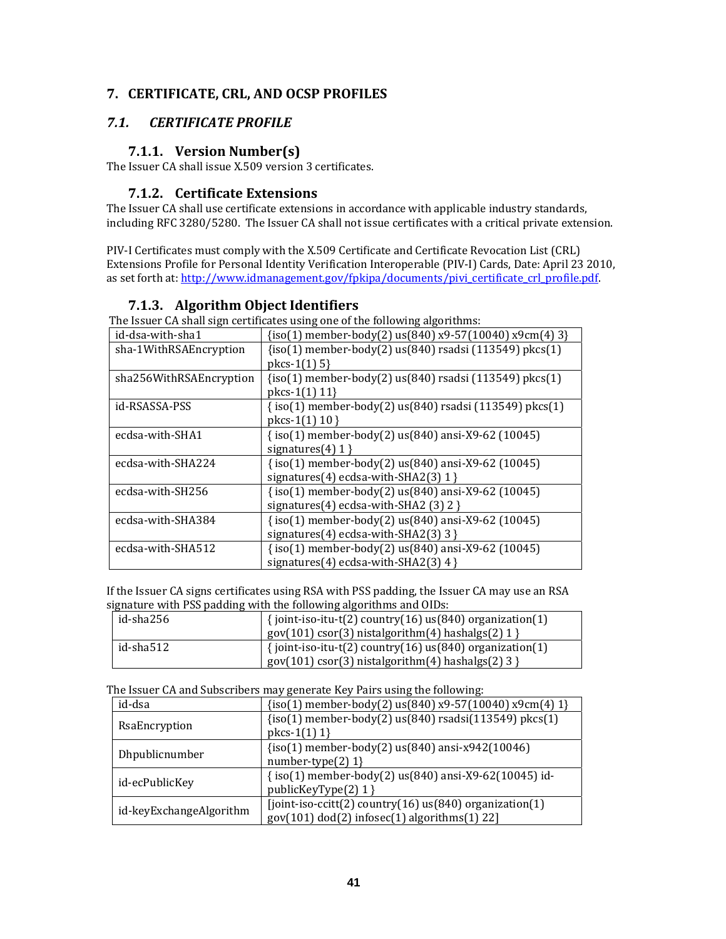## **7. CERTIFICATE, CRL, AND OCSP PROFILES**

## *7.1. CERTIFICATE PROFILE*

## **7.1.1. Version Number(s)**

The Issuer CA shall issue X.509 version 3 certificates.

## **7.1.2. Certificate Extensions**

The Issuer CA shall use certificate extensions in accordance with applicable industry standards, including RFC 3280/5280. The Issuer CA shall not issue certificates with a critical private extension.

PIV‐I Certificates must comply with the X.509 Certificate and Certificate Revocation List (CRL) Extensions Profile for Personal Identity Verification Interoperable (PIV‐I) Cards, Date: April 23 2010, as set forth at: http://www.idmanagement.gov/fpkipa/documents/pivi\_certificate\_crl\_profile.pdf.

|                         | The Issuer CA shall sign certificates using one of the following algorithms: |
|-------------------------|------------------------------------------------------------------------------|
| id-dsa-with-sha1        | $\{iso(1)$ member-body(2) us(840) x9-57(10040) x9cm(4) 3}                    |
| sha-1WithRSAEncryption  | $\{iso(1)$ member-body $(2)$ us $(840)$ rsadsi $(113549)$ pkcs $(1)$         |
|                         | $pkcs-1(1)$ 5}                                                               |
| sha256WithRSAEncryption | $\{iso(1)$ member-body(2) us(840) rsadsi (113549) pkcs(1)                    |
|                         | pkcs-1 $(1)$ 11}                                                             |
| id-RSASSA-PSS           | {iso(1) member-body(2) us(840) rsadsi (113549) pkcs(1)                       |
|                         | pkcs-1(1) $10$ }                                                             |
| ecdsa-with-SHA1         | $\{iso(1)$ member-body(2) us(840) ansi-X9-62 (10045)                         |
|                         | signatures $(4)$ 1 }                                                         |
| ecdsa-with-SHA224       | {iso(1) member-body(2) us(840) ansi-X9-62 (10045)                            |
|                         | signatures(4) ecdsa-with-SHA2(3) $1$ }                                       |
| ecdsa-with-SH256        | {iso(1) member-body(2) us(840) ansi-X9-62 (10045)                            |
|                         | signatures(4) ecdsa-with-SHA2 (3) $2$ }                                      |
| ecdsa-with-SHA384       | {iso(1) member-body(2) us(840) ansi-X9-62 (10045)                            |
|                         | signatures(4) ecdsa-with-SHA2(3) 3 }                                         |
| ecdsa-with-SHA512       | $\{iso(1)$ member-body(2) us(840) ansi-X9-62 (10045)                         |
|                         | signatures(4) ecdsa-with-SHA2(3) $4$ }                                       |

## **7.1.3. Algorithm Object Identifiers**

The Issuer CA shall sign certificates using one of the following algorithms:

If the Issuer CA signs certificates using RSA with PSS padding, the Issuer CA may use an RSA signature with PSS padding with the following algorithms and OIDs:

| id-sha256       | $\{$ ioint-iso-itu-t(2) country(16) us(840) organization(1) |
|-----------------|-------------------------------------------------------------|
|                 | $gov(101) cos(3)$ nistalgorithm(4) hashalgs(2) 1 }          |
| $id$ -sha $512$ | $\{$ ioint-iso-itu-t(2) country(16) us(840) organization(1) |
|                 | $gov(101)$ csor(3) nistalgorithm(4) hashalgs(2) 3 }         |

The Issuer CA and Subscribers may generate Key Pairs using the following:

| id-dsa                  | $\{iso(1)$ member-body(2) us(840) x9-57(10040) x9cm(4) 1}                                                   |
|-------------------------|-------------------------------------------------------------------------------------------------------------|
| RsaEncryption           | $\{iso(1)$ member-body $(2)$ us $(840)$ rsadsi $(113549)$ pkcs $(1)$<br>$pkcs-1(1) 1$                       |
| Dhpublicnumber          | $\{iso(1)$ member-body(2) us $(840)$ ansi-x942(10046)<br>number-type $(2)$ 1}                               |
| id-ecPublicKey          | {iso(1) member-body(2) us(840) ansi-X9-62(10045) id-<br>publicKeyType(2) 1 }                                |
| id-keyExchangeAlgorithm | [joint-iso-ccitt(2) country(16) $us(840)$ organization(1)<br>$gov(101) dod(2) infosec(1) algorithms(1) 22]$ |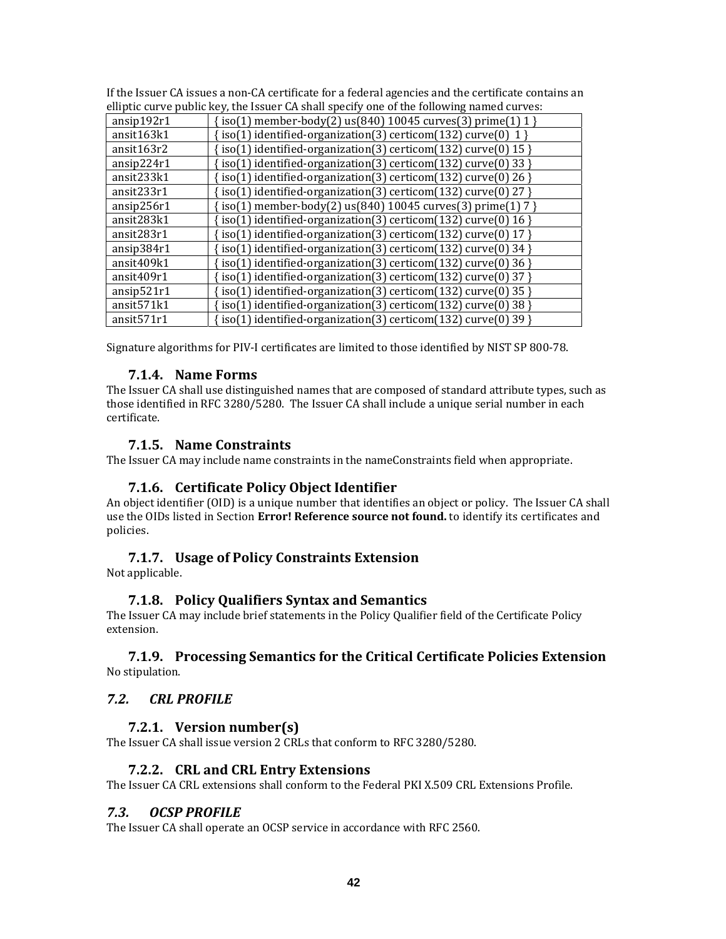| elliptic curve public key, the Issuer CA shall specify one of the following named curves: |                                                                 |  |
|-------------------------------------------------------------------------------------------|-----------------------------------------------------------------|--|
| ansip192r1                                                                                | $\{iso(1)$ member-body(2) us(840) 10045 curves(3) prime(1) 1 }  |  |
| ansit163k1                                                                                | $iso(1)$ identified-organization(3) certicom(132) curve(0) 1}   |  |
| ansit163r2                                                                                | iso(1) identified-organization(3) certicom(132) curve(0) $15$ } |  |
| ansip224r1                                                                                | iso(1) identified-organization(3) certicom(132) curve(0) 33 }   |  |
| ansit233k1                                                                                | iso(1) identified-organization(3) certicom(132) curve(0) 26 }   |  |
| ansit233r1                                                                                | iso(1) identified-organization(3) certicom(132) curve(0) 27 }   |  |
| ansip256r1                                                                                | iso(1) member-body(2) us(840) 10045 curves(3) prime(1) 7 }      |  |
| ansit283k1                                                                                | iso(1) identified-organization(3) certicom(132) curve(0) 16 }   |  |
| ansit283r1                                                                                | iso(1) identified-organization(3) certicom(132) curve(0) 17 }   |  |
| ansip384r1                                                                                | iso(1) identified-organization(3) certicom(132) curve(0) 34 }   |  |
| ansit409k1                                                                                | iso(1) identified-organization(3) certicom(132) curve(0) 36 }   |  |
| ansit409r1                                                                                | iso(1) identified-organization(3) certicom(132) curve(0) 37 }   |  |
| ansip521r1                                                                                | iso(1) identified-organization(3) certicom(132) curve(0) 35 }   |  |
| ansit571k1                                                                                | iso(1) identified-organization(3) certicom(132) curve(0) 38 }   |  |
| ansit <sub>571r1</sub>                                                                    | iso(1) identified-organization(3) certicom(132) curve(0) 39 }   |  |

If the Issuer CA issues a non-CA certificate for a federal agencies and the certificate contains an allintic curve public key the Issuer CA shall specify one of the following named curves: elliptic curve public key, the Issuer CA shall specify one of the following named curves:

Signature algorithms for PIV‐I certificates are limited to those identified by NIST SP 800‐78.

## **7.1.4. Name Forms**

The Issuer CA shall use distinguished names that are composed of standard attribute types, such as those identified in RFC 3280/5280. The Issuer CA shall include a unique serial number in each certificate.

## **7.1.5. Name Constraints**

The Issuer CA may include name constraints in the nameConstraints field when appropriate.

## **7.1.6. Certificate Policy Object Identifier**

An object identifier (OID) is a unique number that identifies an object or policy. The Issuer CA shall use the OIDs listed in Section **Error! Reference source not found.** to identify its certificates and policies.

## **7.1.7. Usage of Policy Constraints Extension**

Not applicable.

## **7.1.8. Policy Qualifiers Syntax and Semantics**

The Issuer CA may include brief statements in the Policy Qualifier field of the Certificate Policy extension.

## **7.1.9. Processing Semantics for the Critical Certificate Policies Extension** No stipulation.

## *7.2. CRL PROFILE*

## **7.2.1. Version number(s)**

The Issuer CA shall issue version 2 CRLs that conform to RFC 3280/5280.

## **7.2.2. CRL and CRL Entry Extensions**

The Issuer CA CRL extensions shall conform to the Federal PKI X.509 CRL Extensions Profile.

## *7.3. OCSP PROFILE*

The Issuer CA shall operate an OCSP service in accordance with RFC 2560.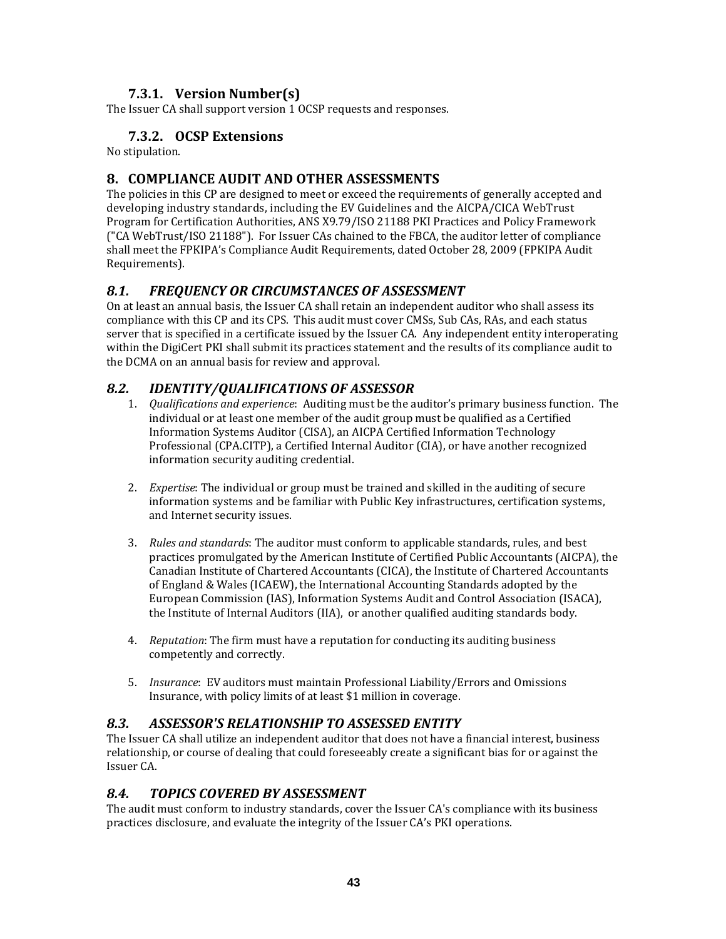## **7.3.1. Version Number(s)**

The Issuer CA shall support version 1 OCSP requests and responses.

## **7.3.2. OCSP Extensions**

No stipulation.

## **8. COMPLIANCE AUDIT AND OTHER ASSESSMENTS**

The policies in this CP are designed to meet or exceed the requirements of generally accepted and developing industry standards, including the EV Guidelines and the AICPA/CICA WebTrust Program for Certification Authorities, ANS X9.79/ISO 21188 PKI Practices and Policy Framework ("CA WebTrust/ISO 21188"). For Issuer CAs chained to the FBCA, the auditor letter of compliance shall meet the FPKIPA's Compliance Audit Requirements, dated October 28, 2009 (FPKIPA Audit Requirements).

## *8.1. FREQUENCY OR CIRCUMSTANCES OF ASSESSMENT*

On at least an annual basis, the Issuer CA shall retain an independent auditor who shall assess its compliance with this CP and its CPS. This audit must cover CMSs, Sub CAs, RAs, and each status server that is specified in a certificate issued by the Issuer CA. Any independent entity interoperating within the DigiCert PKI shall submit its practices statement and the results of its compliance audit to the DCMA on an annual basis for review and approval.

## *8.2. IDENTITY/QUALIFICATIONS OF ASSESSOR*

- 1. *Qualifications and experience*: Auditing must be the auditor's primary business function. The individual or at least one member of the audit group must be qualified as a Certified Information Systems Auditor (CISA), an AICPA Certified Information Technology Professional (CPA.CITP), a Certified Internal Auditor (CIA), or have another recognized information security auditing credential.
- 2. *Expertise*: The individual or group must be trained and skilled in the auditing of secure information systems and be familiar with Public Key infrastructures, certification systems, and Internet security issues.
- 3. *Rules and standards*: The auditor must conform to applicable standards, rules, and best practices promulgated by the American Institute of Certified Public Accountants (AICPA), the Canadian Institute of Chartered Accountants (CICA), the Institute of Chartered Accountants of England & Wales (ICAEW), the International Accounting Standards adopted by the European Commission (IAS), Information Systems Audit and Control Association (ISACA), the Institute of Internal Auditors (IIA), or another qualified auditing standards body.
- 4. *Reputation*: The firm must have a reputation for conducting its auditing business competently and correctly.
- 5. *Insurance*: EV auditors must maintain Professional Liability/Errors and Omissions Insurance, with policy limits of at least \$1 million in coverage.

## *8.3. ASSESSOR'S RELATIONSHIP TO ASSESSED ENTITY*

The Issuer CA shall utilize an independent auditor that does not have a financial interest, business relationship, or course of dealing that could foreseeably create a significant bias for or against the Issuer CA.

## *8.4. TOPICS COVERED BY ASSESSMENT*

The audit must conform to industry standards, cover the Issuer CA's compliance with its business practices disclosure, and evaluate the integrity of the Issuer CA's PKI operations.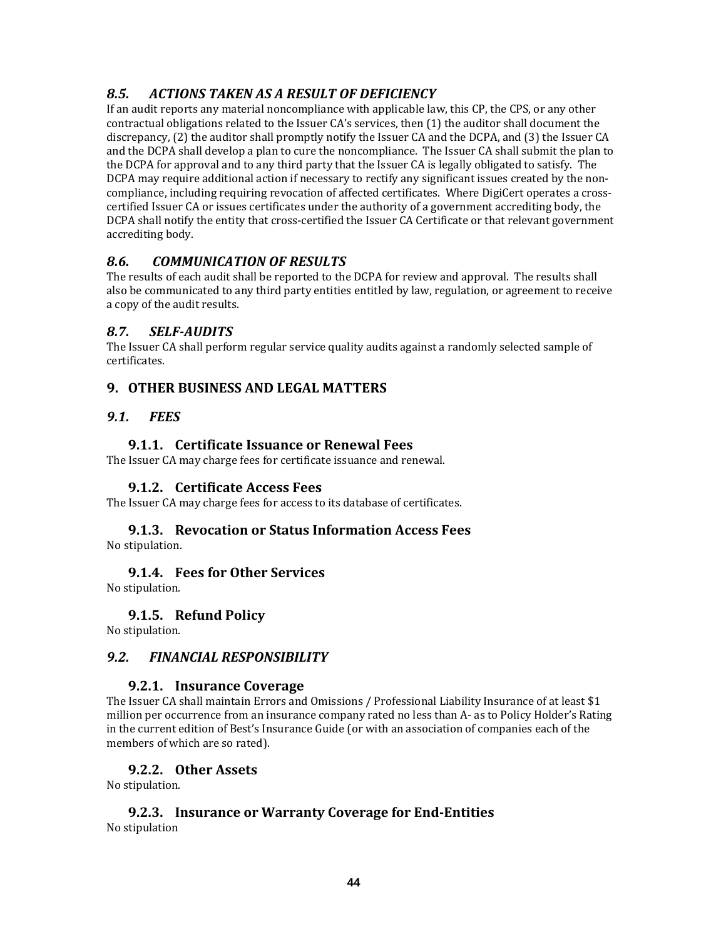## *8.5. ACTIONS TAKEN AS A RESULT OF DEFICIENCY*

If an audit reports any material noncompliance with applicable law, this CP, the CPS, or any other contractual obligations related to the Issuer CA's services, then (1) the auditor shall document the discrepancy, (2) the auditor shall promptly notify the Issuer CA and the DCPA, and (3) the Issuer CA and the DCPA shall develop a plan to cure the noncompliance. The Issuer CA shall submit the plan to the DCPA for approval and to any third party that the Issuer CA is legally obligated to satisfy. The DCPA may require additional action if necessary to rectify any significant issues created by the non‐ compliance, including requiring revocation of affected certificates. Where DigiCert operates a crosscertified Issuer CA or issues certificates under the authority of a government accrediting body, the DCPA shall notify the entity that cross‐certified the Issuer CA Certificate or that relevant government accrediting body.

## *8.6. COMMUNICATION OF RESULTS*

The results of each audit shall be reported to the DCPA for review and approval. The results shall also be communicated to any third party entities entitled by law, regulation, or agreement to receive a copy of the audit results.

## *8.7. SELFAUDITS*

The Issuer CA shall perform regular service quality audits against a randomly selected sample of certificates.

## **9. OTHER BUSINESS AND LEGAL MATTERS**

## *9.1. FEES*

## **9.1.1. Certificate Issuance or Renewal Fees**

The Issuer CA may charge fees for certificate issuance and renewal.

#### **9.1.2. Certificate Access Fees**

The Issuer CA may charge fees for access to its database of certificates.

# **9.1.3. Revocation or Status Information Access Fees**

No stipulation.

#### **9.1.4. Fees for Other Services**

No stipulation.

#### **9.1.5. Refund Policy**

No stipulation.

#### *9.2. FINANCIAL RESPONSIBILITY*

#### **9.2.1. Insurance Coverage**

The Issuer CA shall maintain Errors and Omissions / Professional Liability Insurance of at least \$1 million per occurrence from an insurance company rated no less than A‐ as to Policy Holder's Rating in the current edition of Best's Insurance Guide (or with an association of companies each of the members of which are so rated).

#### **9.2.2. Other Assets**

No stipulation.

#### **9.2.3. Insurance or Warranty Coverage for EndEntities** No stipulation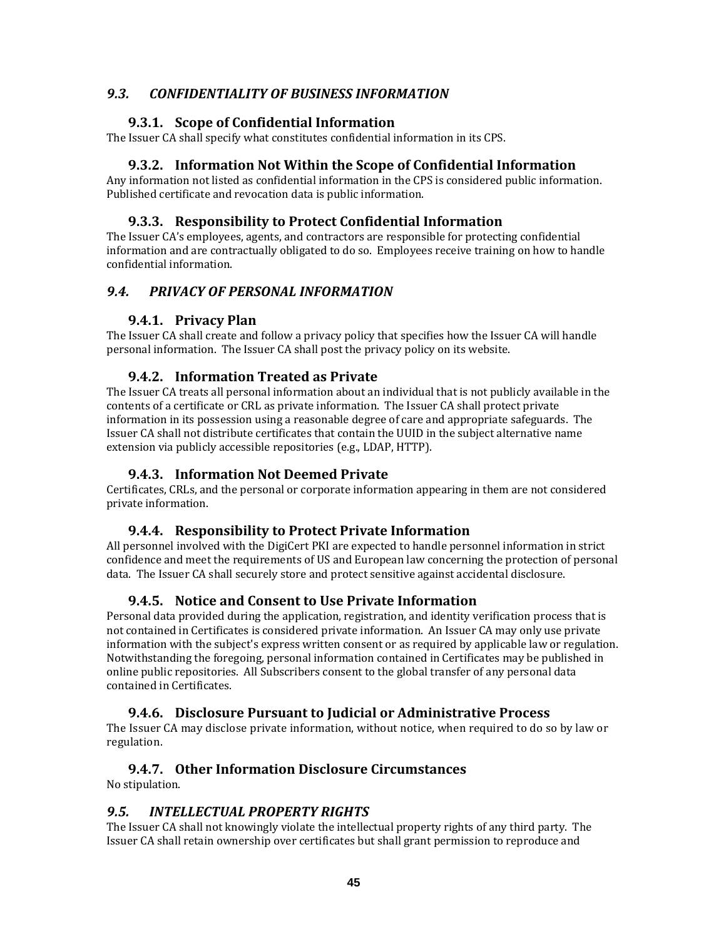## *9.3. CONFIDENTIALITY OF BUSINESS INFORMATION*

## **9.3.1. Scope of Confidential Information**

The Issuer CA shall specify what constitutes confidential information in its CPS.

## **9.3.2. Information Not Within the Scope of Confidential Information**

Any information not listed as confidential information in the CPS is considered public information. Published certificate and revocation data is public information.

## **9.3.3. Responsibility to Protect Confidential Information**

The Issuer CA's employees, agents, and contractors are responsible for protecting confidential information and are contractually obligated to do so. Employees receive training on how to handle confidential information.

## *9.4. PRIVACY OF PERSONAL INFORMATION*

## **9.4.1. Privacy Plan**

The Issuer CA shall create and follow a privacy policy that specifies how the Issuer CA will handle personal information. The Issuer CA shall post the privacy policy on its website.

## **9.4.2. Information Treated as Private**

The Issuer CA treats all personal information about an individual that is not publicly available in the contents of a certificate or CRL as private information. The Issuer CA shall protect private information in its possession using a reasonable degree of care and appropriate safeguards. The Issuer CA shall not distribute certificates that contain the UUID in the subject alternative name extension via publicly accessible repositories (e.g., LDAP, HTTP).

## **9.4.3. Information Not Deemed Private**

Certificates, CRLs, and the personal or corporate information appearing in them are not considered private information.

## **9.4.4. Responsibility to Protect Private Information**

All personnel involved with the DigiCert PKI are expected to handle personnel information in strict confidence and meet the requirements of US and European law concerning the protection of personal data. The Issuer CA shall securely store and protect sensitive against accidental disclosure.

## **9.4.5. Notice and Consent to Use Private Information**

Personal data provided during the application, registration, and identity verification process that is not contained in Certificates is considered private information. An Issuer CA may only use private information with the subject's express written consent or as required by applicable law or regulation. Notwithstanding the foregoing, personal information contained in Certificates may be published in online public repositories. All Subscribers consent to the global transfer of any personal data contained in Certificates.

## **9.4.6. Disclosure Pursuant to Judicial or Administrative Process**

The Issuer CA may disclose private information, without notice, when required to do so by law or regulation.

## **9.4.7. Other Information Disclosure Circumstances**

No stipulation.

## *9.5. INTELLECTUAL PROPERTY RIGHTS*

The Issuer CA shall not knowingly violate the intellectual property rights of any third party. The Issuer CA shall retain ownership over certificates but shall grant permission to reproduce and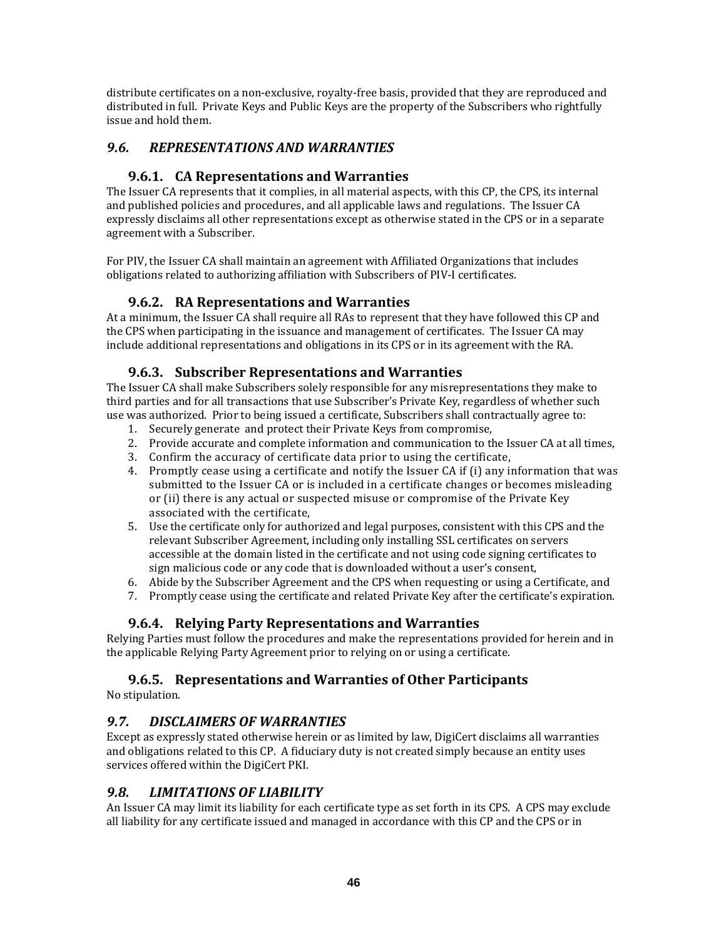distribute certificates on a non‐exclusive, royalty‐free basis, provided that they are reproduced and distributed in full. Private Keys and Public Keys are the property of the Subscribers who rightfully issue and hold them.

## *9.6. REPRESENTATIONS AND WARRANTIES*

## **9.6.1. CA Representations and Warranties**

The Issuer CA represents that it complies, in all material aspects, with this CP, the CPS, its internal and published policies and procedures, and all applicable laws and regulations. The Issuer CA expressly disclaims all other representations except as otherwise stated in the CPS or in a separate agreement with a Subscriber.

For PIV, the Issuer CA shall maintain an agreement with Affiliated Organizations that includes obligations related to authorizing affiliation with Subscribers of PIV‐I certificates.

## **9.6.2. RA Representations and Warranties**

At a minimum, the Issuer CA shall require all RAs to represent that they have followed this CP and the CPS when participating in the issuance and management of certificates. The Issuer CA may include additional representations and obligations in its CPS or in its agreement with the RA.

## **9.6.3. Subscriber Representations and Warranties**

The Issuer CA shall make Subscribers solely responsible for any misrepresentations they make to third parties and for all transactions that use Subscriber's Private Key, regardless of whether such use was authorized. Prior to being issued a certificate, Subscribers shall contractually agree to:

- 1. Securely generate and protect their Private Keys from compromise,
- 2. Provide accurate and complete information and communication to the Issuer CA at all times,
- 3. Confirm the accuracy of certificate data prior to using the certificate,
- 4. Promptly cease using a certificate and notify the Issuer CA if (i) any information that was submitted to the Issuer CA or is included in a certificate changes or becomes misleading or (ii) there is any actual or suspected misuse or compromise of the Private Key associated with the certificate,
- 5. Use the certificate only for authorized and legal purposes, consistent with this CPS and the relevant Subscriber Agreement, including only installing SSL certificates on servers accessible at the domain listed in the certificate and not using code signing certificates to sign malicious code or any code that is downloaded without a user's consent,
- 6. Abide by the Subscriber Agreement and the CPS when requesting or using a Certificate, and
- 7. Promptly cease using the certificate and related Private Key after the certificate's expiration.

## **9.6.4. Relying Party Representations and Warranties**

Relying Parties must follow the procedures and make the representations provided for herein and in the applicable Relying Party Agreement prior to relying on or using a certificate.

## **9.6.5. Representations and Warranties of Other Participants**

No stipulation.

## *9.7. DISCLAIMERS OF WARRANTIES*

Except as expressly stated otherwise herein or as limited by law, DigiCert disclaims all warranties and obligations related to this CP. A fiduciary duty is not created simply because an entity uses services offered within the DigiCert PKI.

## *9.8. LIMITATIONS OF LIABILITY*

An Issuer CA may limit its liability for each certificate type as set forth in its CPS. A CPS may exclude all liability for any certificate issued and managed in accordance with this CP and the CPS or in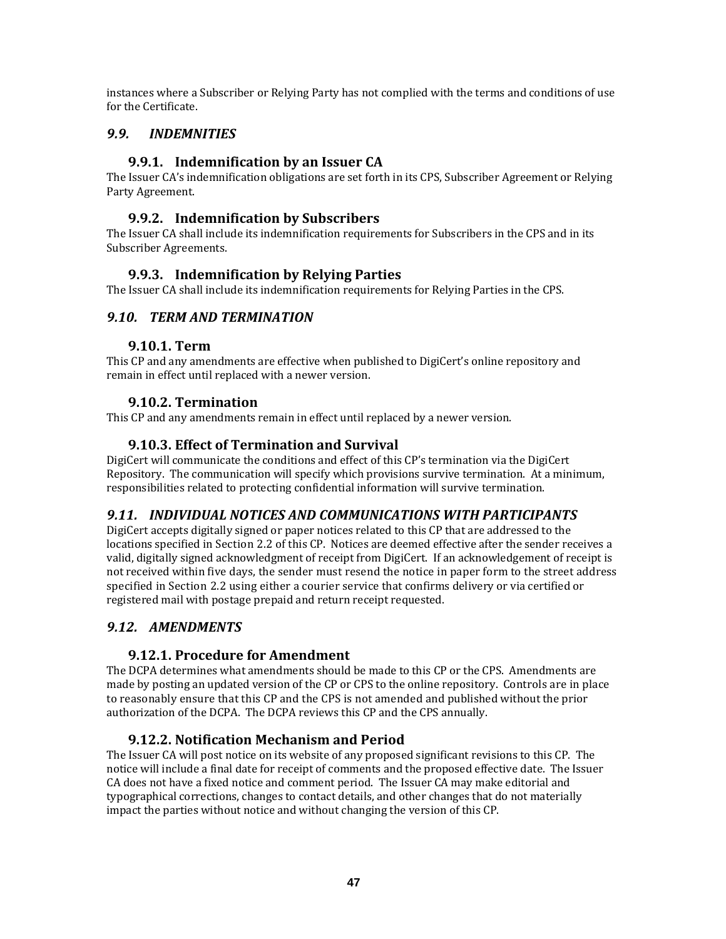instances where a Subscriber or Relying Party has not complied with the terms and conditions of use for the Certificate.

## *9.9. INDEMNITIES*

## **9.9.1. Indemnification by an Issuer CA**

The Issuer CA's indemnification obligations are set forth in its CPS, Subscriber Agreement or Relying Party Agreement.

## **9.9.2. Indemnification by Subscribers**

The Issuer CA shall include its indemnification requirements for Subscribers in the CPS and in its Subscriber Agreements.

## **9.9.3. Indemnification by Relying Parties**

The Issuer CA shall include its indemnification requirements for Relying Parties in the CPS.

## *9.10. TERM AND TERMINATION*

#### **9.10.1. Term**

This CP and any amendments are effective when published to DigiCert's online repository and remain in effect until replaced with a newer version.

## **9.10.2. Termination**

This CP and any amendments remain in effect until replaced by a newer version.

## **9.10.3. Effect of Termination and Survival**

DigiCert will communicate the conditions and effect of this CP's termination via the DigiCert Repository. The communication will specify which provisions survive termination. At a minimum, responsibilities related to protecting confidential information will survive termination.

## *9.11. INDIVIDUAL NOTICES AND COMMUNICATIONS WITH PARTICIPANTS*

DigiCert accepts digitally signed or paper notices related to this CP that are addressed to the locations specified in Section 2.2 of this CP. Notices are deemed effective after the sender receives a valid, digitally signed acknowledgment of receipt from DigiCert. If an acknowledgement of receipt is not received within five days, the sender must resend the notice in paper form to the street address specified in Section 2.2 using either a courier service that confirms delivery or via certified or registered mail with postage prepaid and return receipt requested.

## *9.12. AMENDMENTS*

## **9.12.1. Procedure for Amendment**

The DCPA determines what amendments should be made to this CP or the CPS. Amendments are made by posting an updated version of the CP or CPS to the online repository. Controls are in place to reasonably ensure that this CP and the CPS is not amended and published without the prior authorization of the DCPA. The DCPA reviews this CP and the CPS annually.

#### **9.12.2. Notification Mechanism and Period**

The Issuer CA will post notice on its website of any proposed significant revisions to this CP. The notice will include a final date for receipt of comments and the proposed effective date. The Issuer CA does not have a fixed notice and comment period. The Issuer CA may make editorial and typographical corrections, changes to contact details, and other changes that do not materially impact the parties without notice and without changing the version of this CP.